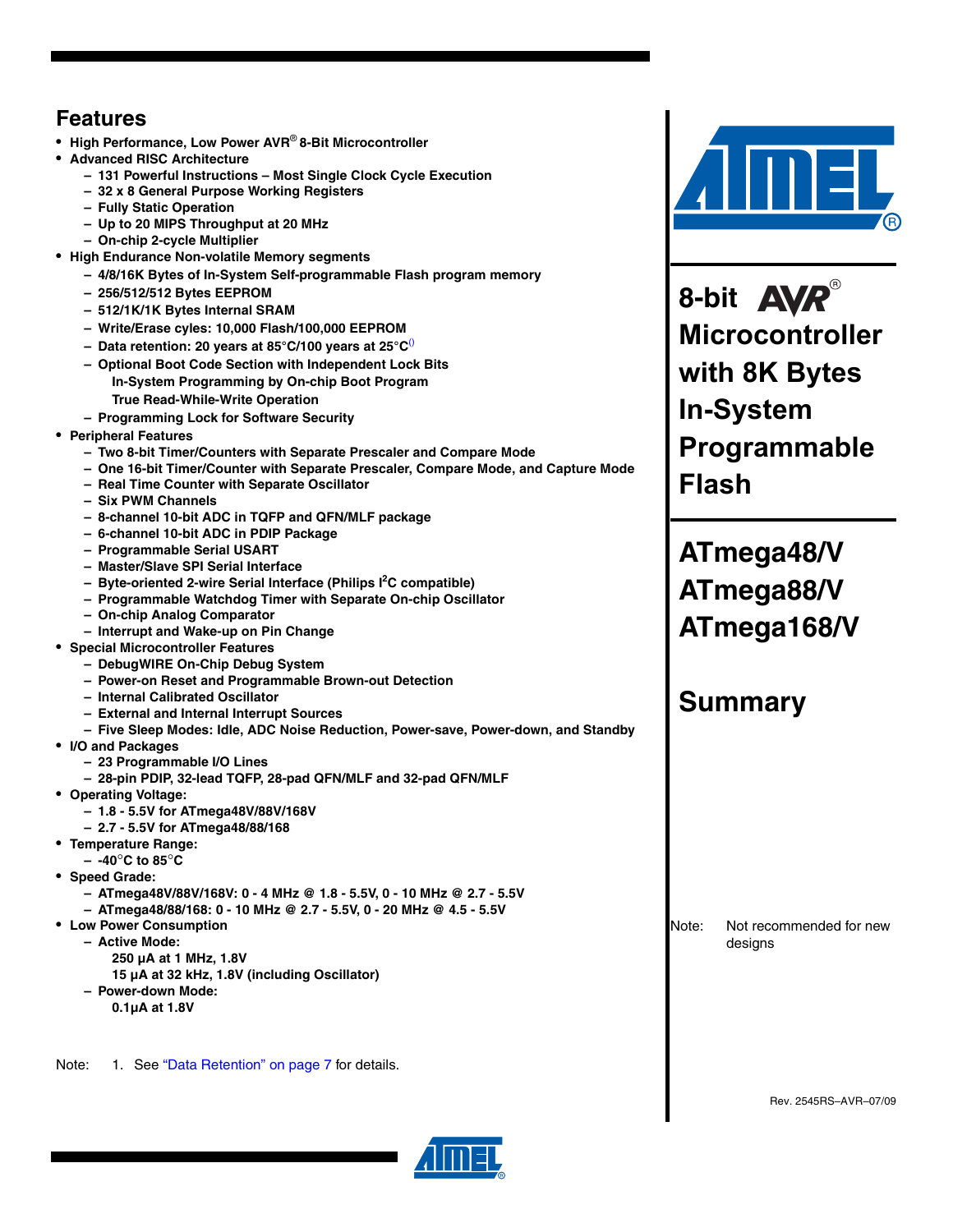## **Features**

- **High Performance, Low Power AVR**® **8-Bit Microcontroller**
- **Advanced RISC Architecture**
	- **131 Powerful Instructions Most Single Clock Cycle Execution**
	- **32 x 8 General Purpose Working Registers**
	- **Fully Static Operation**
	- **Up to 20 MIPS Throughput at 20 MHz**
	- **On-chip 2-cycle Multiplier**
- **High Endurance Non-volatile Memory segments**
	- **4/8/16K Bytes of In-System Self-programmable Flash program memory**
	- **256/512/512 Bytes EEPROM**
	- **512/1K/1K Bytes Internal SRAM**
	- **Write/Erase cyles: 10,000 Flash/100,000 EEPROM**
	- **Data retention: 20 years at 85°C/100 years at 25°C**()
	- **Optional Boot Code Section with Independent Lock Bits In-System Programming by On-chip Boot Program True Read-While-Write Operation**
	- **Programming Lock for Software Security**
- **Peripheral Features**
	- **Two 8-bit Timer/Counters with Separate Prescaler and Compare Mode**
	- **One 16-bit Timer/Counter with Separate Prescaler, Compare Mode, and Capture Mode**
	- **Real Time Counter with Separate Oscillator**
	- **Six PWM Channels**
	- **8-channel 10-bit ADC in TQFP and QFN/MLF package**
	- **6-channel 10-bit ADC in PDIP Package**
	- **Programmable Serial USART**
	- **Master/Slave SPI Serial Interface**
	- **Byte-oriented 2-wire Serial Interface (Philips I2 C compatible)**
	- **Programmable Watchdog Timer with Separate On-chip Oscillator**
	- **On-chip Analog Comparator**
	- **Interrupt and Wake-up on Pin Change**
- **Special Microcontroller Features**
	- **DebugWIRE On-Chip Debug System**
	- **Power-on Reset and Programmable Brown-out Detection**
	- **Internal Calibrated Oscillator**
	- **External and Internal Interrupt Sources**
	- **Five Sleep Modes: Idle, ADC Noise Reduction, Power-save, Power-down, and Standby**
- **I/O and Packages**
	- **23 Programmable I/O Lines**
	- **28-pin PDIP, 32-lead TQFP, 28-pad QFN/MLF and 32-pad QFN/MLF**
- **Operating Voltage:**
	- **1.8 5.5V for ATmega48V/88V/168V**
	- **2.7 5.5V for ATmega48/88/168**
- **Temperature Range:**
	- **-40**°**C to 85**°**C**
- **Speed Grade:**
	- **ATmega48V/88V/168V: 0 4 MHz @ 1.8 5.5V, 0 10 MHz @ 2.7 5.5V**
	- **ATmega48/88/168: 0 10 MHz @ 2.7 5.5V, 0 20 MHz @ 4.5 5.5V**
- **Low Power Consumption**
	- **Active Mode:** 
		- **250 µA at 1 MHz, 1.8V**
	- **15 µA at 32 kHz, 1.8V (including Oscillator)**
	- **Power-down Mode:** 
		- **0.1µA at 1.8V**

Note: 1. See "Data Retention" on page 7 for details.



8-bit **AVR**® **Microcontroller with 8K Bytes In-System Programmable Flash**

**ATmega48/V ATmega88/V ATmega168/V** 

## **Summary**

Note: Not recommended for new designs

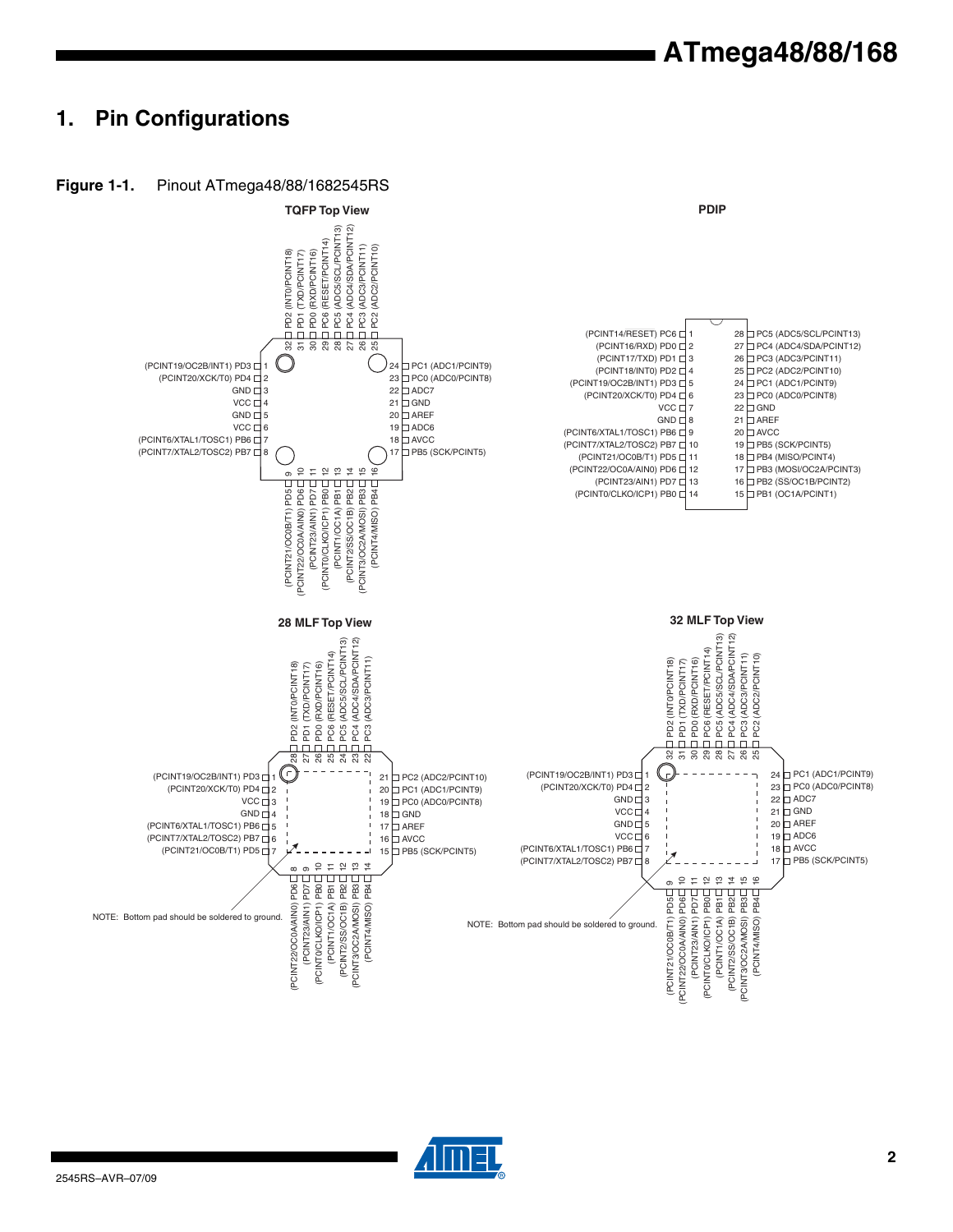## **1. Pin Configurations**



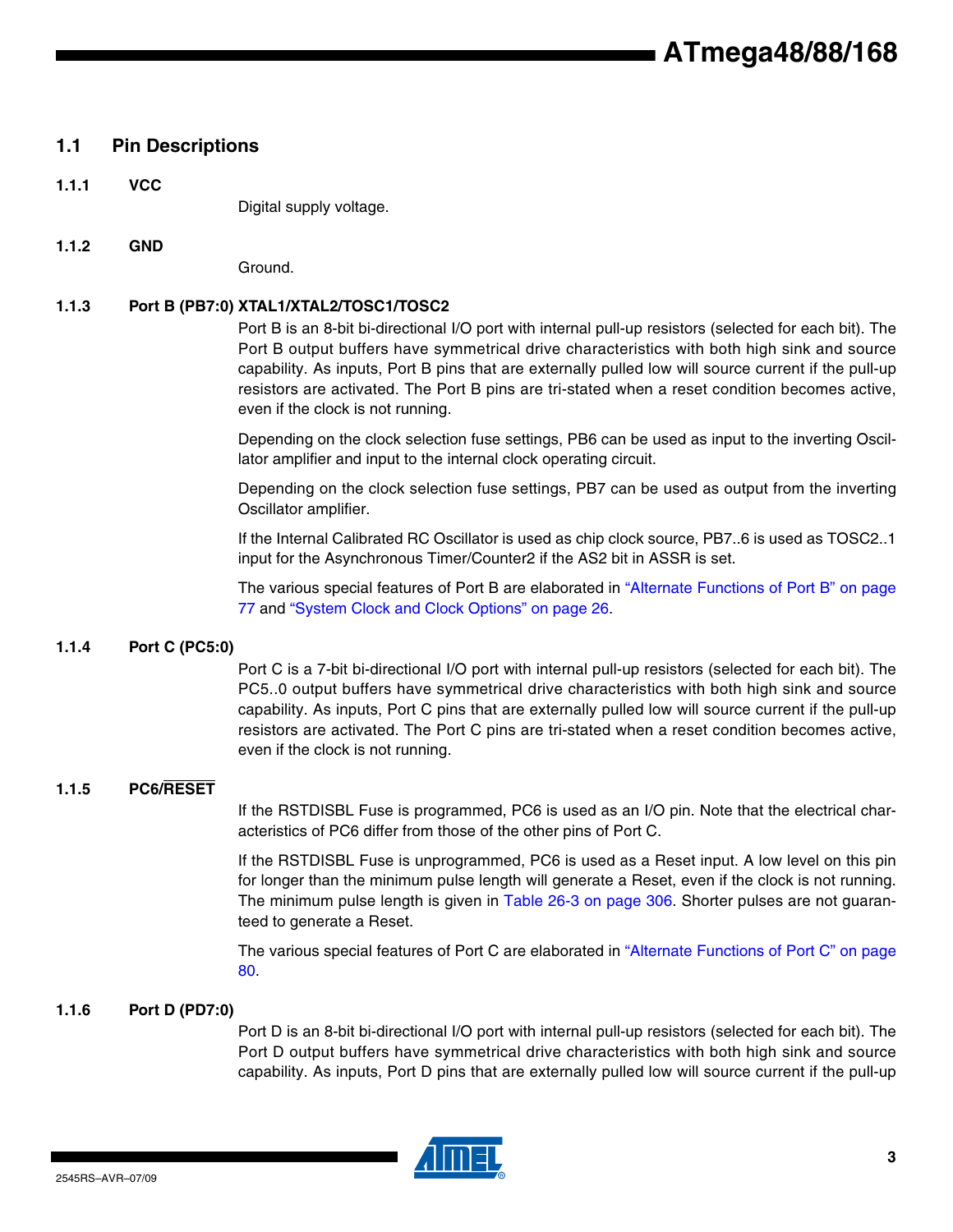## **1.1 Pin Descriptions**

**1.1.1 VCC**

Digital supply voltage.

**1.1.2 GND**

Ground.

## **1.1.3 Port B (PB7:0) XTAL1/XTAL2/TOSC1/TOSC2**

Port B is an 8-bit bi-directional I/O port with internal pull-up resistors (selected for each bit). The Port B output buffers have symmetrical drive characteristics with both high sink and source capability. As inputs, Port B pins that are externally pulled low will source current if the pull-up resistors are activated. The Port B pins are tri-stated when a reset condition becomes active, even if the clock is not running.

Depending on the clock selection fuse settings, PB6 can be used as input to the inverting Oscillator amplifier and input to the internal clock operating circuit.

Depending on the clock selection fuse settings, PB7 can be used as output from the inverting Oscillator amplifier.

If the Internal Calibrated RC Oscillator is used as chip clock source, PB7..6 is used as TOSC2..1 input for the Asynchronous Timer/Counter2 if the AS2 bit in ASSR is set.

The various special features of Port B are elaborated in "Alternate Functions of Port B" on page 77 and "System Clock and Clock Options" on page 26.

### **1.1.4 Port C (PC5:0)**

Port C is a 7-bit bi-directional I/O port with internal pull-up resistors (selected for each bit). The PC5..0 output buffers have symmetrical drive characteristics with both high sink and source capability. As inputs, Port C pins that are externally pulled low will source current if the pull-up resistors are activated. The Port C pins are tri-stated when a reset condition becomes active, even if the clock is not running.

### **1.1.5 PC6/RESET**

If the RSTDISBL Fuse is programmed, PC6 is used as an I/O pin. Note that the electrical characteristics of PC6 differ from those of the other pins of Port C.

If the RSTDISBL Fuse is unprogrammed, PC6 is used as a Reset input. A low level on this pin for longer than the minimum pulse length will generate a Reset, even if the clock is not running. The minimum pulse length is given in Table 26-3 on page 306. Shorter pulses are not guaranteed to generate a Reset.

The various special features of Port C are elaborated in "Alternate Functions of Port C" on page 80.

#### **1.1.6 Port D (PD7:0)**

Port D is an 8-bit bi-directional I/O port with internal pull-up resistors (selected for each bit). The Port D output buffers have symmetrical drive characteristics with both high sink and source capability. As inputs, Port D pins that are externally pulled low will source current if the pull-up

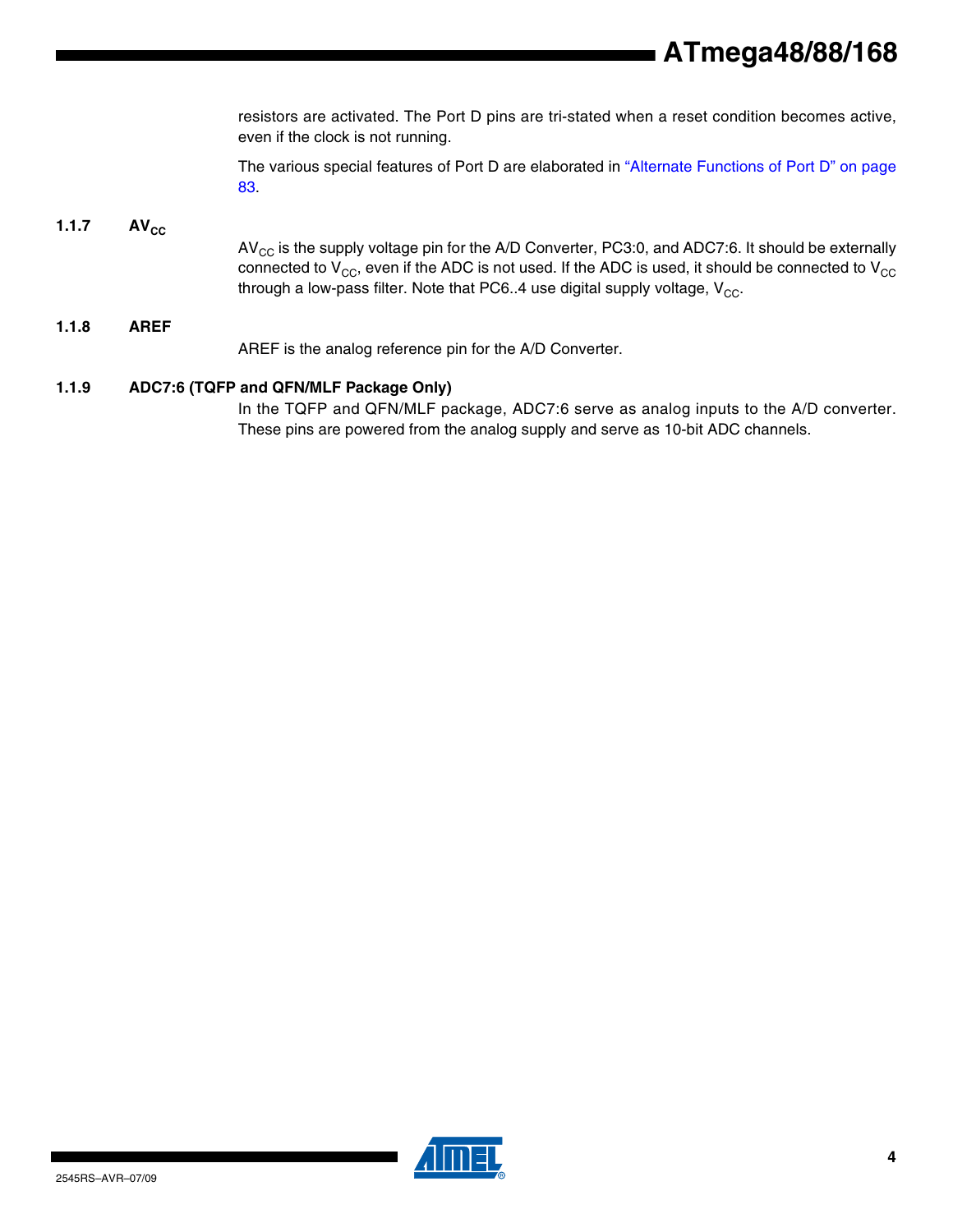resistors are activated. The Port D pins are tri-stated when a reset condition becomes active, even if the clock is not running.

The various special features of Port D are elaborated in "Alternate Functions of Port D" on page 83.

#### $1.1.7$   $AV_{CC}$

 $AV_{CC}$  is the supply voltage pin for the A/D Converter, PC3:0, and ADC7:6. It should be externally connected to  $V_{CC}$ , even if the ADC is not used. If the ADC is used, it should be connected to  $V_{CC}$ through a low-pass filter. Note that PC6..4 use digital supply voltage,  $V_{CC}$ .

### **1.1.8 AREF** AREF is the analog reference pin for the A/D Converter.

#### **1.1.9 ADC7:6 (TQFP and QFN/MLF Package Only)**

In the TQFP and QFN/MLF package, ADC7:6 serve as analog inputs to the A/D converter. These pins are powered from the analog supply and serve as 10-bit ADC channels.

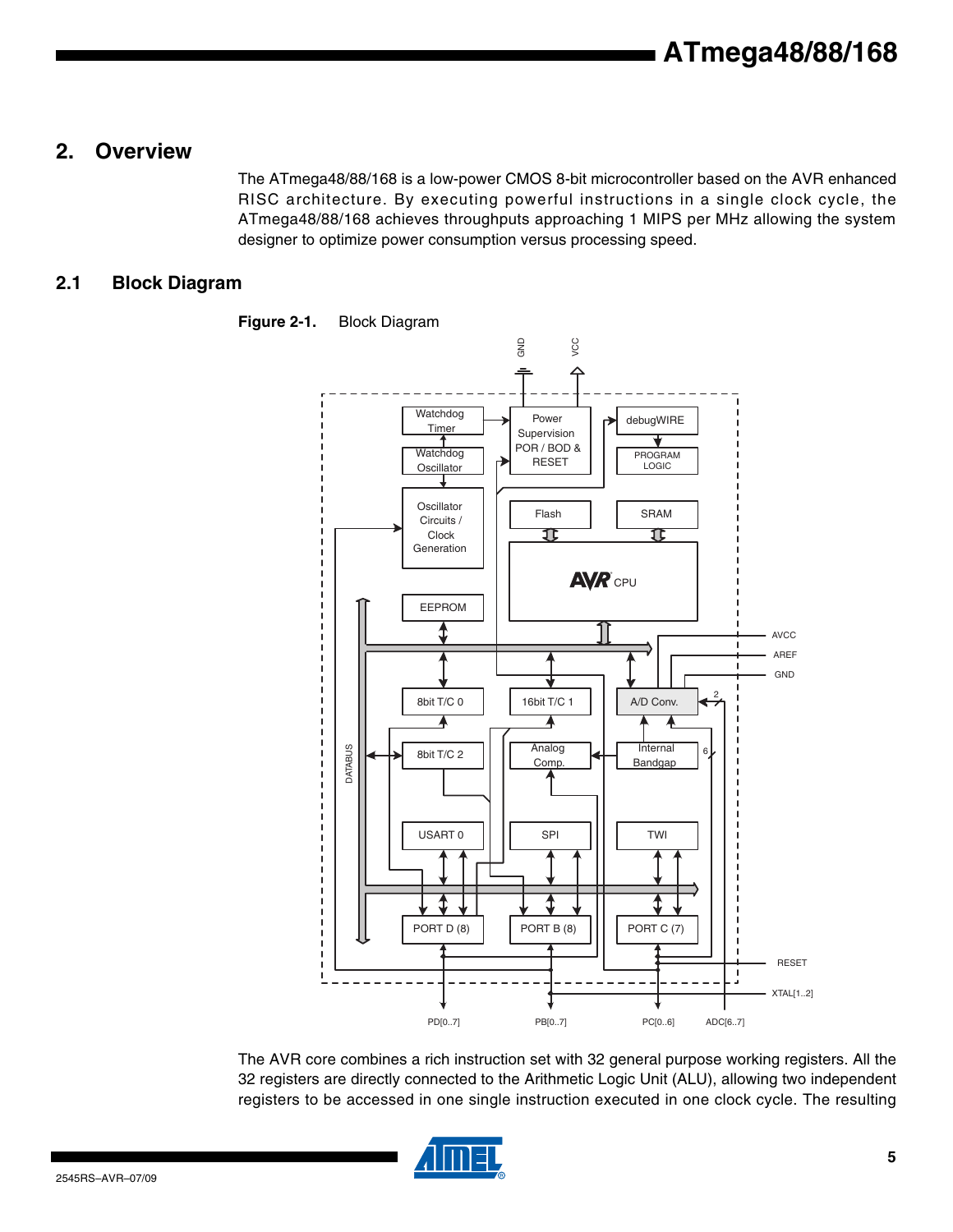## **2. Overview**

The ATmega48/88/168 is a low-power CMOS 8-bit microcontroller based on the AVR enhanced RISC architecture. By executing powerful instructions in a single clock cycle, the ATmega48/88/168 achieves throughputs approaching 1 MIPS per MHz allowing the system designer to optimize power consumption versus processing speed.

### **2.1 Block Diagram**



**Figure 2-1.** Block Diagram

The AVR core combines a rich instruction set with 32 general purpose working registers. All the 32 registers are directly connected to the Arithmetic Logic Unit (ALU), allowing two independent registers to be accessed in one single instruction executed in one clock cycle. The resulting

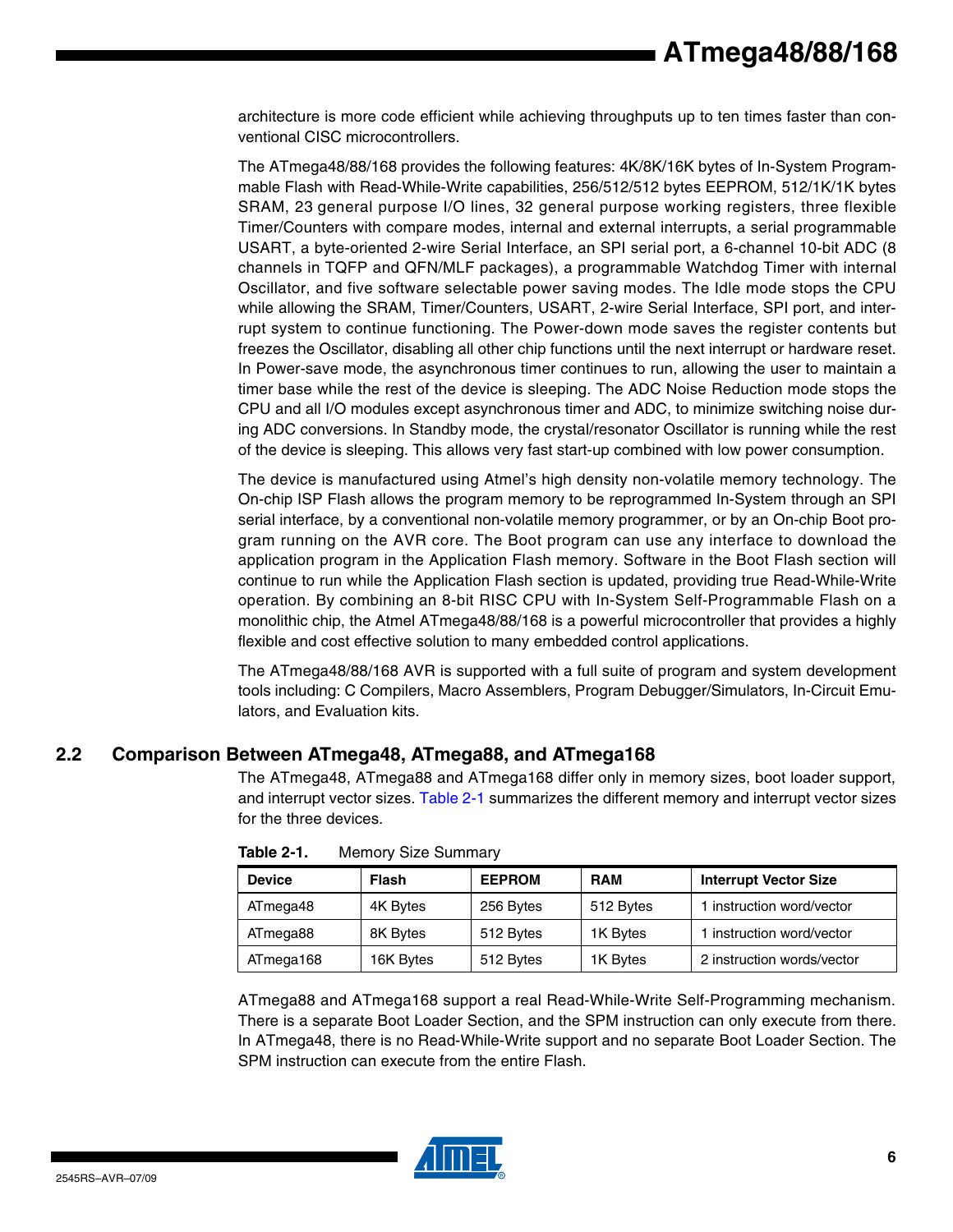architecture is more code efficient while achieving throughputs up to ten times faster than conventional CISC microcontrollers.

The ATmega48/88/168 provides the following features: 4K/8K/16K bytes of In-System Programmable Flash with Read-While-Write capabilities, 256/512/512 bytes EEPROM, 512/1K/1K bytes SRAM, 23 general purpose I/O lines, 32 general purpose working registers, three flexible Timer/Counters with compare modes, internal and external interrupts, a serial programmable USART, a byte-oriented 2-wire Serial Interface, an SPI serial port, a 6-channel 10-bit ADC (8 channels in TQFP and QFN/MLF packages), a programmable Watchdog Timer with internal Oscillator, and five software selectable power saving modes. The Idle mode stops the CPU while allowing the SRAM, Timer/Counters, USART, 2-wire Serial Interface, SPI port, and interrupt system to continue functioning. The Power-down mode saves the register contents but freezes the Oscillator, disabling all other chip functions until the next interrupt or hardware reset. In Power-save mode, the asynchronous timer continues to run, allowing the user to maintain a timer base while the rest of the device is sleeping. The ADC Noise Reduction mode stops the CPU and all I/O modules except asynchronous timer and ADC, to minimize switching noise during ADC conversions. In Standby mode, the crystal/resonator Oscillator is running while the rest of the device is sleeping. This allows very fast start-up combined with low power consumption.

The device is manufactured using Atmel's high density non-volatile memory technology. The On-chip ISP Flash allows the program memory to be reprogrammed In-System through an SPI serial interface, by a conventional non-volatile memory programmer, or by an On-chip Boot program running on the AVR core. The Boot program can use any interface to download the application program in the Application Flash memory. Software in the Boot Flash section will continue to run while the Application Flash section is updated, providing true Read-While-Write operation. By combining an 8-bit RISC CPU with In-System Self-Programmable Flash on a monolithic chip, the Atmel ATmega48/88/168 is a powerful microcontroller that provides a highly flexible and cost effective solution to many embedded control applications.

The ATmega48/88/168 AVR is supported with a full suite of program and system development tools including: C Compilers, Macro Assemblers, Program Debugger/Simulators, In-Circuit Emulators, and Evaluation kits.

### **2.2 Comparison Between ATmega48, ATmega88, and ATmega168**

The ATmega48, ATmega88 and ATmega168 differ only in memory sizes, boot loader support, and interrupt vector sizes. Table 2-1 summarizes the different memory and interrupt vector sizes for the three devices.

| <b>Device</b> | Flash     | <b>EEPROM</b> | <b>RAM</b> | <b>Interrupt Vector Size</b> |
|---------------|-----------|---------------|------------|------------------------------|
| ATmega48      | 4K Bytes  | 256 Bytes     | 512 Bytes  | 1 instruction word/vector    |
| ATmega88      | 8K Bytes  | 512 Bytes     | 1K Bytes   | 1 instruction word/vector    |
| ATmega168     | 16K Bytes | 512 Bytes     | 1K Bytes   | 2 instruction words/vector   |

| Table 2-1. | <b>Memory Size Summary</b> |  |
|------------|----------------------------|--|
|------------|----------------------------|--|

ATmega88 and ATmega168 support a real Read-While-Write Self-Programming mechanism. There is a separate Boot Loader Section, and the SPM instruction can only execute from there. In ATmega48, there is no Read-While-Write support and no separate Boot Loader Section. The SPM instruction can execute from the entire Flash.

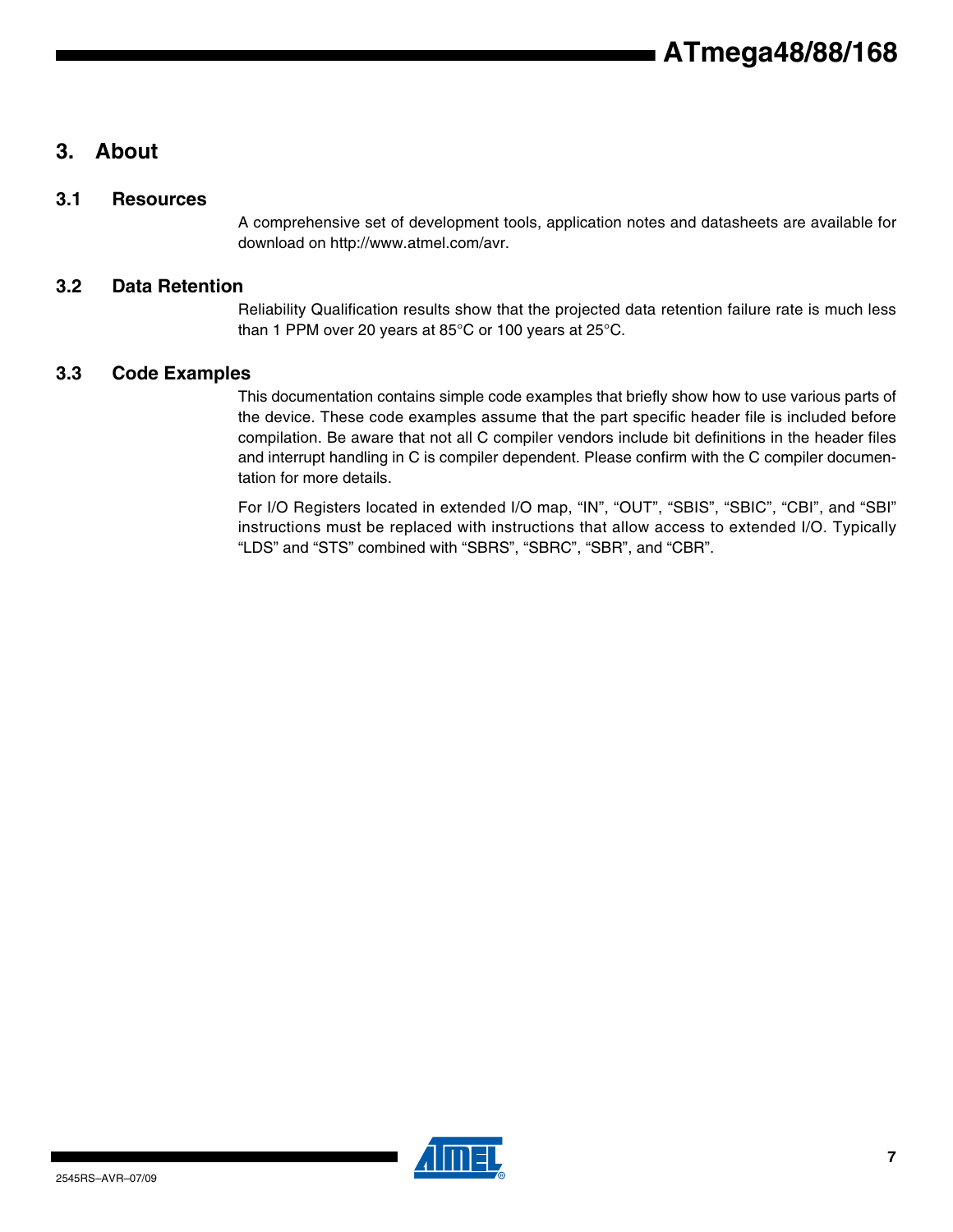## **3. About**

### **3.1 Resources**

A comprehensive set of development tools, application notes and datasheets are available for download on http://www.atmel.com/avr.

### **3.2 Data Retention**

Reliability Qualification results show that the projected data retention failure rate is much less than 1 PPM over 20 years at 85°C or 100 years at 25°C.

### **3.3 Code Examples**

This documentation contains simple code examples that briefly show how to use various parts of the device. These code examples assume that the part specific header file is included before compilation. Be aware that not all C compiler vendors include bit definitions in the header files and interrupt handling in C is compiler dependent. Please confirm with the C compiler documentation for more details.

For I/O Registers located in extended I/O map, "IN", "OUT", "SBIS", "SBIC", "CBI", and "SBI" instructions must be replaced with instructions that allow access to extended I/O. Typically "LDS" and "STS" combined with "SBRS", "SBRC", "SBR", and "CBR".

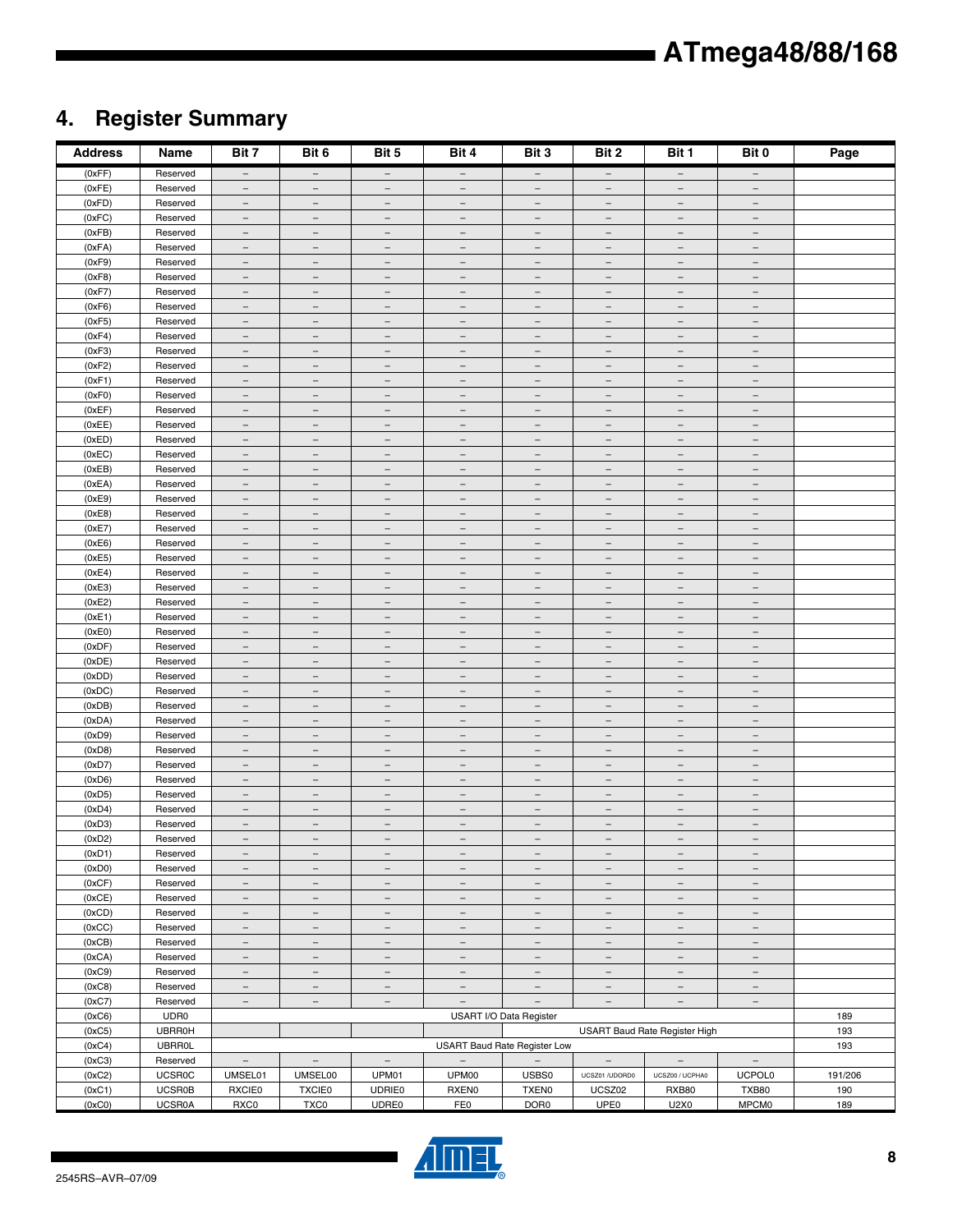## **4. Register Summary**

| <b>Address</b>   | Name                 | Bit 7                                                | Bit 6                                                | Bit 5                                                | Bit 4                                                | Bit 3                                                | Bit 2                                                | Bit 1                                                | Bit 0                                                | Page    |
|------------------|----------------------|------------------------------------------------------|------------------------------------------------------|------------------------------------------------------|------------------------------------------------------|------------------------------------------------------|------------------------------------------------------|------------------------------------------------------|------------------------------------------------------|---------|
| (0xFF)           | Reserved             | $\overline{\phantom{m}}$                             | $\overline{\phantom{m}}$                             | $\overline{\phantom{m}}$                             | $\overline{\phantom{0}}$                             | $-$                                                  | $\overline{\phantom{a}}$                             | $-$                                                  | $\overline{\phantom{0}}$                             |         |
| (0xFE)           | Reserved             | $\overline{\phantom{m}}$                             | $\overline{\phantom{a}}$                             | $\qquad \qquad -$                                    | $\qquad \qquad -$                                    | $\overline{\phantom{m}}$                             | $\qquad \qquad -$                                    | $\overline{\phantom{m}}$                             | $\qquad \qquad -$                                    |         |
| (0xFD)           | Reserved             | $\overline{\phantom{m}}$                             | $\overline{\phantom{m}}$                             | $\overline{\phantom{m}}$                             | $\overline{\phantom{m}}$                             | $-$                                                  | $\overline{\phantom{m}}$                             | $\overline{\phantom{a}}$                             | $\overline{\phantom{m}}$                             |         |
| (0xFC)           | Reserved             | $\overline{\phantom{a}}$                             | $\qquad \qquad -$                                    | $\qquad \qquad -$                                    | $\overline{\phantom{0}}$                             | $\equiv$                                             | $\overline{\phantom{0}}$                             | $\overline{\phantom{m}}$                             | $\overline{\phantom{0}}$                             |         |
| (0xFB)           | Reserved             | $\overline{\phantom{a}}$                             | $\overline{\phantom{a}}$                             | $\overline{\phantom{a}}$                             | $\qquad \qquad -$                                    | $\overline{\phantom{m}}$                             | $\overline{\phantom{m}}$                             | $\overline{\phantom{m}}$                             | $\qquad \qquad -$                                    |         |
| (0xFA)           | Reserved             | $\overline{\phantom{m}}$                             | $\overline{\phantom{a}}$                             | $\overline{\phantom{m}}$                             | $\overline{\phantom{a}}$                             | $\overline{\phantom{m}}$                             | $\overline{\phantom{m}}$                             | $\overline{\phantom{m}}$                             | $\overline{\phantom{m}}$                             |         |
| (0xF9)<br>(0xF8) | Reserved<br>Reserved | $\overline{\phantom{a}}$<br>$\overline{\phantom{m}}$ | $\overline{\phantom{m}}$<br>$\overline{\phantom{m}}$ | $\qquad \qquad -$<br>$\overline{\phantom{m}}$        | $\qquad \qquad -$<br>$\overline{\phantom{m}}$        | $\overline{\phantom{m}}$<br>$\overline{\phantom{m}}$ | $\qquad \qquad -$<br>$\overline{\phantom{m}}$        | $\overline{\phantom{m}}$<br>$\overline{\phantom{m}}$ | $\qquad \qquad -$<br>$\overline{\phantom{m}}$        |         |
| (0xF7)           | Reserved             | $\overline{\phantom{m}}$                             | $\overline{\phantom{a}}$                             | $\overline{\phantom{m}}$                             | $\overline{\phantom{m}}$                             | $\overline{\phantom{m}}$                             | $\overline{\phantom{m}}$                             | $\overline{\phantom{m}}$                             | $\overline{\phantom{a}}$                             |         |
| (0xF6)           | Reserved             | $\equiv$                                             | $\equiv$                                             | $\overline{\phantom{a}}$                             | $\equiv$                                             | $\equiv$                                             | $\overline{\phantom{a}}$                             | $\equiv$                                             | $\overline{\phantom{0}}$                             |         |
| (0xF5)           | Reserved             | $\overline{\phantom{a}}$                             | $\overline{\phantom{0}}$                             | $\overline{\phantom{0}}$                             | $\overline{\phantom{m}}$                             | $\overline{\phantom{a}}$                             | $\overline{\phantom{0}}$                             | $\overline{\phantom{m}}$                             | $\overline{\phantom{0}}$                             |         |
| (0xF4)           | Reserved             | $\overline{\phantom{a}}$                             | $\overline{\phantom{a}}$                             | $\overline{\phantom{m}}$                             | $\overline{\phantom{a}}$                             | $\overline{\phantom{m}}$                             | $\overline{\phantom{m}}$                             | $\overline{\phantom{m}}$                             | $\overline{\phantom{m}}$                             |         |
| (0xF3)           | Reserved             | $\overline{\phantom{a}}$                             | $\overline{\phantom{m}}$                             | $\overline{\phantom{a}}$                             | $\overline{\phantom{m}}$                             | $\overline{\phantom{a}}$                             | $\overline{\phantom{a}}$                             | $\overline{\phantom{a}}$                             | $\overline{\phantom{m}}$                             |         |
| (0xF2)           | Reserved             | $\overline{\phantom{m}}$                             | $\overline{\phantom{a}}$                             | $\qquad \qquad -$                                    | $\qquad \qquad -$                                    | $\overline{\phantom{m}}$                             | $\qquad \qquad -$                                    | $\qquad \qquad -$                                    | $\qquad \qquad -$                                    |         |
| (0xF1)           | Reserved             | $\overline{\phantom{m}}$                             | $\overline{\phantom{m}}$                             | $\overline{\phantom{m}}$                             | $\overline{\phantom{m}}$                             | $-$                                                  | $\overline{\phantom{m}}$                             | $\overline{\phantom{m}}$                             | $-$                                                  |         |
| (0xF0)           | Reserved             | $\overline{\phantom{a}}$                             | $\overline{\phantom{0}}$                             | $\qquad \qquad -$                                    | $\overline{\phantom{0}}$                             | $\qquad \qquad -$                                    | $\overline{\phantom{0}}$                             | $\qquad \qquad -$                                    | $\overline{\phantom{0}}$                             |         |
| (0xEF)           | Reserved             | $\equiv$                                             | $\overline{\phantom{a}}$                             | $\overline{\phantom{a}}$                             | $\equiv$                                             | $\equiv$                                             | $\qquad \qquad -$                                    | $\overline{\phantom{a}}$                             | $\equiv$                                             |         |
| (0xEE)           | Reserved             | $\overline{\phantom{a}}$                             | $\overline{\phantom{a}}$                             | $\overline{\phantom{m}}$                             | $\overline{\phantom{a}}$                             | $\overline{\phantom{m}}$                             | $\overline{\phantom{m}}$                             | $\overline{\phantom{m}}$                             | $\overline{\phantom{m}}$                             |         |
| (0xED)           | Reserved             | $\overline{\phantom{m}}$                             | $\overline{\phantom{m}}$                             | $\qquad \qquad -$                                    | $\qquad \qquad -$                                    | $\overline{\phantom{m}}$                             | $\overline{\phantom{m}}$                             | $\overline{\phantom{m}}$                             | $\qquad \qquad -$                                    |         |
| (0xEC)<br>(0xEB) | Reserved<br>Reserved | $\overline{\phantom{m}}$<br>$\overline{\phantom{m}}$ | $\overline{\phantom{m}}$<br>$\overline{\phantom{a}}$ | $\overline{\phantom{m}}$<br>$\overline{\phantom{m}}$ | $\overline{\phantom{a}}$<br>$\overline{\phantom{m}}$ | $\overline{\phantom{m}}$<br>$\overline{\phantom{m}}$ | $\overline{\phantom{m}}$<br>$\overline{\phantom{m}}$ | $\overline{\phantom{m}}$<br>$\overline{\phantom{m}}$ | $\overline{\phantom{m}}$<br>$\overline{\phantom{m}}$ |         |
| (0xEA)           | Reserved             | $\equiv$                                             | $\overline{\phantom{a}}$                             | $\overline{\phantom{a}}$                             | $\equiv$                                             | $\overline{\phantom{a}}$                             | $\overline{\phantom{a}}$                             | $\overline{\phantom{a}}$                             | $\overline{\phantom{a}}$                             |         |
| (0xE9)           | Reserved             | $\overline{\phantom{m}}$                             | $\overline{\phantom{a}}$                             | $\overline{\phantom{0}}$                             | $\overline{\phantom{m}}$                             | $\equiv$                                             | $\overline{\phantom{m}}$                             | $\overline{\phantom{m}}$                             | $\overline{\phantom{m}}$                             |         |
| (0xE8)           | Reserved             | $\overline{\phantom{m}}$                             | $\equiv$                                             | $\overline{\phantom{m}}$                             | $\equiv$                                             | $\equiv$                                             | $\overline{\phantom{m}}$                             | $\equiv$                                             | $\overline{\phantom{a}}$                             |         |
| (0xE7)           | Reserved             | $\overline{\phantom{m}}$                             | $\overline{\phantom{m}}$                             | $\overline{\phantom{a}}$                             | $\overline{\phantom{m}}$                             | $\overline{\phantom{m}}$                             | $\overline{\phantom{a}}$                             | $\overline{\phantom{a}}$                             | $\overline{\phantom{m}}$                             |         |
| (0xE6)           | Reserved             | $\overline{\phantom{m}}$                             | $\overline{\phantom{a}}$                             | $\qquad \qquad -$                                    | $\qquad \qquad -$                                    | $\overline{\phantom{m}}$                             | $\qquad \qquad -$                                    | $\qquad \qquad -$                                    | $\qquad \qquad -$                                    |         |
| (0xE5)           | Reserved             | $\overline{\phantom{m}}$                             | $\overline{\phantom{m}}$                             | $\overline{\phantom{m}}$                             | $\overline{\phantom{m}}$                             | $\overline{\phantom{m}}$                             | $\overline{\phantom{m}}$                             | $\overline{\phantom{a}}$                             | $\overline{\phantom{m}}$                             |         |
| (0xE4)           | Reserved             | $\overline{\phantom{m}}$                             | $\overline{\phantom{0}}$                             | $\overline{\phantom{0}}$                             |                                                      | $\qquad \qquad -$                                    | $\overline{\phantom{0}}$                             | $\qquad \qquad -$                                    |                                                      |         |
| (0xE3)           | Reserved             | $\equiv$                                             | $\overline{\phantom{a}}$                             | $\overline{\phantom{a}}$                             | $\overline{\phantom{0}}$                             | $\overline{\phantom{a}}$                             | $\overline{\phantom{a}}$                             | $\equiv$                                             | $\qquad \qquad -$                                    |         |
| (0xE2)           | Reserved             | $\overline{\phantom{m}}$                             | $\overline{\phantom{m}}$                             | $\overline{\phantom{a}}$                             | $\overline{\phantom{m}}$                             | $\overline{\phantom{m}}$                             | $\overline{\phantom{m}}$                             | $\overline{\phantom{m}}$                             | $\overline{\phantom{m}}$                             |         |
| (0xE1)           | Reserved             | $\overline{\phantom{a}}$                             | $\overline{\phantom{m}}$                             | $\qquad \qquad -$                                    | $\qquad \qquad -$                                    | $\overline{\phantom{m}}$                             | $\qquad \qquad -$                                    | $\qquad \qquad -$                                    | $\qquad \qquad -$                                    |         |
| (0xE0)           | Reserved             | $\overline{\phantom{m}}$                             | $\overline{\phantom{a}}$                             | $\overline{\phantom{a}}$                             | $\overline{\phantom{a}}$                             | $\overline{\phantom{m}}$                             | $\overline{\phantom{m}}$                             | $\overline{\phantom{m}}$                             | $\overline{\phantom{a}}$                             |         |
| (0xDF)           | Reserved             | $\overline{\phantom{a}}$                             | $\overline{\phantom{m}}$                             | $\overline{\phantom{m}}$                             | $\overline{\phantom{m}}$                             | $\overline{\phantom{m}}$                             | $\overline{\phantom{m}}$                             | $\overline{\phantom{m}}$                             | $\overline{\phantom{m}}$                             |         |
| (0xDE)           | Reserved             | $\equiv$                                             | $\overline{\phantom{m}}$                             | $\overline{\phantom{a}}$                             | $\equiv$                                             | $\overline{\phantom{a}}$                             | $\overline{\phantom{a}}$                             | $\overline{\phantom{a}}$                             | $\overline{\phantom{a}}$                             |         |
| (0xDD)           | Reserved             | $\overline{\phantom{a}}$                             | $\overline{\phantom{m}}$                             | $\overline{\phantom{0}}$                             | $\overline{\phantom{m}}$                             | $\overline{\phantom{m}}$                             | $\overline{\phantom{0}}$                             | $\overline{\phantom{m}}$                             | $\equiv$                                             |         |
| (0xDC)           | Reserved             | $\overline{\phantom{m}}$                             | $\overline{\phantom{a}}$                             | $\overline{\phantom{a}}$                             | $\overline{\phantom{a}}$                             | $\overline{\phantom{m}}$                             | $\overline{\phantom{a}}$                             | $\overline{\phantom{m}}$                             | $\overline{\phantom{a}}$                             |         |
| (0xDB)<br>(0xDA) | Reserved<br>Reserved | $\overline{\phantom{a}}$<br>$\overline{\phantom{m}}$ | $\overline{\phantom{m}}$<br>$\overline{\phantom{a}}$ | $\overline{\phantom{a}}$<br>$\qquad \qquad -$        | $\overline{\phantom{m}}$<br>$\qquad \qquad -$        | $\overline{\phantom{a}}$<br>$\qquad \qquad -$        | $\overline{\phantom{a}}$<br>$\qquad \qquad -$        | $\overline{\phantom{m}}$<br>$\overline{\phantom{m}}$ | $\qquad \qquad -$<br>$\qquad \qquad -$               |         |
| (0xD9)           | Reserved             | $\overline{\phantom{m}}$                             | $\overline{\phantom{m}}$                             | $\overline{\phantom{m}}$                             | $\overline{\phantom{m}}$                             | $\overline{\phantom{m}}$                             | $\overline{\phantom{m}}$                             | $\overline{\phantom{a}}$                             | $\overline{\phantom{m}}$                             |         |
| (0xD8)           | Reserved             | $\overline{\phantom{a}}$                             | $\qquad \qquad -$                                    | $\qquad \qquad -$                                    | $\overline{\phantom{0}}$                             | $\overline{\phantom{a}}$                             | $\overline{\phantom{0}}$                             | $\qquad \qquad -$                                    | $\overline{\phantom{0}}$                             |         |
| (0xD7)           | Reserved             | $\equiv$                                             | $\overline{\phantom{a}}$                             | $\overline{\phantom{a}}$                             | $\equiv$                                             | $\equiv$                                             | $\overline{\phantom{m}}$                             | $\overline{\phantom{a}}$                             | $\equiv$                                             |         |
| (0xD6)           | Reserved             | $\overline{\phantom{a}}$                             | $\overline{\phantom{a}}$                             | $\overline{\phantom{m}}$                             | $\overline{\phantom{a}}$                             | $\overline{\phantom{m}}$                             | $\overline{\phantom{m}}$                             | $\overline{\phantom{m}}$                             | $\overline{\phantom{a}}$                             |         |
| (0xD5)           | Reserved             | $\overline{\phantom{m}}$                             | $\overline{\phantom{m}}$                             | $\qquad \qquad -$                                    | $\qquad \qquad -$                                    | $\overline{\phantom{m}}$                             | $\qquad \qquad -$                                    | $\qquad \qquad -$                                    | $\overline{\phantom{m}}$                             |         |
| (0xD4)           | Reserved             | $\overline{\phantom{m}}$                             | $\overline{\phantom{m}}$                             | $\overline{\phantom{m}}$                             | $\overline{\phantom{m}}$                             | $\overline{\phantom{m}}$                             | $\overline{\phantom{m}}$                             | $\overline{\phantom{m}}$                             | $\overline{\phantom{m}}$                             |         |
| (0xD3)           | Reserved             | $\overline{\phantom{m}}$                             | $\overline{\phantom{a}}$                             | $\overline{\phantom{m}}$                             | $\overline{\phantom{m}}$                             | $\overline{\phantom{m}}$                             | $\overline{\phantom{m}}$                             | $\overline{\phantom{m}}$                             | $\overline{\phantom{m}}$                             |         |
| (0xD2)           | Reserved             |                                                      |                                                      |                                                      |                                                      |                                                      |                                                      |                                                      |                                                      |         |
| (0xD1)           | Reserved             | $\overline{\phantom{a}}$                             | $\overline{\phantom{a}}$                             | $\qquad \qquad -$                                    | $\overline{\phantom{0}}$                             | $\overline{\phantom{a}}$                             | $\overline{\phantom{0}}$                             | $\overline{\phantom{m}}$                             | $\overline{\phantom{m}}$                             |         |
| (0xD0)           | Reserved             | $\overline{\phantom{a}}$                             | $\overline{\phantom{m}}$                             | $\overline{\phantom{a}}$                             | $\overline{\phantom{m}}$                             | $\overline{\phantom{a}}$                             | $\overline{\phantom{a}}$                             | $\overline{\phantom{a}}$                             | $\overline{\phantom{a}}$                             |         |
| (0xCF)           | Reserved             | $\overline{\phantom{a}}$                             | $\overline{\phantom{a}}$                             | $\overline{\phantom{a}}$                             | $\qquad \qquad -$                                    | $\overline{\phantom{a}}$                             | $\overline{\phantom{a}}$                             | $\overline{\phantom{a}}$                             | $\overline{\phantom{a}}$                             |         |
| (0xCE)           | Reserved             | $\overline{\phantom{a}}$                             | $\overline{\phantom{m}}$                             | $\qquad \qquad -$                                    | $\overline{\phantom{m}}$                             | $\overline{\phantom{a}}$                             | $\overline{\phantom{m}}$                             | $\overline{\phantom{m}}$                             | $\qquad \qquad -$                                    |         |
| (0xCD)           | Reserved             | $-$                                                  | $\overline{\phantom{m}}$                             | $\overline{\phantom{m}}$                             | $-$                                                  | $\overline{\phantom{a}}$                             | $-$                                                  | $\overline{\phantom{m}}$                             | $-$                                                  |         |
| (0xCC)<br>(0xCB) | Reserved<br>Reserved | $\overline{\phantom{a}}$<br>$\equiv$                 | $\overline{\phantom{a}}$<br>$\equiv$                 | $\overline{\phantom{a}}$<br>$\equiv$                 | $\qquad \qquad -$<br>$\overline{\phantom{0}}$        | $\overline{\phantom{a}}$<br>$\equiv$                 | $\qquad \qquad -$<br>$\qquad \qquad -$               | $\overline{\phantom{a}}$<br>$\equiv$                 | $\overline{\phantom{a}}$<br>$\equiv$                 |         |
| (0xCA)           | Reserved             | $\overline{\phantom{a}}$                             | $\overline{\phantom{a}}$                             | $\overline{\phantom{a}}$                             | $\overline{\phantom{m}}$                             | $\overline{\phantom{a}}$                             | $\overline{\phantom{a}}$                             | $\overline{\phantom{m}}$                             | $\overline{\phantom{m}}$                             |         |
| (0xC9)           | Reserved             | $\overline{\phantom{a}}$                             | $\overline{\phantom{m}}$                             | $\overline{\phantom{a}}$                             | $\overline{\phantom{m}}$                             | $\overline{\phantom{a}}$                             | $\qquad \qquad -$                                    | $\overline{\phantom{m}}$                             | $\overline{\phantom{m}}$                             |         |
| (0xC8)           | Reserved             | $\overline{\phantom{a}}$                             | $\overline{\phantom{a}}$                             | $\overline{\phantom{m}}$                             | $\overline{\phantom{a}}$                             | $\overline{\phantom{a}}$                             | $\overline{\phantom{a}}$                             | $\overline{\phantom{a}}$                             | $-$                                                  |         |
| (0xC7)           | Reserved             | $\overline{\phantom{a}}$                             | $\overline{\phantom{m}}$                             | $\overline{\phantom{a}}$                             | $-$                                                  | $\overline{\phantom{m}}$                             | $\overline{\phantom{m}}$                             | $\overline{\phantom{m}}$                             | $\overline{\phantom{m}}$                             |         |
| (0xC6)           | UDR0                 |                                                      |                                                      |                                                      |                                                      | USART I/O Data Register                              |                                                      |                                                      |                                                      | 189     |
| (0xC5)           | <b>UBRR0H</b>        |                                                      |                                                      |                                                      |                                                      |                                                      |                                                      | USART Baud Rate Register High                        |                                                      | 193     |
| (0xC4)           | <b>UBRR0L</b>        |                                                      |                                                      |                                                      |                                                      | USART Baud Rate Register Low                         |                                                      |                                                      |                                                      | 193     |
| (0xC3)           | Reserved             | $\overline{\phantom{a}}$                             | $\qquad \qquad -$                                    | $\overline{\phantom{a}}$                             |                                                      |                                                      | $\overline{\phantom{a}}$                             | $\overline{\phantom{a}}$                             | $\overline{\phantom{a}}$                             |         |
| (0xC2)           | <b>UCSR0C</b>        | UMSEL01                                              | UMSEL00                                              | UPM01                                                | UPM00                                                | USBS0                                                | UCSZ01 /UDORD0                                       | UCSZ00 / UCPHA0                                      | <b>UCPOL0</b>                                        | 191/206 |
| (0xC1)           | <b>UCSR0B</b>        | <b>RXCIE0</b>                                        | <b>TXCIE0</b>                                        | <b>UDRIE0</b>                                        | <b>RXENO</b>                                         | <b>TXEN0</b>                                         | UCSZ02                                               | RXB80                                                | TXB80                                                | 190     |
| (0xC0)           | <b>UCSR0A</b>        | RXC <sub>0</sub>                                     | <b>TXC0</b>                                          | UDRE0                                                | FE0                                                  | DOR <sub>0</sub>                                     | UPE <sub>0</sub>                                     | U2X0                                                 | <b>MPCM0</b>                                         | 189     |

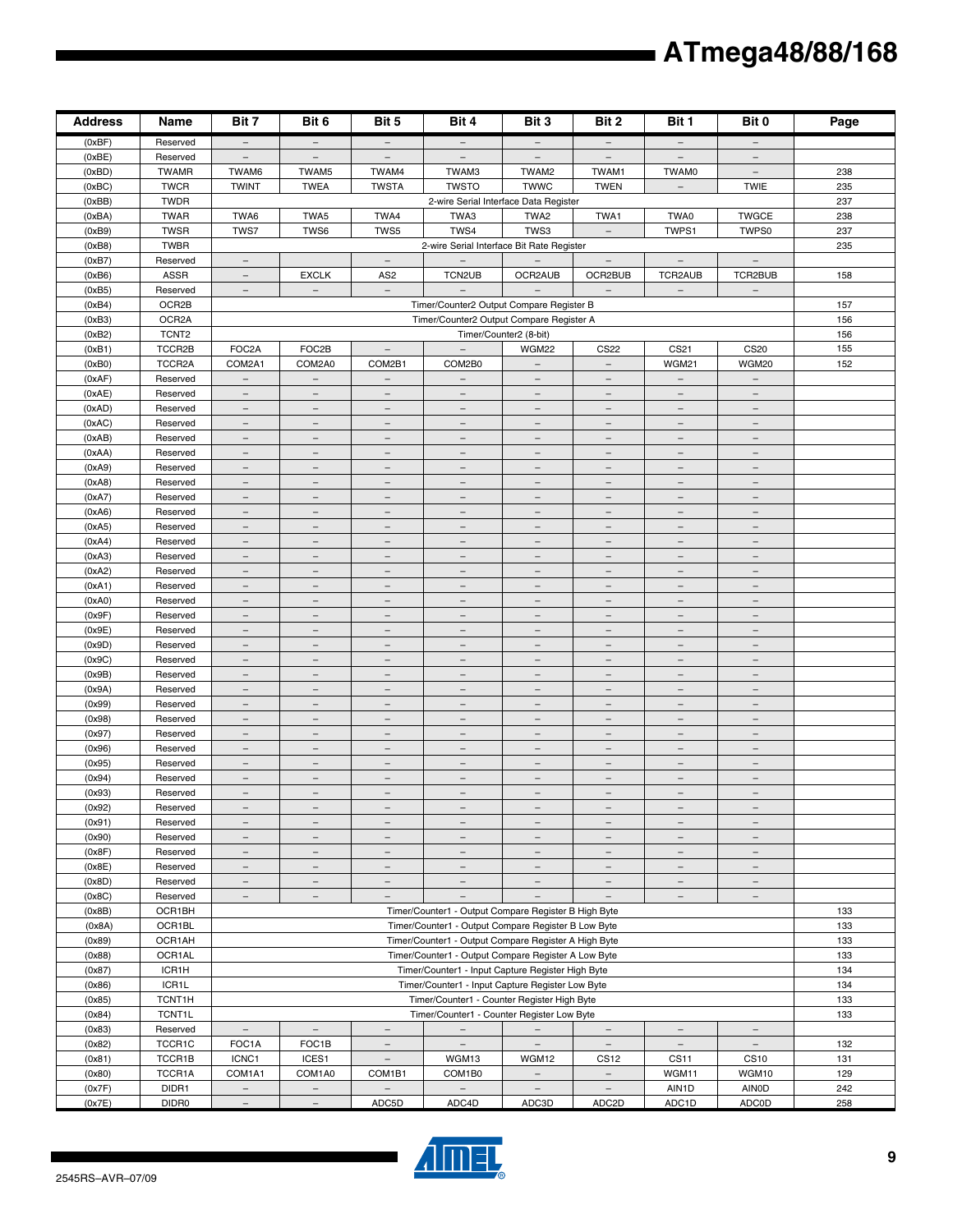| <b>Address</b>   | Name                 | Bit 7                                                | Bit 6                                                | Bit 5                                                | Bit 4                                                                                     | Bit 3                                                | Bit 2                                                | Bit 1                                         | Bit 0                    | Page       |
|------------------|----------------------|------------------------------------------------------|------------------------------------------------------|------------------------------------------------------|-------------------------------------------------------------------------------------------|------------------------------------------------------|------------------------------------------------------|-----------------------------------------------|--------------------------|------------|
| (0xBF)           | Reserved             | $\overline{\phantom{m}}$                             | $\overline{\phantom{a}}$                             | $\overline{\phantom{m}}$                             | $\overline{\phantom{m}}$                                                                  | $\qquad \qquad -$                                    | $\overline{\phantom{m}}$                             | $\overline{\phantom{m}}$                      | $\overline{\phantom{m}}$ |            |
| (0xBE)           | Reserved             | $\overline{\phantom{a}}$                             | $\overline{\phantom{a}}$                             | $\qquad \qquad -$                                    | $\qquad \qquad -$                                                                         | $\overline{\phantom{m}}$                             | $\overline{\phantom{a}}$                             | $\qquad \qquad -$                             |                          |            |
| (0xBD)           | <b>TWAMR</b>         | TWAM6                                                | TWAM5                                                | TWAM4                                                | TWAM3                                                                                     | TWAM2                                                | TWAM1                                                | TWAM0                                         | $\overline{\phantom{a}}$ | 238        |
| (0xBC)           | <b>TWCR</b>          | <b>TWINT</b>                                         | <b>TWEA</b>                                          | <b>TWSTA</b>                                         | <b>TWSTO</b>                                                                              | <b>TWWC</b>                                          | <b>TWEN</b>                                          | $\overline{\phantom{m}}$                      | <b>TWIE</b>              | 235        |
| (0xBB)           | <b>TWDR</b>          |                                                      |                                                      |                                                      | 2-wire Serial Interface Data Register                                                     |                                                      |                                                      |                                               |                          | 237        |
| (0xBA)           | <b>TWAR</b>          | TWA6                                                 | TWA5                                                 | TWA4                                                 | TWA3                                                                                      | TWA2                                                 | TWA1                                                 | TWA0                                          | <b>TWGCE</b>             | 238        |
| (0xB9)           | <b>TWSR</b>          | TWS7                                                 | TWS6                                                 | TWS5                                                 | TWS4                                                                                      | TWS3                                                 | $\overline{\phantom{a}}$                             | TWPS1                                         | TWPS0                    | 237        |
| (0xB8)           | <b>TWBR</b>          |                                                      |                                                      |                                                      | 2-wire Serial Interface Bit Rate Register                                                 |                                                      |                                                      |                                               |                          | 235        |
| (0xB7)           | Reserved             | $\qquad \qquad -$                                    |                                                      | $\overline{\phantom{m}}$                             | $\overline{\phantom{a}}$                                                                  |                                                      |                                                      | $\overline{\phantom{a}}$                      | $\overline{\phantom{m}}$ |            |
| (0xB6)           | <b>ASSR</b>          | $\overline{\phantom{m}}$                             | <b>EXCLK</b>                                         | AS <sub>2</sub>                                      | TCN2UB                                                                                    | OCR2AUB                                              | OCR2BUB                                              | TCR2AUB                                       | TCR2BUB                  | 158        |
| (0xB5)           | Reserved             | $\overline{\phantom{m}}$                             | $\overline{\phantom{a}}$                             | $\overline{\phantom{a}}$                             | $\equiv$                                                                                  |                                                      | $\overline{\phantom{a}}$                             | $\overline{\phantom{a}}$                      | $\overline{\phantom{a}}$ |            |
| (0xB4)           | OCR2B                |                                                      |                                                      |                                                      | Timer/Counter2 Output Compare Register B                                                  |                                                      |                                                      |                                               |                          | 157        |
| (0xB3)           | OCR <sub>2</sub> A   |                                                      |                                                      |                                                      | Timer/Counter2 Output Compare Register A                                                  |                                                      |                                                      |                                               |                          | 156        |
| (0xB2)           | TCNT <sub>2</sub>    |                                                      |                                                      |                                                      |                                                                                           | Timer/Counter2 (8-bit)                               |                                                      |                                               |                          | 156        |
| (0xB1)           | TCCR2B               | FOC2A                                                | FOC2B                                                | $\overline{\phantom{m}}$                             | $\equiv$                                                                                  | <b>WGM22</b>                                         | <b>CS22</b>                                          | CS21                                          | <b>CS20</b>              | 155        |
| (0xB0)           | TCCR2A               | COM2A1                                               | COM2A0                                               | COM2B1                                               | COM2B0                                                                                    | $\overline{\phantom{m}}$                             | $\overline{\phantom{m}}$                             | WGM21                                         | WGM20                    | 152        |
| (0xAF)           | Reserved             | $\equiv$                                             | $\equiv$                                             | $\equiv$                                             | $\equiv$                                                                                  | $\equiv$                                             | $\equiv$                                             | $\equiv$                                      | $\equiv$                 |            |
| (0xAE)           | Reserved             | $\overline{\phantom{m}}$                             | $\overline{\phantom{0}}$                             | $\overline{\phantom{0}}$                             | $\overline{\phantom{m}}$                                                                  | $\overline{\phantom{m}}$                             | $\equiv$                                             | $\overline{\phantom{0}}$                      | $\overline{\phantom{a}}$ |            |
| (0xAD)           | Reserved             | $\overline{\phantom{a}}$                             | $\overline{\phantom{m}}$                             | $\qquad \qquad -$                                    | $\overline{\phantom{a}}$                                                                  | $\overline{\phantom{m}}$                             | $\overline{\phantom{a}}$                             | $\qquad \qquad -$                             | $\overline{\phantom{a}}$ |            |
| (0xAC)           | Reserved             | $\overline{\phantom{a}}$                             | $\overline{\phantom{a}}$                             | $\overline{\phantom{a}}$                             | $\overline{\phantom{a}}$                                                                  | $\overline{\phantom{a}}$                             | $\overline{\phantom{a}}$                             | $\qquad \qquad -$                             | $\overline{\phantom{a}}$ |            |
| (0xAB)           | Reserved             | $\qquad \qquad -$                                    | $\overline{\phantom{m}}$                             | $\overline{\phantom{0}}$                             | $\qquad \qquad -$                                                                         | $\qquad \qquad -$                                    | $\qquad \qquad -$                                    | $\qquad \qquad -$                             |                          |            |
| (0xAA)           | Reserved             | $\overline{\phantom{m}}$                             | $\overline{\phantom{a}}$                             | $\overline{\phantom{a}}$                             | $\overline{\phantom{m}}$                                                                  | $-$                                                  | $\overline{\phantom{m}}$                             | $\overline{\phantom{m}}$                      | $\overline{\phantom{m}}$ |            |
| (0xA9)           | Reserved             | $\overline{\phantom{0}}$<br>$\overline{\phantom{a}}$ | $\overline{\phantom{0}}$<br>$\overline{\phantom{a}}$ | $\overline{\phantom{0}}$<br>$\overline{\phantom{m}}$ | $\overline{\phantom{0}}$<br>$\equiv$                                                      | $\overline{\phantom{m}}$<br>$\equiv$                 | $\overline{\phantom{0}}$<br>$\overline{\phantom{m}}$ | $\overline{\phantom{0}}$<br>$\qquad \qquad -$ | $\equiv$                 |            |
| (0xA8)<br>(0xA7) | Reserved<br>Reserved | $\overline{\phantom{m}}$                             | $\overline{\phantom{a}}$                             | $\overline{\phantom{a}}$                             | $\overline{\phantom{a}}$                                                                  | $\overline{\phantom{a}}$                             | $\overline{\phantom{a}}$                             | $\overline{\phantom{a}}$                      | $\overline{\phantom{a}}$ |            |
|                  | Reserved             |                                                      |                                                      | $\overline{\phantom{0}}$                             | $\equiv$                                                                                  |                                                      | $\overline{\phantom{m}}$                             |                                               |                          |            |
| (0xA6)<br>(0xA5) | Reserved             | $\overline{\phantom{m}}$                             | $\overline{\phantom{m}}$<br>$\overline{\phantom{m}}$ | $\overline{\phantom{m}}$                             | $\overline{\phantom{m}}$                                                                  | $\overline{\phantom{m}}$                             | $\overline{\phantom{m}}$                             | $\qquad \qquad -$<br>$\overline{\phantom{m}}$ | $\overline{\phantom{m}}$ |            |
| (0xA4)           | Reserved             | $\overline{\phantom{m}}$<br>$\overline{\phantom{m}}$ | $\overline{\phantom{a}}$                             | $\overline{\phantom{m}}$                             | $\overline{\phantom{m}}$                                                                  | $\overline{\phantom{m}}$<br>$\overline{\phantom{a}}$ | $\overline{\phantom{m}}$                             | $\overline{\phantom{m}}$                      | $\qquad \qquad -$        |            |
| (0xA3)           | Reserved             | $\equiv$                                             | $\equiv$                                             | $\equiv$                                             | $\equiv$                                                                                  | $\equiv$                                             | $\overline{\phantom{a}}$                             | $\equiv$                                      | $\overline{\phantom{a}}$ |            |
| (0xA2)           | Reserved             | $\overline{\phantom{a}}$                             | $\overline{\phantom{a}}$                             | $\qquad \qquad -$                                    | $\overline{\phantom{m}}$                                                                  | $\overline{\phantom{m}}$                             | $\overline{\phantom{m}}$                             | $\overline{\phantom{0}}$                      | $\overline{\phantom{m}}$ |            |
| (0xA1)           | Reserved             | $\overline{\phantom{m}}$                             | $\overline{\phantom{a}}$                             | $\qquad \qquad -$                                    | $\equiv$                                                                                  | $\overline{\phantom{m}}$                             | $\equiv$                                             | $\qquad \qquad -$                             | $\equiv$                 |            |
| (0xA0)           | Reserved             | $\overline{\phantom{a}}$                             | $\overline{\phantom{a}}$                             | $\overline{\phantom{a}}$                             | $\overline{\phantom{m}}$                                                                  | $\overline{\phantom{a}}$                             | $\overline{\phantom{a}}$                             | $\overline{\phantom{a}}$                      | $\overline{\phantom{m}}$ |            |
| (0x9F)           | Reserved             | $\qquad \qquad -$                                    | $\overline{\phantom{m}}$                             | $\qquad \qquad -$                                    | $\qquad \qquad -$                                                                         | $\qquad \qquad -$                                    | $\overline{\phantom{m}}$                             | $\qquad \qquad -$                             |                          |            |
| (0x9E)           | Reserved             | $-$                                                  | $\overline{\phantom{m}}$                             | $\overline{\phantom{a}}$                             | $\overline{\phantom{m}}$                                                                  | $\overline{\phantom{m}}$                             | $\overline{\phantom{m}}$                             | $-$                                           | $\overline{\phantom{m}}$ |            |
| (0x9D)           | Reserved             | $\overline{\phantom{0}}$                             | $\overline{\phantom{0}}$                             | $\overline{\phantom{0}}$                             | $\overline{\phantom{0}}$                                                                  | $\overline{\phantom{0}}$                             | $\overline{\phantom{0}}$                             | $\qquad \qquad -$                             |                          |            |
| (0x9C)           | Reserved             | $\equiv$                                             | $\overline{\phantom{0}}$                             | $\equiv$                                             | $\equiv$                                                                                  | $\equiv$                                             | $\equiv$                                             | $\equiv$                                      | $\overline{\phantom{a}}$ |            |
| (0x9B)           | Reserved             | $\overline{\phantom{m}}$                             | $\overline{\phantom{m}}$                             | $\overline{\phantom{m}}$                             | $\overline{\phantom{a}}$                                                                  | $\overline{\phantom{m}}$                             | $\overline{\phantom{a}}$                             | $\overline{\phantom{m}}$                      | $\overline{\phantom{m}}$ |            |
| (0x9A)           | Reserved             | $\overline{\phantom{m}}$                             | $\overline{\phantom{m}}$                             |                                                      | $\qquad \qquad -$                                                                         | $\overline{\phantom{m}}$                             | $\overline{\phantom{m}}$                             | $\qquad \qquad -$                             |                          |            |
| (0x99)           | Reserved             | $\overline{\phantom{m}}$                             | $\overline{\phantom{a}}$                             | $\overline{\phantom{a}}$                             | $\overline{\phantom{m}}$                                                                  | $\overline{\phantom{0}}$                             | $\overline{\phantom{m}}$                             | $\equiv$                                      | $\overline{\phantom{m}}$ |            |
| (0x98)           | Reserved             | $\overline{\phantom{a}}$                             | $\overline{\phantom{m}}$                             | $\overline{\phantom{m}}$                             | $\overline{\phantom{m}}$                                                                  | $\overline{\phantom{a}}$                             | $\overline{\phantom{a}}$                             | $\overline{\phantom{m}}$                      | $\overline{\phantom{a}}$ |            |
| (0x97)           | Reserved             | $\equiv$                                             | $\overline{\phantom{a}}$                             | $\overline{\phantom{a}}$                             | $\equiv$                                                                                  | $\equiv$                                             | $\overline{\phantom{a}}$                             | $\overline{\phantom{a}}$                      | $\overline{\phantom{a}}$ |            |
| (0x96)           | Reserved             | $\overline{\phantom{m}}$                             | $\overline{\phantom{m}}$                             | $\overline{\phantom{0}}$                             | $\overline{\phantom{m}}$                                                                  | $\overline{\phantom{m}}$                             | $\overline{\phantom{m}}$                             | $\overline{\phantom{0}}$                      | $\overline{\phantom{0}}$ |            |
| (0x95)           | Reserved             | $\overline{\phantom{a}}$                             | $\overline{\phantom{a}}$                             | $\equiv$                                             | $\equiv$                                                                                  | $\overline{\phantom{a}}$                             | $\overline{\phantom{a}}$                             | $\qquad \qquad -$                             | $\overline{\phantom{a}}$ |            |
| (0x94)           | Reserved             | $\overline{\phantom{a}}$                             | $\overline{\phantom{a}}$                             | $\overline{\phantom{a}}$                             | $\overline{\phantom{m}}$                                                                  | $\overline{\phantom{a}}$                             | $\overline{\phantom{a}}$                             | $\overline{\phantom{a}}$                      | $\overline{\phantom{m}}$ |            |
| (0x93)           | Reserved             | $\qquad \qquad -$                                    | $\overline{\phantom{m}}$                             | $\overline{\phantom{0}}$                             | $\qquad \qquad -$                                                                         | $\qquad \qquad -$                                    | $\overline{\phantom{m}}$                             | $\qquad \qquad -$                             | -                        |            |
| (0x92)           | Reserved             | $\overline{\phantom{m}}$                             | $\qquad \qquad -$                                    | -                                                    | $\qquad \qquad -$                                                                         | $\qquad \qquad -$                                    | $\qquad \qquad -$                                    | $\qquad \qquad -$                             | $\qquad \qquad -$        |            |
| (0x91)           | Reserved             | $\overline{\phantom{a}}$                             | $\overline{\phantom{a}}$                             | $\overline{\phantom{0}}$                             | $\overline{\phantom{m}}$                                                                  | $\equiv$                                             | $\qquad \qquad -$                                    | $\overline{\phantom{a}}$                      | $\overline{\phantom{0}}$ |            |
| (0x90)           | Reserved             | $\equiv$                                             | $\equiv$                                             | $\overline{\phantom{a}}$                             | $\equiv$                                                                                  | $\equiv$                                             | $\overline{\phantom{a}}$                             | $\qquad \qquad -$                             | $\equiv$                 |            |
| (0x8F)           | Reserved             | $\overline{\phantom{a}}$                             | $\overline{\phantom{a}}$                             | $\overline{\phantom{a}}$                             | $\overline{\phantom{m}}$                                                                  | $\overline{\phantom{a}}$                             | $\overline{\phantom{m}}$                             | $\overline{\phantom{a}}$                      | $\overline{\phantom{m}}$ |            |
| (0x8E)           | Reserved             | $\overline{\phantom{a}}$                             | $\overline{\phantom{a}}$                             | $\qquad \qquad -$                                    | $\overline{\phantom{m}}$                                                                  | $\overline{\phantom{a}}$                             | $\overline{\phantom{a}}$                             | $\overline{\phantom{a}}$                      | $\overline{\phantom{m}}$ |            |
| (0x8D)           | Reserved             | $\overline{\phantom{a}}$                             | $\overline{\phantom{a}}$                             | $-$                                                  | $-$                                                                                       | $ \,$                                                | $\overline{\phantom{m}}$                             | $-$                                           | $\overline{\phantom{m}}$ |            |
| (0x8C)           | Reserved             | $\overline{\phantom{m}}$                             | $\overline{\phantom{m}}$                             | $\overline{\phantom{a}}$                             | $\overline{\phantom{m}}$                                                                  | $\overline{\phantom{m}}$                             | $\overline{\phantom{a}}$                             | $\qquad \qquad -$                             | $\overline{\phantom{m}}$ |            |
| (0x8B)           | OCR1BH               |                                                      |                                                      |                                                      | Timer/Counter1 - Output Compare Register B High Byte                                      |                                                      |                                                      |                                               |                          | 133        |
| (0x8A)           | OCR1BL               |                                                      |                                                      |                                                      | Timer/Counter1 - Output Compare Register B Low Byte                                       |                                                      |                                                      |                                               |                          | 133        |
| (0x89)           | OCR1AH               |                                                      |                                                      |                                                      | Timer/Counter1 - Output Compare Register A High Byte                                      |                                                      |                                                      |                                               |                          | 133        |
| (0x88)           | OCR1AL               |                                                      |                                                      |                                                      | Timer/Counter1 - Output Compare Register A Low Byte                                       |                                                      |                                                      |                                               |                          | 133        |
| (0x87)           | ICR1H                |                                                      |                                                      |                                                      | Timer/Counter1 - Input Capture Register High Byte                                         |                                                      |                                                      |                                               |                          | 134        |
| (0x86)           | ICR1L                |                                                      |                                                      |                                                      | Timer/Counter1 - Input Capture Register Low Byte                                          |                                                      |                                                      |                                               |                          | 134        |
| (0x85)<br>(0x84) | TCNT1H<br>TCNT1L     |                                                      |                                                      |                                                      | Timer/Counter1 - Counter Register High Byte<br>Timer/Counter1 - Counter Register Low Byte |                                                      |                                                      |                                               |                          | 133<br>133 |
| (0x83)           | Reserved             | $\overline{\phantom{a}}$                             | $\overline{\phantom{a}}$                             | $\overline{\phantom{a}}$                             |                                                                                           |                                                      |                                                      |                                               | $\overline{\phantom{m}}$ |            |
| (0x82)           | TCCR1C               | FOC1A                                                | FOC1B                                                | $\overline{\phantom{a}}$                             | $\overline{\phantom{m}}$<br>$\overline{\phantom{m}}$                                      | $\overline{\phantom{a}}$<br>$\overline{\phantom{a}}$ | $\overline{\phantom{a}}$<br>$\overline{\phantom{a}}$ | $\qquad \qquad -$<br>$\overline{\phantom{a}}$ | $\overline{\phantom{m}}$ | 132        |
| (0x81)           | TCCR1B               | ICNC1                                                | ICES1                                                | $\overline{\phantom{a}}$                             | WGM13                                                                                     | WGM12                                                | <b>CS12</b>                                          | <b>CS11</b>                                   | <b>CS10</b>              | 131        |
| (0x80)           | TCCR1A               | COM1A1                                               | COM1A0                                               | COM1B1                                               | COM1B0                                                                                    | $\overline{\phantom{m}}$                             | $\overline{\phantom{m}}$                             | WGM11                                         | WGM10                    | 129        |
| (0x7F)           | DIDR1                | $\equiv$                                             | $\equiv$                                             | $\equiv$                                             | $\equiv$                                                                                  | $\equiv$                                             | $\equiv$                                             | AIN1D                                         | <b>AINOD</b>             | 242        |
| (0x7E)           | DIDR0                |                                                      |                                                      | ADC5D                                                | ADC4D                                                                                     | ADC3D                                                | ADC2D                                                | ADC <sub>1</sub> D                            | <b>ADC0D</b>             | 258        |

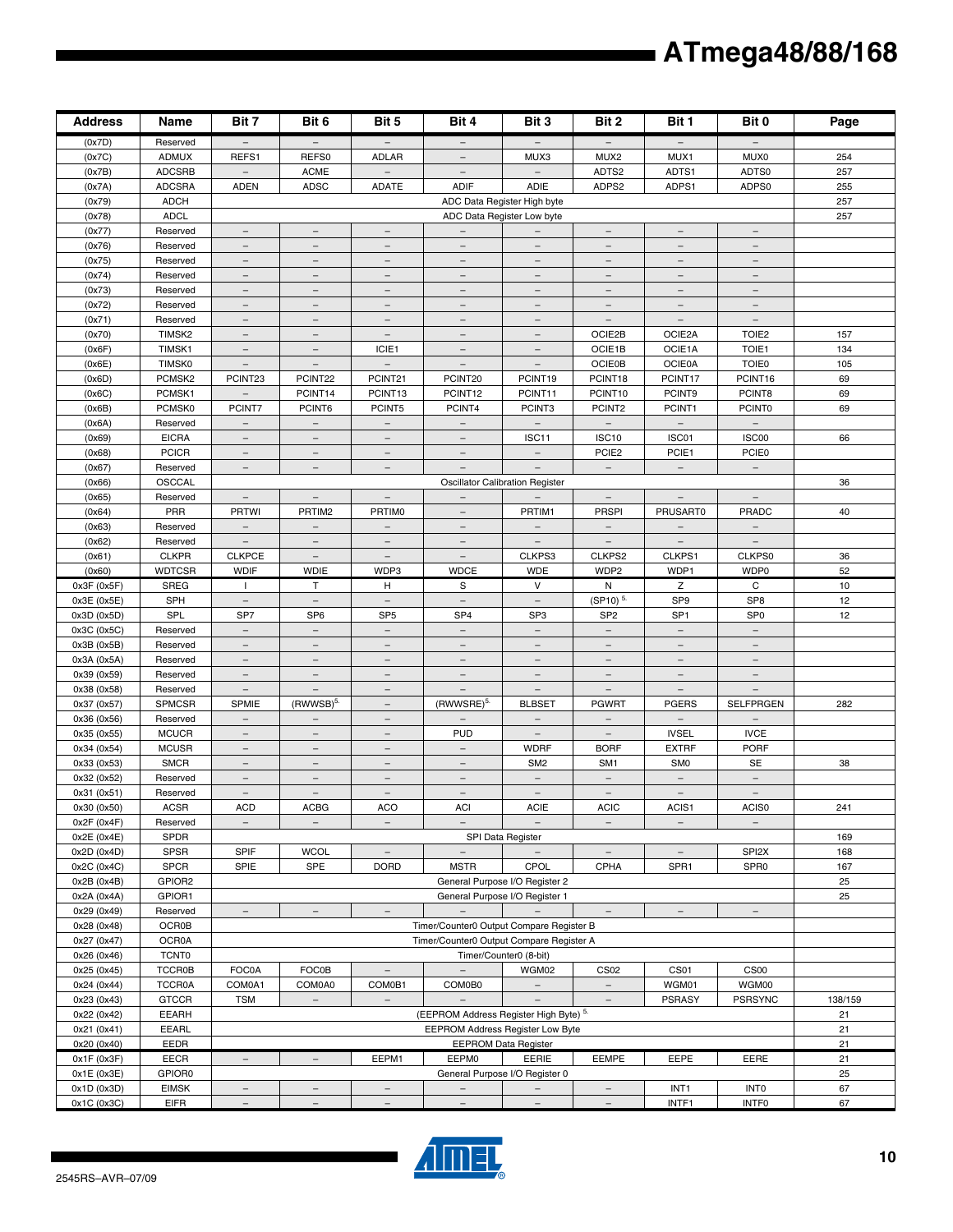| <b>Address</b>             | Name                 | Bit 7                                                | Bit 6                                             | Bit 5                                | Bit 4                                       | Bit 3                                     | Bit 2                                    | Bit 1                                      | Bit 0                                 | Page    |
|----------------------------|----------------------|------------------------------------------------------|---------------------------------------------------|--------------------------------------|---------------------------------------------|-------------------------------------------|------------------------------------------|--------------------------------------------|---------------------------------------|---------|
| (0x7D)                     | Reserved             |                                                      |                                                   |                                      | $\overline{\phantom{m}}$                    |                                           |                                          |                                            |                                       |         |
| (0x7C)                     | <b>ADMUX</b>         | REFS1                                                | REFS0                                             | <b>ADLAR</b>                         |                                             | MUX3                                      | MUX2                                     | MUX1                                       | MUX0                                  | 254     |
| (0x7B)                     | <b>ADCSRB</b>        | $\overline{\phantom{m}}$                             | ACME                                              | $\qquad \qquad -$                    | $\overline{\phantom{m}}$                    | $\overline{\phantom{a}}$                  | ADTS2                                    | ADTS1                                      | ADTS0                                 | 257     |
| (0x7A)                     | <b>ADCSRA</b>        | <b>ADEN</b>                                          | <b>ADSC</b>                                       | <b>ADATE</b>                         | <b>ADIF</b>                                 | ADIE                                      | ADPS2                                    | ADPS1                                      | ADPS0                                 | 255     |
| (0x79)                     | <b>ADCH</b>          |                                                      |                                                   |                                      |                                             | ADC Data Register High byte               |                                          |                                            |                                       | 257     |
| (0x78)                     | <b>ADCL</b>          |                                                      |                                                   |                                      |                                             | ADC Data Register Low byte                |                                          |                                            |                                       | 257     |
| (0x77)                     | Reserved             | $\overline{\phantom{a}}$                             | $\equiv$                                          | $\equiv$                             | $\equiv$                                    |                                           | $\equiv$                                 | $\equiv$                                   | $\equiv$                              |         |
| (0x76)                     | Reserved             | $\overline{\phantom{a}}$                             | $\overline{\phantom{a}}$                          | $\overline{\phantom{a}}$             | $\overline{\phantom{a}}$                    | $\overline{\phantom{a}}$                  | $\overline{\phantom{a}}$                 | $\overline{\phantom{a}}$                   | $\overline{\phantom{m}}$              |         |
| (0x75)                     | Reserved             | $\overline{\phantom{m}}$                             | $\overline{\phantom{m}}$                          | $\qquad \qquad -$                    |                                             | $\overline{\phantom{m}}$                  | $\qquad \qquad -$                        |                                            |                                       |         |
| (0x74)                     | Reserved             | $\overline{\phantom{m}}$                             | $\overline{\phantom{m}}$                          | $\overline{\phantom{m}}$             | $\overline{\phantom{m}}$                    | $\overline{\phantom{m}}$                  | $\overline{\phantom{m}}$                 | $\overline{\phantom{m}}$                   | $\overline{\phantom{m}}$              |         |
| (0x73)                     | Reserved             | $\overline{\phantom{0}}$<br>$\overline{\phantom{a}}$ | $\overline{\phantom{0}}$<br>$\equiv$              | $\overline{\phantom{0}}$<br>$\equiv$ | $\equiv$                                    | $\overline{\phantom{0}}$                  | $\overline{\phantom{0}}$<br>$\equiv$     | $\overline{\phantom{0}}$<br>$\overline{a}$ | $\equiv$                              |         |
| (0x72)<br>(0x71)           | Reserved<br>Reserved |                                                      | $\overline{\phantom{a}}$                          | $\overline{\phantom{m}}$             | $\overline{\phantom{m}}$                    | $\equiv$<br>$\overline{\phantom{m}}$      | $\overline{\phantom{a}}$                 | $\overline{\phantom{a}}$                   | $\overline{\phantom{m}}$              |         |
| (0x70)                     | TIMSK2               | $\overline{\phantom{a}}$<br>$=$                      |                                                   |                                      |                                             | $\overline{\phantom{m}}$                  | OCIE2B                                   | OCIE2A                                     | TOIE <sub>2</sub>                     | 157     |
| (0x6F)                     | TIMSK1               | $\overline{\phantom{a}}$                             | $\overline{\phantom{a}}$                          | ICIE1                                | $\qquad \qquad -$                           | $\overline{\phantom{a}}$                  | OCIE1B                                   | OCIE1A                                     | TOIE1                                 | 134     |
| (0x6E)                     | <b>TIMSK0</b>        | $\overline{\phantom{m}}$                             | $\overline{\phantom{m}}$                          | $\overline{\phantom{a}}$             | $\overline{\phantom{m}}$                    | $\overline{\phantom{m}}$                  | <b>OCIE0B</b>                            | <b>OCIE0A</b>                              | <b>TOIE0</b>                          | 105     |
| (0x6D)                     | PCMSK <sub>2</sub>   | PCINT23                                              | PCINT22                                           | PCINT21                              | PCINT20                                     | PCINT19                                   | PCINT18                                  | PCINT17                                    | PCINT16                               | 69      |
| (0x6C)                     | PCMSK1               |                                                      | PCINT14                                           | PCINT13                              | PCINT12                                     | PCINT11                                   | PCINT10                                  | PCINT9                                     | PCINT8                                | 69      |
| (0x6B)                     | PCMSK0               | PCINT7                                               | PCINT6                                            | PCINT5                               | PCINT4                                      | PCINT3                                    | PCINT2                                   | PCINT1                                     | <b>PCINT0</b>                         | 69      |
| (0x6A)                     | Reserved             | $\overline{\phantom{a}}$                             | $\overline{\phantom{a}}$                          | $\qquad \qquad -$                    | $\qquad \qquad -$                           |                                           | $\qquad \qquad -$                        |                                            |                                       |         |
| (0x69)                     | <b>EICRA</b>         | $\overline{\phantom{m}}$                             |                                                   |                                      |                                             | ISC11                                     | ISC <sub>10</sub>                        | ISC01                                      | ISC00                                 | 66      |
| (0x68)                     | <b>PCICR</b>         | $\overline{\phantom{m}}$                             | $\overline{\phantom{m}}$                          | $\overline{\phantom{m}}$             | $\overline{\phantom{m}}$                    | $\overline{\phantom{a}}$                  | PCIE <sub>2</sub>                        | PCIE1                                      | <b>PCIE0</b>                          |         |
| (0x67)                     | Reserved             | $\overline{\phantom{a}}$                             | $\qquad \qquad -$                                 | $\overline{\phantom{a}}$             | $\overline{a}$                              | $\overline{\phantom{m}}$                  | $\overline{\phantom{m}}$                 | $\overline{\phantom{a}}$                   | $\overline{\phantom{m}}$              |         |
| (0x66)                     | OSCCAL               |                                                      |                                                   |                                      |                                             | <b>Oscillator Calibration Register</b>    |                                          |                                            |                                       | 36      |
| (0x65)                     | Reserved             | $\overline{\phantom{m}}$                             | $\equiv$                                          | $\overline{\phantom{a}}$             |                                             |                                           | $\qquad \qquad -$                        | $\equiv$                                   | $\overline{\phantom{m}}$              |         |
| (0x64)                     | PRR                  | <b>PRTWI</b>                                         | PRTIM2                                            | <b>PRTIMO</b>                        |                                             | PRTIM1                                    | <b>PRSPI</b>                             | PRUSART0                                   | PRADC                                 | 40      |
| (0x63)                     | Reserved             | $\overline{\phantom{a}}$                             | $\overline{\phantom{a}}$                          | $\qquad \qquad -$                    | $\overline{\phantom{m}}$                    | $\overline{\phantom{a}}$                  | $\overline{\phantom{a}}$                 | $\overline{\phantom{a}}$                   | $\overline{\phantom{a}}$              |         |
| (0x62)                     | Reserved             | $\overline{\phantom{m}}$                             | $\overline{\phantom{m}}$                          | $\qquad \qquad -$                    | $\qquad \qquad -$                           | $\overline{\phantom{m}}$                  | $\overline{\phantom{m}}$                 | $\overline{\phantom{m}}$                   | $\qquad \qquad -$                     |         |
| (0x61)                     | <b>CLKPR</b>         | <b>CLKPCE</b>                                        | $\equiv$                                          | $\equiv$                             | $\equiv$                                    | CLKPS3                                    | CLKPS2                                   | CLKPS1                                     | CLKPS0                                | 36      |
| (0x60)                     | <b>WDTCSR</b>        | <b>WDIF</b>                                          | <b>WDIE</b>                                       | WDP3                                 | <b>WDCE</b>                                 | <b>WDE</b>                                | WDP2                                     | WDP1                                       | WDP0                                  | 52      |
| 0x3F (0x5F)                | <b>SREG</b>          | $\mathbf{I}$                                         | T                                                 | H                                    | S                                           | $\vee$                                    | N                                        | Z                                          | C                                     | $10$    |
| 0x3E (0x5E)                | <b>SPH</b>           | $\overline{\phantom{a}}$                             | $\overline{\phantom{a}}$                          | $\overline{\phantom{a}}$             | $\overline{\phantom{a}}$                    | $\overline{\phantom{a}}$                  | $(SP10)^{5.}$                            | SP <sub>9</sub>                            | SP <sub>8</sub>                       | 12      |
| 0x3D (0x5D)                | SPL                  | SP7                                                  | SP <sub>6</sub>                                   | SP <sub>5</sub>                      | SP <sub>4</sub>                             | SP <sub>3</sub>                           | SP <sub>2</sub>                          | SP <sub>1</sub>                            | SP <sub>0</sub>                       | 12      |
| 0x3C (0x5C)                | Reserved             | $\overline{\phantom{m}}$                             | $\overline{\phantom{m}}$                          | $\overline{\phantom{m}}$             | $\overline{\phantom{m}}$                    | $\overline{\phantom{m}}$                  | $\overline{\phantom{m}}$                 | $\overline{\phantom{m}}$                   | $\overline{\phantom{m}}$              |         |
| 0x3B (0x5B)                | Reserved             | $\qquad \qquad -$                                    | $\overline{\phantom{0}}$                          | $\overline{\phantom{0}}$             |                                             | $\overline{\phantom{0}}$                  | $\overline{\phantom{0}}$                 | $\overline{\phantom{0}}$                   |                                       |         |
| 0x3A (0x5A)                | Reserved             | $\equiv$                                             | $\equiv$                                          | $\equiv$                             | $\equiv$                                    | $\equiv$                                  | $\equiv$                                 |                                            |                                       |         |
| 0x39 (0x59)                | Reserved             | $\overline{\phantom{a}}$                             | $\overline{\phantom{a}}$                          | $\overline{\phantom{m}}$             | $\overline{\phantom{m}}$                    | $\overline{\phantom{m}}$                  | $\overline{\phantom{m}}$                 | $\overline{\phantom{m}}$                   | $\overline{\phantom{m}}$              |         |
| 0x38 (0x58)                | Reserved             | $\overline{\phantom{m}}$                             |                                                   | $\qquad \qquad -$                    |                                             |                                           |                                          |                                            |                                       |         |
| 0x37 (0x57)<br>0x36 (0x56) | SPMCSR<br>Reserved   | <b>SPMIE</b><br>$\overline{\phantom{m}}$             | (RWWSB) <sup>5.</sup><br>$\overline{\phantom{m}}$ | $\overline{\phantom{m}}$             | (RWWSRE) <sup>5.</sup><br>$\qquad \qquad -$ | <b>BLBSET</b><br>$\overline{\phantom{m}}$ | <b>PGWRT</b><br>$\overline{\phantom{m}}$ | <b>PGERS</b><br>$\overline{\phantom{m}}$   | SELFPRGEN<br>$\overline{\phantom{m}}$ | 282     |
| 0x35 (0x55)                | <b>MCUCR</b>         | $\equiv$                                             | $\equiv$                                          | $\overline{\phantom{a}}$             | <b>PUD</b>                                  | $\equiv$                                  | $\bar{ }$                                | <b>IVSEL</b>                               | <b>IVCE</b>                           |         |
| 0x34 (0x54)                | <b>MCUSR</b>         | $\overline{\phantom{a}}$                             | $\equiv$                                          | $\overline{\phantom{0}}$             | $\equiv$                                    | <b>WDRF</b>                               | <b>BORF</b>                              | <b>EXTRF</b>                               | <b>PORF</b>                           |         |
| 0x33 (0x53)                | <b>SMCR</b>          | $\overline{\phantom{a}}$                             | $\equiv$                                          | $\equiv$                             | $\equiv$                                    | SM <sub>2</sub>                           | SM <sub>1</sub>                          | SM <sub>0</sub>                            | <b>SE</b>                             | 38      |
| 0x32 (0x52)                | Reserved             | $\overline{\phantom{a}}$                             | $\overline{\phantom{a}}$                          | $\qquad \qquad -$                    | $\qquad \qquad -$                           | $\overline{\phantom{a}}$                  | $\overline{\phantom{a}}$                 | $\overline{\phantom{a}}$                   | $\overline{\phantom{m}}$              |         |
| 0x31 (0x51)                | Reserved             | $\overline{\phantom{m}}$                             | $\overline{\phantom{m}}$                          | $\qquad \qquad -$                    | $\qquad \qquad -$                           | $\overline{\phantom{m}}$                  | $\qquad \qquad -$                        |                                            | $\overline{\phantom{m}}$              |         |
| 0x30 (0x50)                | <b>ACSR</b>          | <b>ACD</b>                                           | <b>ACBG</b>                                       | <b>ACO</b>                           | <b>ACI</b>                                  | <b>ACIE</b>                               | <b>ACIC</b>                              | ACIS1                                      | ACIS0                                 | 241     |
| 0x2F (0x4F)                | Reserved             | $\overline{\phantom{a}}$                             | $\overline{\phantom{a}}$                          | $\overline{\phantom{a}}$             | $\equiv$                                    | $\equiv$                                  | $\qquad \qquad -$                        | $\overline{\phantom{a}}$                   | $\qquad \qquad -$                     |         |
| 0x2E (0x4E)                | <b>SPDR</b>          |                                                      |                                                   |                                      |                                             | SPI Data Register                         |                                          |                                            |                                       | 169     |
| 0x2D (0x4D)                | <b>SPSR</b>          | <b>SPIF</b>                                          | <b>WCOL</b>                                       | $\overline{\phantom{a}}$             | $-$                                         | $\overline{\phantom{m}}$                  | $\overline{\phantom{a}}$                 | $\overline{\phantom{a}}$                   | SPI <sub>2X</sub>                     | 168     |
| 0x2C (0x4C)                | <b>SPCR</b>          | SPIE                                                 | <b>SPE</b>                                        | <b>DORD</b>                          | <b>MSTR</b>                                 | <b>CPOL</b>                               | <b>CPHA</b>                              | SPR1                                       | SPR <sub>0</sub>                      | 167     |
| 0x2B (0x4B)                | GPIOR2               |                                                      |                                                   |                                      |                                             | General Purpose I/O Register 2            |                                          |                                            |                                       | 25      |
| 0x2A (0x4A)                | GPIOR1               |                                                      |                                                   |                                      |                                             | General Purpose I/O Register 1            |                                          |                                            |                                       | 25      |
| 0x29 (0x49)                | Reserved             | $\overline{\phantom{a}}$                             | $\overline{\phantom{a}}$                          | $\equiv$                             | $\equiv$                                    | $\equiv$                                  | $\equiv$                                 | $ \,$                                      | $\overline{\phantom{a}}$              |         |
| 0x28 (0x48)                | <b>OCR0B</b>         |                                                      |                                                   |                                      | Timer/Counter0 Output Compare Register B    |                                           |                                          |                                            |                                       |         |
| 0x27 (0x47)                | <b>OCR0A</b>         |                                                      |                                                   |                                      | Timer/Counter0 Output Compare Register A    |                                           |                                          |                                            |                                       |         |
| 0x26 (0x46)                | <b>TCNT0</b>         |                                                      |                                                   |                                      |                                             | Timer/Counter0 (8-bit)                    |                                          |                                            |                                       |         |
| 0x25 (0x45)                | <b>TCCR0B</b>        | FOC0A                                                | <b>FOC0B</b>                                      | $\overline{\phantom{a}}$             | $\overline{\phantom{a}}$                    | WGM02                                     | <b>CS02</b>                              | CS <sub>01</sub>                           | CS <sub>00</sub>                      |         |
| 0x24 (0x44)                | <b>TCCR0A</b>        | COM0A1                                               | COM0A0                                            | COM0B1                               | COM0B0                                      | $ \,$                                     | $-$                                      | WGM01                                      | WGM00                                 |         |
| 0x23 (0x43)                | <b>GTCCR</b>         | <b>TSM</b>                                           | $\overline{\phantom{m}}$                          | $\overline{\phantom{a}}$             | $\equiv$                                    | $\equiv$                                  | $\overline{\phantom{m}}$                 | <b>PSRASY</b>                              | <b>PSRSYNC</b>                        | 138/159 |
| 0x22 (0x42)                | EEARH                |                                                      |                                                   |                                      | (EEPROM Address Register High Byte) 5.      |                                           |                                          |                                            |                                       | 21      |
| 0x21 (0x41)                | <b>EEARL</b>         |                                                      |                                                   |                                      | EEPROM Address Register Low Byte            |                                           |                                          |                                            |                                       | 21      |
| 0x20 (0x40)                | EEDR                 |                                                      |                                                   |                                      |                                             | <b>EEPROM Data Register</b>               |                                          |                                            |                                       | 21      |
| 0x1F (0x3F)                | <b>EECR</b>          | $\overline{\phantom{a}}$                             | $\overline{\phantom{a}}$                          | EEPM1                                | <b>EEPM0</b>                                | EERIE                                     | <b>EEMPE</b>                             | EEPE                                       | EERE                                  | 21      |
| 0x1E (0x3E)                | GPIOR0               |                                                      |                                                   |                                      |                                             | General Purpose I/O Register 0            |                                          |                                            |                                       | 25      |
| 0x1D (0x3D)                | <b>EIMSK</b>         | $\overline{\phantom{a}}$                             |                                                   | $\overline{\phantom{a}}$             | $-$                                         | $\overline{\phantom{a}}$                  | $\overline{\phantom{a}}$                 | INT <sub>1</sub>                           | <b>INTO</b>                           | 67      |
| 0x1C (0x3C)                | <b>EIFR</b>          |                                                      |                                                   |                                      |                                             |                                           |                                          | INTF1                                      | <b>INTFO</b>                          | 67      |

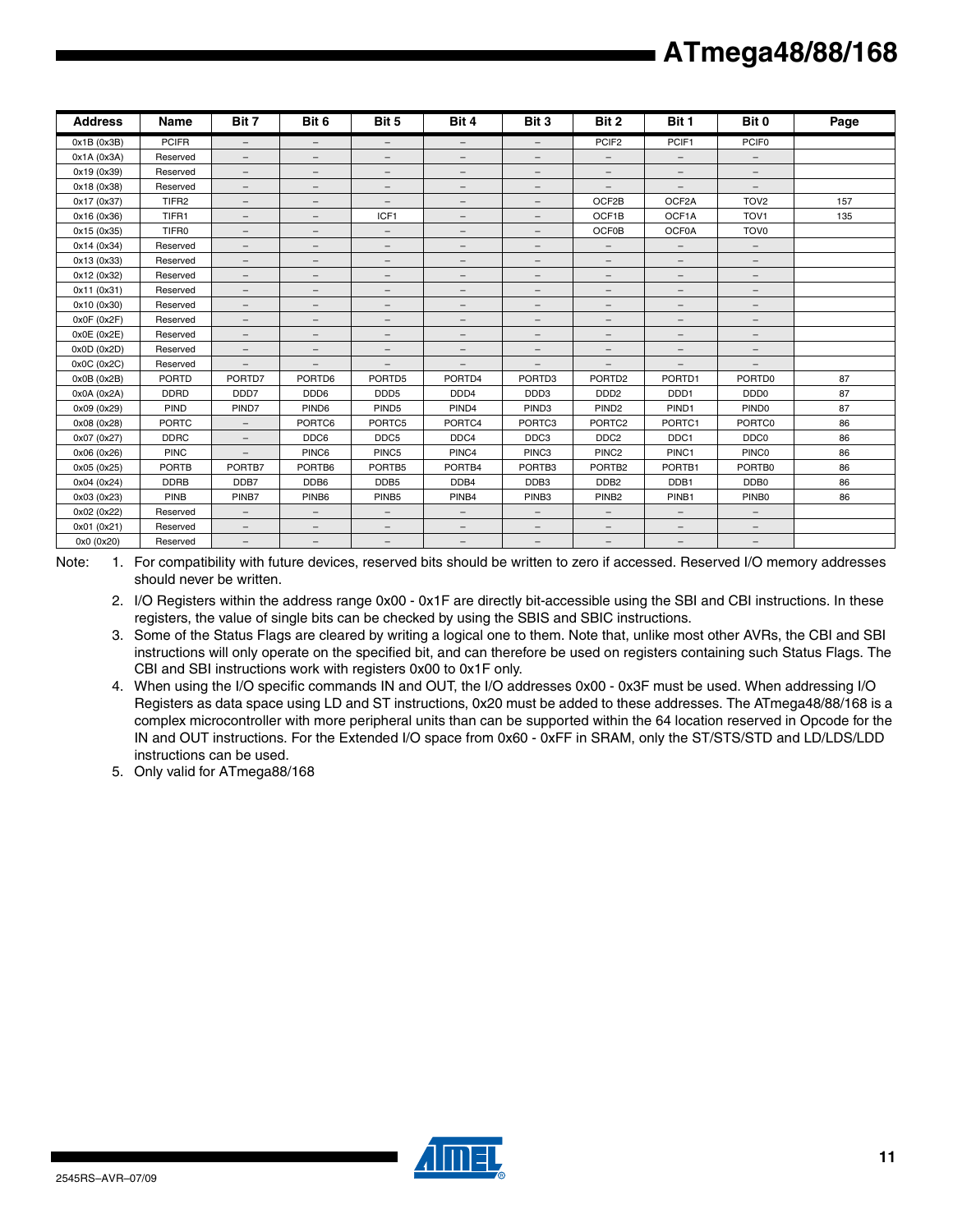| <b>Address</b> | Name              | Bit 7                    | Bit 6                    | Bit 5                    | Bit 4                    | Bit 3                    | Bit 2                    | Bit 1                    | Bit 0                    | Page |
|----------------|-------------------|--------------------------|--------------------------|--------------------------|--------------------------|--------------------------|--------------------------|--------------------------|--------------------------|------|
| 0x1B (0x3B)    | <b>PCIFR</b>      | $\overline{\phantom{a}}$ | $\overline{\phantom{a}}$ | $\overline{\phantom{m}}$ | $\overline{\phantom{0}}$ | $\equiv$                 | PCIF <sub>2</sub>        | PCIF1                    | PCIF <sub>0</sub>        |      |
| 0x1A (0x3A)    | Reserved          | $-$                      | $\qquad \qquad -$        | $\overline{\phantom{m}}$ | $\qquad \qquad -$        | $\qquad \qquad -$        | $\qquad \qquad -$        | $-$                      | $\qquad \qquad -$        |      |
| 0x19 (0x39)    | Reserved          | $\overline{\phantom{m}}$ | $\overline{\phantom{m}}$ | $\overline{\phantom{m}}$ | $\overline{\phantom{m}}$ | $\qquad \qquad -$        | $\overline{\phantom{m}}$ | $\qquad \qquad -$        | $\qquad \qquad -$        |      |
| 0x18 (0x38)    | Reserved          | $\qquad \qquad -$        | $\overline{\phantom{m}}$ | $\overline{\phantom{m}}$ | -                        | $\qquad \qquad -$        | $\qquad \qquad -$        | $\qquad \qquad -$        | $\overline{\phantom{m}}$ |      |
| 0x17 (0x37)    | TIFR <sub>2</sub> | $\overline{\phantom{a}}$ | $\qquad \qquad -$        | $\qquad \qquad -$        | $\qquad \qquad -$        | $\overline{\phantom{0}}$ | OCF2B                    | OCF2A                    | TOV <sub>2</sub>         | 157  |
| 0x16 (0x36)    | TIFR1             | $\qquad \qquad -$        | $\qquad \qquad -$        | ICF1                     | $\qquad \qquad -$        | $\qquad \qquad -$        | OCF1B                    | OCF1A                    | TOV <sub>1</sub>         | 135  |
| 0x15 (0x35)    | TIFR0             | $\qquad \qquad -$        | -                        | $\overline{\phantom{m}}$ | -                        | $\qquad \qquad -$        | <b>OCF0B</b>             | OCF0A                    | TOV <sub>0</sub>         |      |
| 0x14 (0x34)    | Reserved          | $\qquad \qquad -$        | $\overline{\phantom{m}}$ | $\qquad \qquad -$        | -                        | $\qquad \qquad -$        | $\qquad \qquad -$        | $\qquad \qquad -$        | $-$                      |      |
| 0x13 (0x33)    | Reserved          | $\qquad \qquad -$        | $\overline{\phantom{m}}$ | $\overline{\phantom{m}}$ | $\qquad \qquad -$        | $\overline{\phantom{0}}$ | $\overline{\phantom{m}}$ | $\qquad \qquad -$        | $\qquad \qquad -$        |      |
| 0x12 (0x32)    | Reserved          | $\qquad \qquad -$        | $\overline{\phantom{m}}$ | $\overline{\phantom{m}}$ | $\qquad \qquad -$        | $\qquad \qquad -$        | $\qquad \qquad -$        | $\qquad \qquad -$        | $\qquad \qquad -$        |      |
| 0x11 (0x31)    | Reserved          | $\qquad \qquad -$        | $\overline{\phantom{m}}$ | $\overline{\phantom{m}}$ | $-$                      | $\qquad \qquad -$        | $\overline{\phantom{0}}$ | $\qquad \qquad -$        | $\qquad \qquad -$        |      |
| 0x10 (0x30)    | Reserved          | $\qquad \qquad -$        | $\overline{\phantom{m}}$ | $\overline{\phantom{m}}$ | $-$                      | $\overline{\phantom{0}}$ | $\overline{\phantom{0}}$ | $\qquad \qquad -$        | $\qquad \qquad -$        |      |
| 0x0F(0x2F)     | Reserved          | $\qquad \qquad -$        | $\overline{\phantom{m}}$ | $\overline{\phantom{a}}$ | $\qquad \qquad -$        | $-$                      | $\qquad \qquad -$        | $\overline{\phantom{0}}$ | $\qquad \qquad -$        |      |
| 0x0E(0x2E)     | Reserved          | $-$                      | $\qquad \qquad -$        | $\overline{\phantom{m}}$ | $\qquad \qquad -$        | $\qquad \qquad -$        | $\qquad \qquad -$        | $-$                      | $\qquad \qquad -$        |      |
| 0x0D (0x2D)    | Reserved          | $\equiv$                 | $\qquad \qquad -$        | $\overline{\phantom{m}}$ | $\overline{\phantom{0}}$ | $\overline{\phantom{a}}$ | $\overline{\phantom{a}}$ | $\overline{\phantom{0}}$ | $\overline{\phantom{a}}$ |      |
| 0x0C (0x2C)    | Reserved          | $\overline{\phantom{a}}$ | $\overline{\phantom{m}}$ | $\overline{\phantom{m}}$ | $\qquad \qquad -$        | $-$                      | $\qquad \qquad -$        | $\qquad \qquad -$        | $\qquad \qquad -$        |      |
| 0x0B (0x2B)    | PORTD             | PORTD7                   | PORTD6                   | PORTD5                   | PORTD4                   | PORTD3                   | PORTD <sub>2</sub>       | PORTD1                   | PORTD0                   | 87   |
| 0x0A (0x2A)    | <b>DDRD</b>       | DDD7                     | DDD6                     | DDD <sub>5</sub>         | DDD4                     | DDD3                     | DDD <sub>2</sub>         | DDD1                     | DDD <sub>0</sub>         | 87   |
| 0x09 (0x29)    | PIND              | PIND7                    | PIND <sub>6</sub>        | PIND <sub>5</sub>        | PIND4                    | PIND <sub>3</sub>        | PIND <sub>2</sub>        | PIND <sub>1</sub>        | PIND <sub>0</sub>        | 87   |
| 0x08 (0x28)    | <b>PORTC</b>      | $\overline{\phantom{m}}$ | PORTC6                   | PORTC5                   | PORTC4                   | PORTC3                   | PORTC <sub>2</sub>       | PORTC1                   | PORTC0                   | 86   |
| 0x07 (0x27)    | <b>DDRC</b>       | $\qquad \qquad -$        | DDC6                     | DDC <sub>5</sub>         | DDC4                     | DDC3                     | DDC <sub>2</sub>         | DDC1                     | DDC0                     | 86   |
| 0x06 (0x26)    | <b>PINC</b>       | $\overline{\phantom{a}}$ | PINC6                    | PINC <sub>5</sub>        | PINC4                    | PINC3                    | PINC <sub>2</sub>        | PINC1                    | <b>PINCO</b>             | 86   |
| 0x05 (0x25)    | <b>PORTB</b>      | PORTB7                   | PORTB6                   | PORTB5                   | PORTB4                   | PORTB <sub>3</sub>       | PORTB <sub>2</sub>       | PORTB1                   | PORTB0                   | 86   |
| 0x04 (0x24)    | <b>DDRB</b>       | DDB7                     | DDB6                     | DDB <sub>5</sub>         | DDB4                     | DDB3                     | DDB <sub>2</sub>         | DDB1                     | DDB0                     | 86   |
| 0x03 (0x23)    | PINB              | PINB7                    | PINB <sub>6</sub>        | PINB <sub>5</sub>        | PINB4                    | PINB <sub>3</sub>        | PINB <sub>2</sub>        | PINB1                    | PINB <sub>0</sub>        | 86   |
| 0x02 (0x22)    | Reserved          | $\equiv$                 | $\overline{\phantom{a}}$ | $\overline{\phantom{m}}$ | $\overline{\phantom{a}}$ | $\overline{\phantom{a}}$ | $-$                      | $\overline{\phantom{0}}$ | $\overline{\phantom{a}}$ |      |
| 0x01 (0x21)    | Reserved          | $\qquad \qquad -$        | $\qquad \qquad -$        | $\overline{\phantom{m}}$ | $-$                      | $\qquad \qquad -$        | $\qquad \qquad -$        | $\qquad \qquad -$        | $\qquad \qquad -$        |      |
| 0x0 (0x20)     | Reserved          | $\qquad \qquad -$        | $\qquad \qquad -$        | $\overline{\phantom{m}}$ | -                        | $\qquad \qquad -$        | $\qquad \qquad -$        | $\qquad \qquad -$        | $\qquad \qquad -$        |      |

Note: 1. For compatibility with future devices, reserved bits should be written to zero if accessed. Reserved I/O memory addresses should never be written.

2. I/O Registers within the address range 0x00 - 0x1F are directly bit-accessible using the SBI and CBI instructions. In these registers, the value of single bits can be checked by using the SBIS and SBIC instructions.

- 3. Some of the Status Flags are cleared by writing a logical one to them. Note that, unlike most other AVRs, the CBI and SBI instructions will only operate on the specified bit, and can therefore be used on registers containing such Status Flags. The CBI and SBI instructions work with registers 0x00 to 0x1F only.
- 4. When using the I/O specific commands IN and OUT, the I/O addresses 0x00 0x3F must be used. When addressing I/O Registers as data space using LD and ST instructions, 0x20 must be added to these addresses. The ATmega48/88/168 is a complex microcontroller with more peripheral units than can be supported within the 64 location reserved in Opcode for the IN and OUT instructions. For the Extended I/O space from 0x60 - 0xFF in SRAM, only the ST/STS/STD and LD/LDS/LDD instructions can be used.
- 5. Only valid for ATmega88/168

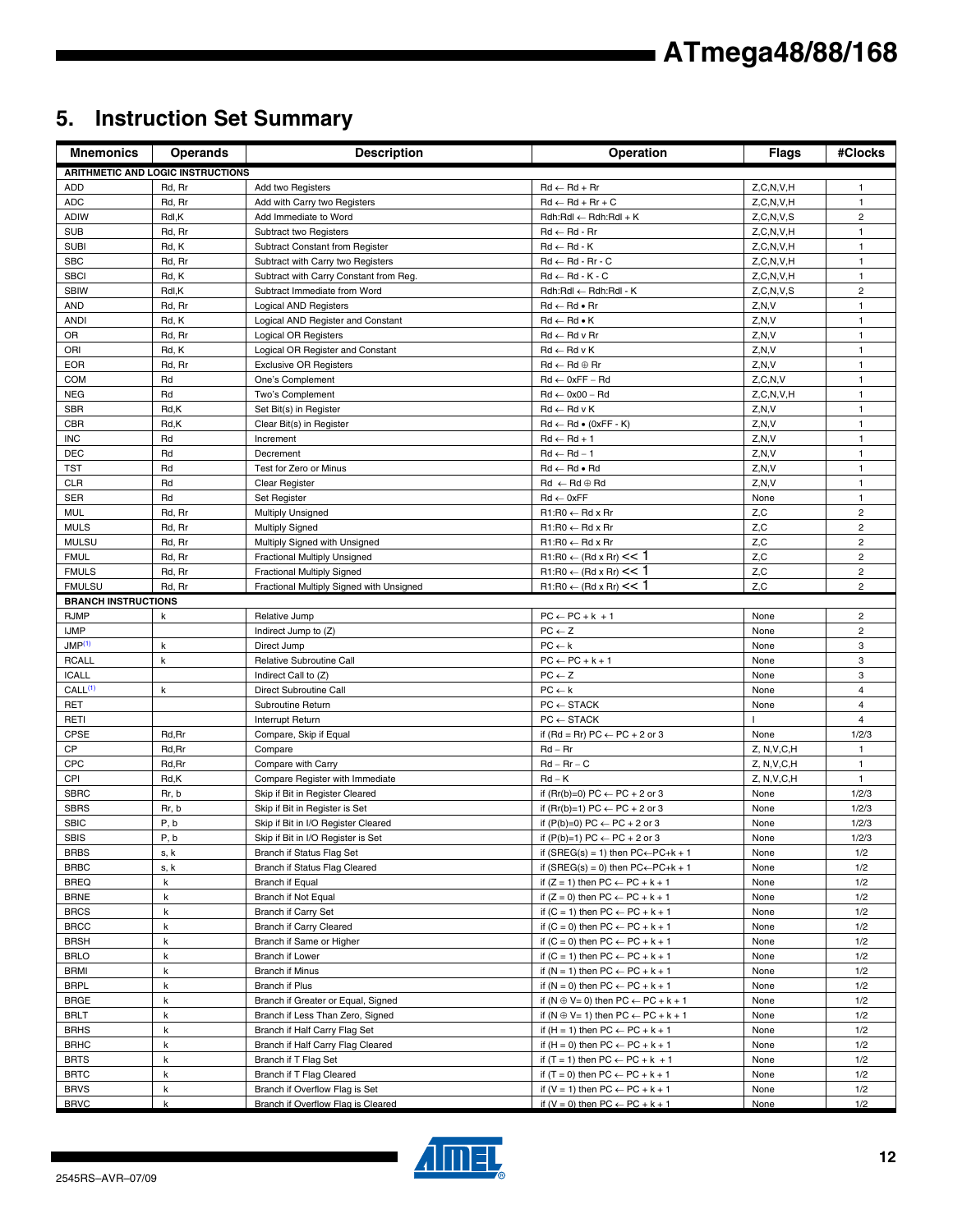## **5. Instruction Set Summary**

| <b>Mnemonics</b>           | <b>Operands</b>                          | <b>Description</b>                                         | Operation                                                                                    | <b>Flags</b>  | #Clocks                 |
|----------------------------|------------------------------------------|------------------------------------------------------------|----------------------------------------------------------------------------------------------|---------------|-------------------------|
|                            | <b>ARITHMETIC AND LOGIC INSTRUCTIONS</b> |                                                            |                                                                                              |               |                         |
| ADD                        | Rd, Rr                                   | Add two Registers                                          | $Rd \leftarrow Rd + Rr$                                                                      | Z, C, N, V, H | 1                       |
| <b>ADC</b>                 | Rd, Rr                                   | Add with Carry two Registers                               | $Rd \leftarrow Rd + Rr + C$                                                                  | Z, C, N, V, H | $\mathbf{1}$            |
| <b>ADIW</b>                | Rdl,K                                    | Add Immediate to Word                                      | $Rdh:Rdl \leftarrow Rdh:Rdl + K$                                                             | Z, C, N, V, S | $\overline{c}$          |
| <b>SUB</b>                 | Rd, Rr                                   | Subtract two Registers                                     | $Rd \leftarrow Rd - Rr$                                                                      | Z, C, N, V, H | $\mathbf{1}$            |
| <b>SUBI</b>                | Rd, K                                    | Subtract Constant from Register                            | $Rd \leftarrow Rd - K$                                                                       | Z, C, N, V, H | 1                       |
| <b>SBC</b>                 | Rd, Rr                                   | Subtract with Carry two Registers                          | $Rd \leftarrow Rd - Rr - C$                                                                  | Z, C, N, V, H | $\mathbf{1}$            |
| <b>SBCI</b>                | Rd, K                                    | Subtract with Carry Constant from Reg.                     | $Rd \leftarrow Rd - K - C$                                                                   | Z, C, N, V, H | $\mathbf{1}$            |
| <b>SBIW</b>                | Rdl,K                                    | Subtract Immediate from Word                               | Rdh:Rdl ← Rdh:Rdl - K                                                                        | Z, C, N, V, S | $\overline{c}$          |
| <b>AND</b>                 | Rd, Rr                                   | <b>Logical AND Registers</b>                               | $Rd \leftarrow Rd \bullet Rr$                                                                | Z, N, V       | $\mathbf{1}$            |
| <b>ANDI</b>                | Rd, K                                    | Logical AND Register and Constant                          | $Rd \leftarrow Rd \bullet K$                                                                 | Z, N, V       | $\mathbf{1}$            |
| <b>OR</b>                  | Rd, Rr                                   | Logical OR Registers                                       | $Rd \leftarrow Rd$ v Rr                                                                      | Z, N, V       | 1                       |
| ORI                        | Rd, K                                    | Logical OR Register and Constant                           | $Rd \leftarrow Rd \vee K$                                                                    | Z, N, V       | 1                       |
| <b>EOR</b>                 | Rd, Rr                                   | <b>Exclusive OR Registers</b>                              | $Rd \leftarrow Rd \oplus Rr$                                                                 | Z, N, V       | 1                       |
| <b>COM</b>                 | Rd                                       | One's Complement                                           | $Rd \leftarrow 0xFF - Rd$                                                                    | Z, C, N, V    | $\mathbf{1}$            |
| <b>NEG</b>                 | Rd                                       | Two's Complement                                           | $Rd \leftarrow 0x00 - Rd$                                                                    | Z, C, N, V, H | 1                       |
| <b>SBR</b>                 | Rd,K                                     | Set Bit(s) in Register                                     | $Rd \leftarrow Rd \vee K$                                                                    | Z.N.V         | $\mathbf{1}$            |
| <b>CBR</b>                 | Rd,K                                     | Clear Bit(s) in Register                                   | $Rd \leftarrow Rd \bullet (0xFF - K)$                                                        | Z, N, V       | $\mathbf{1}$            |
| <b>INC</b>                 | Rd                                       | Increment                                                  | $Rd \leftarrow Rd + 1$                                                                       | Z, N, V       | 1                       |
| <b>DEC</b>                 | Rd                                       | Decrement                                                  | $Rd \leftarrow Rd - 1$                                                                       | Z, N, V       | $\mathbf{1}$            |
| TST                        | Rd                                       | Test for Zero or Minus                                     | $Rd \leftarrow Rd \bullet Rd$                                                                | Z, N, V       | $\mathbf{1}$            |
| <b>CLR</b><br><b>SER</b>   | Rd<br>Rd                                 | Clear Register                                             | $Rd \leftarrow Rd \oplus Rd$<br>$Rd \leftarrow 0xFF$                                         | Z, N, V       | 1<br>$\mathbf{1}$       |
| <b>MUL</b>                 | Rd, Rr                                   | Set Register                                               | $R1:RO \leftarrow Rd \times Rr$                                                              | None<br>Z, C  | $\overline{c}$          |
| <b>MULS</b>                | Rd, Rr                                   | <b>Multiply Unsigned</b><br><b>Multiply Signed</b>         | $R1:R0 \leftarrow Rd \times Rr$                                                              | Z, C          | $\overline{\mathbf{c}}$ |
| <b>MULSU</b>               | Rd, Rr                                   | Multiply Signed with Unsigned                              | $R1:R0 \leftarrow Rd \times Rr$                                                              | Z,C           | $\overline{c}$          |
| <b>FMUL</b>                | Rd, Rr                                   | Fractional Multiply Unsigned                               | $R1:R0 \leftarrow (Rd \times Rr) \leq 1$                                                     | Z,C           | $\overline{2}$          |
| <b>FMULS</b>               | Rd, Rr                                   | <b>Fractional Multiply Signed</b>                          | $R1:R0 \leftarrow (Rd \times Rr) \leq 1$                                                     | Z,C           | $\overline{\mathbf{c}}$ |
| <b>FMULSU</b>              | Rd, Rr                                   | Fractional Multiply Signed with Unsigned                   | $R1:R0 \leftarrow (Rd \times Rr) \leq 1$                                                     | Z, C          | $\overline{2}$          |
| <b>BRANCH INSTRUCTIONS</b> |                                          |                                                            |                                                                                              |               |                         |
| <b>RJMP</b>                | k                                        | Relative Jump                                              | $PC \leftarrow PC + k + 1$                                                                   | None          | $\overline{\mathbf{c}}$ |
| <b>IJMP</b>                |                                          | Indirect Jump to (Z)                                       | $PC \leftarrow Z$                                                                            | None          | $\overline{c}$          |
| JMP <sup>(1)</sup>         | k                                        | Direct Jump                                                | $PC \leftarrow k$                                                                            | None          | 3                       |
| <b>RCALL</b>               | k                                        | Relative Subroutine Call                                   | $PC \leftarrow PC + k + 1$                                                                   | None          | 3                       |
| <b>ICALL</b>               |                                          | Indirect Call to (Z)                                       | $PC \leftarrow Z$                                                                            | None          | 3                       |
| CALL <sup>(1)</sup>        | k                                        | Direct Subroutine Call                                     | $PC \leftarrow k$                                                                            | None          | $\overline{4}$          |
| <b>RET</b>                 |                                          | Subroutine Return                                          | $PC \leftarrow$ STACK                                                                        | None          | $\overline{\mathbf{4}}$ |
| RETI                       |                                          | Interrupt Return                                           | $PC \leftarrow$ STACK                                                                        |               | $\overline{4}$          |
| CPSE                       | Rd, Rr                                   | Compare, Skip if Equal                                     | if (Rd = Rr) $PC \leftarrow PC + 2$ or 3                                                     | None          | 1/2/3                   |
| CP                         | Rd, Rr                                   | Compare                                                    | $Rd - Rr$                                                                                    | Z, N, V, C, H | $\mathbf{1}$            |
| CPC                        | Rd, Rr                                   | Compare with Carry                                         | $Rd - Rr - C$                                                                                | Z, N, V, C, H | $\mathbf{1}$            |
| CPI                        | Rd,K                                     | Compare Register with Immediate                            | $Rd - K$                                                                                     | Z, N, V, C, H | 1                       |
| <b>SBRC</b>                | Rr, b                                    | Skip if Bit in Register Cleared                            | if (Rr(b)=0) PC $\leftarrow$ PC + 2 or 3                                                     | None          | 1/2/3                   |
| <b>SBRS</b>                | Rr, b                                    | Skip if Bit in Register is Set                             | if $(Rr(b)=1) PC \leftarrow PC + 2$ or 3                                                     | None          | 1/2/3                   |
| <b>SBIC</b>                | P, b                                     | Skip if Bit in I/O Register Cleared                        | if $(P(b)=0) PC \leftarrow PC + 2$ or 3                                                      | None          | 1/2/3                   |
| SBIS                       | P, b                                     | Skip if Bit in I/O Register is Set                         | if $(P(b)=1) PC \leftarrow PC + 2$ or 3                                                      | None          | 1/2/3                   |
| <b>BRBS</b>                | s, k                                     | Branch if Status Flag Set                                  | if $(SREG(s) = 1)$ then $PC \leftarrow PC + k + 1$                                           | None          | 1/2                     |
| <b>BRBC</b>                | s, k                                     | Branch if Status Flag Cleared                              | if (SREG(s) = 0) then $PC \leftarrow PC + k + 1$                                             | None          | 1/2                     |
| <b>BREQ</b>                | k                                        | Branch if Equal                                            | if $(Z = 1)$ then $PC \leftarrow PC + k + 1$                                                 | None          | 1/2                     |
| <b>BRNE</b>                | k                                        | Branch if Not Equal                                        | if $(Z = 0)$ then $PC \leftarrow PC + k + 1$                                                 | None          | 1/2                     |
| <b>BRCS</b>                | k                                        | Branch if Carry Set                                        | if $(C = 1)$ then $PC \leftarrow PC + k + 1$                                                 | None          | 1/2                     |
| <b>BRCC</b>                | k                                        | Branch if Carry Cleared                                    | if $(C = 0)$ then $PC \leftarrow PC + k + 1$                                                 | None          | 1/2                     |
| <b>BRSH</b>                | k                                        | Branch if Same or Higher                                   | if $(C = 0)$ then $PC \leftarrow PC + k + 1$                                                 | None          | 1/2                     |
| <b>BRLO</b>                | k                                        | Branch if Lower                                            | if $(C = 1)$ then $PC \leftarrow PC + k + 1$                                                 | None          | 1/2                     |
| BRMI                       | k                                        | <b>Branch if Minus</b>                                     | if $(N = 1)$ then $PC \leftarrow PC + k + 1$                                                 | None          | 1/2                     |
| <b>BRPL</b>                | k                                        | Branch if Plus                                             | if $(N = 0)$ then $PC \leftarrow PC + k + 1$                                                 | None          | 1/2                     |
| <b>BRGE</b>                | k                                        | Branch if Greater or Equal, Signed                         | if $(N \oplus V = 0)$ then $PC \leftarrow PC + k + 1$                                        | None          | 1/2                     |
| <b>BRLT</b>                | k                                        | Branch if Less Than Zero, Signed                           | if $(N \oplus V = 1)$ then $PC \leftarrow PC + k + 1$                                        | None          | 1/2                     |
| <b>BRHS</b>                | k                                        | Branch if Half Carry Flag Set                              | if $(H = 1)$ then $PC \leftarrow PC + k + 1$                                                 | None          | 1/2                     |
| <b>BRHC</b>                | k                                        | Branch if Half Carry Flag Cleared                          | if $(H = 0)$ then $PC \leftarrow PC + k + 1$                                                 | None          | 1/2                     |
| <b>BRTS</b>                | k                                        | Branch if T Flag Set                                       | if $(T = 1)$ then PC $\leftarrow$ PC + k + 1                                                 | None          | 1/2                     |
| <b>BRTC</b><br><b>BRVS</b> | k<br>k                                   | Branch if T Flag Cleared<br>Branch if Overflow Flag is Set | if $(T = 0)$ then $PC \leftarrow PC + k + 1$<br>if $(V = 1)$ then $PC \leftarrow PC + k + 1$ | None<br>None  | 1/2<br>1/2              |
| <b>BRVC</b>                | k                                        | Branch if Overflow Flag is Cleared                         | if $(V = 0)$ then $PC \leftarrow PC + k + 1$                                                 | None          | 1/2                     |

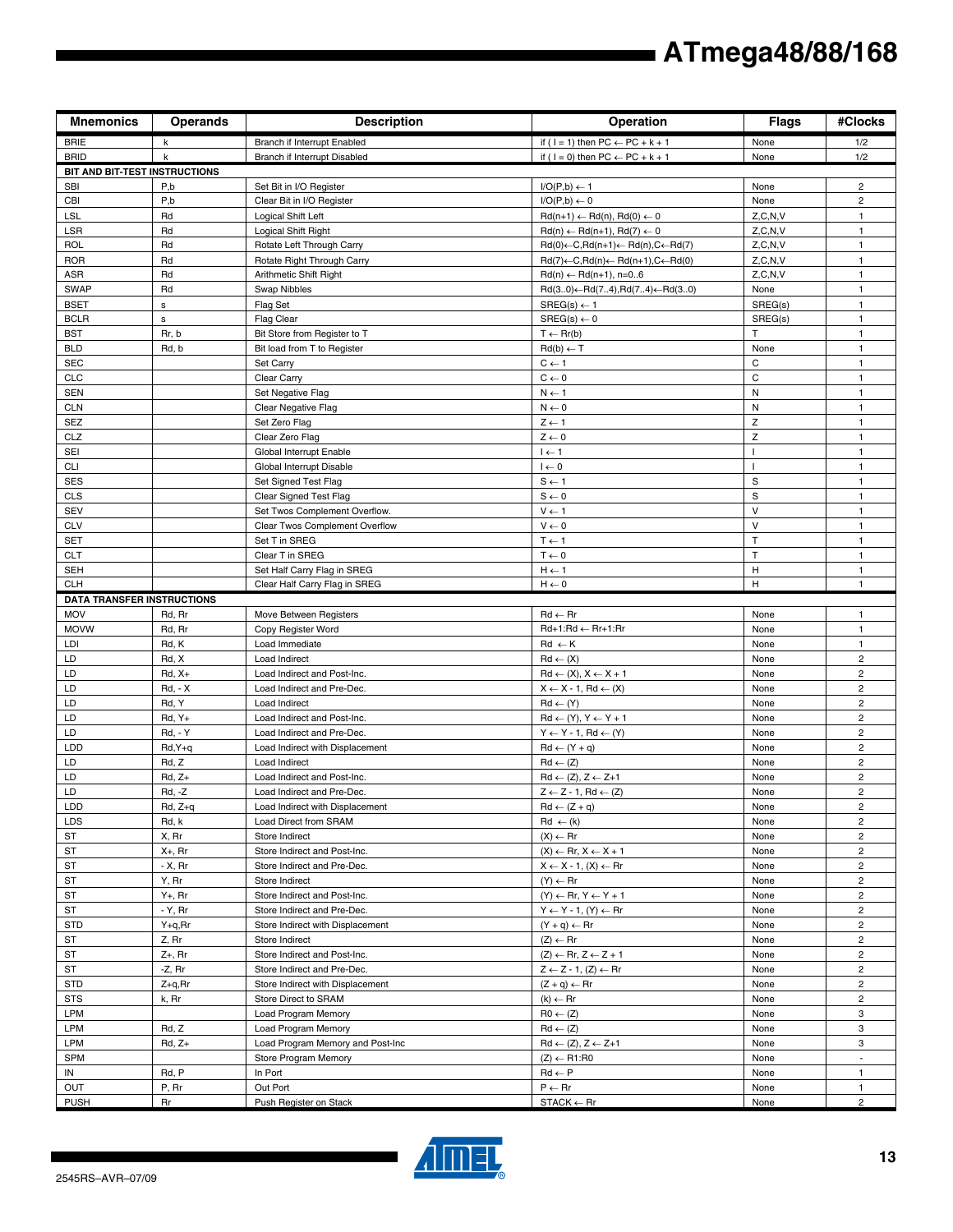| <b>Mnemonics</b>                  | <b>Operands</b> | <b>Description</b>                             | Operation                                                          | <b>Flags</b> | #Clocks                 |
|-----------------------------------|-----------------|------------------------------------------------|--------------------------------------------------------------------|--------------|-------------------------|
| <b>BRIE</b>                       | k               | Branch if Interrupt Enabled                    | if ( $1 = 1$ ) then $PC \leftarrow PC + k + 1$                     | None         | 1/2                     |
| <b>BRID</b>                       | $\mathsf{k}$    | Branch if Interrupt Disabled                   | if ( $1 = 0$ ) then $PC \leftarrow PC + k + 1$                     | None         | 1/2                     |
| BIT AND BIT-TEST INSTRUCTIONS     |                 |                                                |                                                                    |              |                         |
| <b>SBI</b>                        | P,b             | Set Bit in I/O Register                        | $I/O(P,b) \leftarrow 1$                                            | None         | $\overline{c}$          |
| <b>CBI</b>                        | P,b             | Clear Bit in I/O Register                      | $I/O(P,b) \leftarrow 0$                                            | None         | $\overline{c}$          |
| <b>LSL</b>                        | Rd              | Logical Shift Left                             | $Rd(n+1) \leftarrow Rd(n), Rd(0) \leftarrow 0$                     | Z, C, N, V   | 1                       |
| LSR                               | Rd              | Logical Shift Right                            | $Rd(n) \leftarrow Rd(n+1), Rd(7) \leftarrow 0$                     | Z, C, N, V   | 1                       |
| <b>ROL</b>                        | Rd              | Rotate Left Through Carry                      | $Rd(0) \leftarrow C, Rd(n+1) \leftarrow Rd(n), C \leftarrow Rd(7)$ | Z, C, N, V   | $\mathbf{1}$            |
| <b>ROR</b>                        | Rd              | Rotate Right Through Carry                     | $Rd(7) \leftarrow C, Rd(n) \leftarrow Rd(n+1), C \leftarrow Rd(0)$ | Z, C, N, V   | 1                       |
| ASR                               | Rd              | Arithmetic Shift Right                         | $Rd(n) \leftarrow Rd(n+1), n=06$                                   | Z, C, N, V   | $\mathbf{1}$            |
| <b>SWAP</b>                       | Rd              | Swap Nibbles                                   | $Rd(30) \leftarrow Rd(74), Rd(74) \leftarrow Rd(30)$               | None         | 1                       |
| <b>BSET</b>                       | s               | Flag Set                                       | $SREG(s) \leftarrow 1$                                             | SREG(s)      | $\mathbf{1}$            |
| <b>BCLR</b>                       | $\mathsf{s}$    | <b>Flag Clear</b>                              | $SREG(s) \leftarrow 0$                                             | SREG(s)      | $\mathbf{1}$            |
| <b>BST</b>                        | Rr, b           | Bit Store from Register to T                   | $T \leftarrow Rr(b)$                                               | T            | $\mathbf{1}$            |
| <b>BLD</b>                        | Rd, b           | Bit load from T to Register                    | $Rd(b) \leftarrow T$                                               | None         | 1                       |
| <b>SEC</b>                        |                 | Set Carry                                      | $C \leftarrow 1$                                                   | С            | 1                       |
| CLC                               |                 | Clear Carry                                    | $C \leftarrow 0$                                                   | C            | $\mathbf{1}$            |
| <b>SEN</b>                        |                 | Set Negative Flag                              | $N \leftarrow 1$                                                   | Ν            | 1                       |
| <b>CLN</b>                        |                 | Clear Negative Flag                            | $N \leftarrow 0$                                                   | Ν            | $\mathbf{1}$            |
| SEZ                               |                 | Set Zero Flag                                  | $Z \leftarrow 1$                                                   | Z<br>Z       | $\mathbf{1}$            |
| CLZ                               |                 | Clear Zero Flag                                | $Z \leftarrow 0$                                                   | $\mathbf{I}$ | 1                       |
| SEI                               |                 | Global Interrupt Enable                        | $I \leftarrow 1$                                                   | $\mathbf{I}$ | $\mathbf{1}$            |
| <b>CLI</b><br><b>SES</b>          |                 | Global Interrupt Disable                       | $I \leftarrow 0$                                                   | $\mathbf S$  | 1<br>$\mathbf{1}$       |
| <b>CLS</b>                        |                 | Set Signed Test Flag<br>Clear Signed Test Flag | $S \leftarrow 1$                                                   | S            | $\mathbf{1}$            |
| <b>SEV</b>                        |                 | Set Twos Complement Overflow.                  | $S \leftarrow 0$<br>$V \leftarrow 1$                               | $\vee$       | $\mathbf{1}$            |
| <b>CLV</b>                        |                 | Clear Twos Complement Overflow                 | $\mathsf{V}\leftarrow\mathsf{0}$                                   | $\vee$       | $\mathbf{1}$            |
| <b>SET</b>                        |                 | Set T in SREG                                  | $T \leftarrow 1$                                                   | т            | 1                       |
| <b>CLT</b>                        |                 | Clear T in SREG                                | $T \leftarrow 0$                                                   | T            | $\mathbf{1}$            |
| <b>SEH</b>                        |                 | Set Half Carry Flag in SREG                    | $H \leftarrow 1$                                                   | н            | $\mathbf{1}$            |
| <b>CLH</b>                        |                 | Clear Half Carry Flag in SREG                  | $H \leftarrow 0$                                                   | н            | $\mathbf{1}$            |
| <b>DATA TRANSFER INSTRUCTIONS</b> |                 |                                                |                                                                    |              |                         |
| <b>MOV</b>                        | Rd, Rr          | Move Between Registers                         | $Rd \leftarrow Rr$                                                 | None         | $\mathbf{1}$            |
| <b>MOVW</b>                       | Rd, Rr          | Copy Register Word                             | Rd+1:Rd ← Rr+1:Rr                                                  | None         | 1                       |
| LDI                               | Rd, K           | Load Immediate                                 | $Rd \leftarrow K$                                                  | None         | 1                       |
| LD                                | Rd, X           | Load Indirect                                  | $Rd \leftarrow (X)$                                                | None         | $\overline{c}$          |
| LD                                | $Rd, X+$        | Load Indirect and Post-Inc.                    | $Rd \leftarrow (X), X \leftarrow X + 1$                            | None         | $\overline{\mathbf{c}}$ |
| LD                                | $Rd, -X$        | Load Indirect and Pre-Dec.                     | $X \leftarrow X - 1$ , Rd $\leftarrow (X)$                         | None         | $\overline{c}$          |
| LD                                | Rd, Y           | Load Indirect                                  | $Rd \leftarrow (Y)$                                                | None         | 2                       |
| LD                                | $Rd, Y+$        | Load Indirect and Post-Inc.                    | $Rd \leftarrow (Y), Y \leftarrow Y + 1$                            | None         | $\overline{c}$          |
| LD                                | <b>Rd. - Y</b>  | Load Indirect and Pre-Dec.                     | $Y \leftarrow Y - 1$ , Rd $\leftarrow (Y)$                         | None         | $\overline{2}$          |
| LDD                               | $Rd, Y+q$       | Load Indirect with Displacement                | $Rd \leftarrow (Y + q)$                                            | None         | $\overline{c}$          |
| LD                                | Rd, Z           | Load Indirect                                  | $Rd \leftarrow (Z)$                                                | None         | $\overline{c}$          |
| LD                                | $Rd, Z+$        | Load Indirect and Post-Inc.                    | $Rd \leftarrow (Z), Z \leftarrow Z+1$                              | None         | $\overline{c}$          |
| LD                                | $Rd, -Z$        | Load Indirect and Pre-Dec.                     | $Z \leftarrow Z - 1$ , Rd $\leftarrow (Z)$                         | None         | $\overline{\mathbf{c}}$ |
| LDD                               | $Rd, Z+a$       | Load Indirect with Displacement                | $Rd \leftarrow (Z + q)$                                            | None         | $\overline{c}$          |
| LDS                               | Rd, k           | Load Direct from SRAM                          | $Rd \leftarrow (k)$                                                | None         | $\overline{2}$          |
| ST                                | X, Rr           | Store Indirect                                 | $(X) \leftarrow Rr$                                                | None         | $\overline{2}$          |
| ST                                | $X_{+}$ , Rr    | Store Indirect and Post-Inc.                   | $(X) \leftarrow$ Rr, $X \leftarrow X + 1$                          | None         | $\overline{c}$          |
| ST                                | - X, Rr         | Store Indirect and Pre-Dec.                    | $X \leftarrow X - 1$ , $(X) \leftarrow Rr$                         | None         | $\overline{2}$          |
| ST                                | Y, Rr           | Store Indirect                                 | $(Y) \leftarrow Rr$                                                | None         | $\overline{2}$          |
| ST                                | Y+, Rr          | Store Indirect and Post-Inc.                   | $(Y) \leftarrow$ Rr, $Y \leftarrow Y + 1$                          | None         | $\overline{2}$          |
| ST                                | - Y, Rr         | Store Indirect and Pre-Dec.                    | $Y \leftarrow Y - 1$ , $(Y) \leftarrow Rr$                         | None         | $\overline{2}$          |
| <b>STD</b>                        | $Y+q, Rr$       | Store Indirect with Displacement               | $(Y + q) \leftarrow Rr$                                            | None         | $\overline{c}$          |
| ST                                | Z, Rr           | Store Indirect                                 | $(Z) \leftarrow$ Rr                                                | None         | $\overline{2}$          |
| ST                                | $Z+$ , Rr       | Store Indirect and Post-Inc.                   | $(Z) \leftarrow$ Rr, $Z \leftarrow Z + 1$                          | None         | $\overline{2}$          |
| ST                                | -Z, Rr          | Store Indirect and Pre-Dec.                    | $Z \leftarrow Z - 1$ , $(Z) \leftarrow Rr$                         | None         | $\overline{c}$          |
| <b>STD</b>                        | $Z + q, Rr$     | Store Indirect with Displacement               | $(Z + q) \leftarrow Rr$                                            | None         | $\overline{a}$          |
| <b>STS</b><br>LPM                 | k, Rr           | Store Direct to SRAM                           | $(k) \leftarrow Rr$                                                | None         | $\overline{2}$<br>3     |
| LPM                               | Rd, Z           | Load Program Memory<br>Load Program Memory     | $R0 \leftarrow (Z)$<br>$Rd \leftarrow (Z)$                         | None<br>None | 3                       |
| LPM                               | $Rd, Z+$        | Load Program Memory and Post-Inc               | $Rd \leftarrow (Z), Z \leftarrow Z+1$                              | None         | 3                       |
| SPM                               |                 | Store Program Memory                           | $(Z) \leftarrow R1:R0$                                             | None         | $\blacksquare$          |
| IN                                | Rd, P           | In Port                                        | $Rd \leftarrow P$                                                  | None         | 1                       |
| OUT                               | P, Rr           | Out Port                                       | $P \leftarrow Rr$                                                  | None         | $\mathbf{1}$            |
| <b>PUSH</b>                       | Rr              | Push Register on Stack                         | $STACK \leftarrow Rr$                                              | None         | $\overline{2}$          |



٦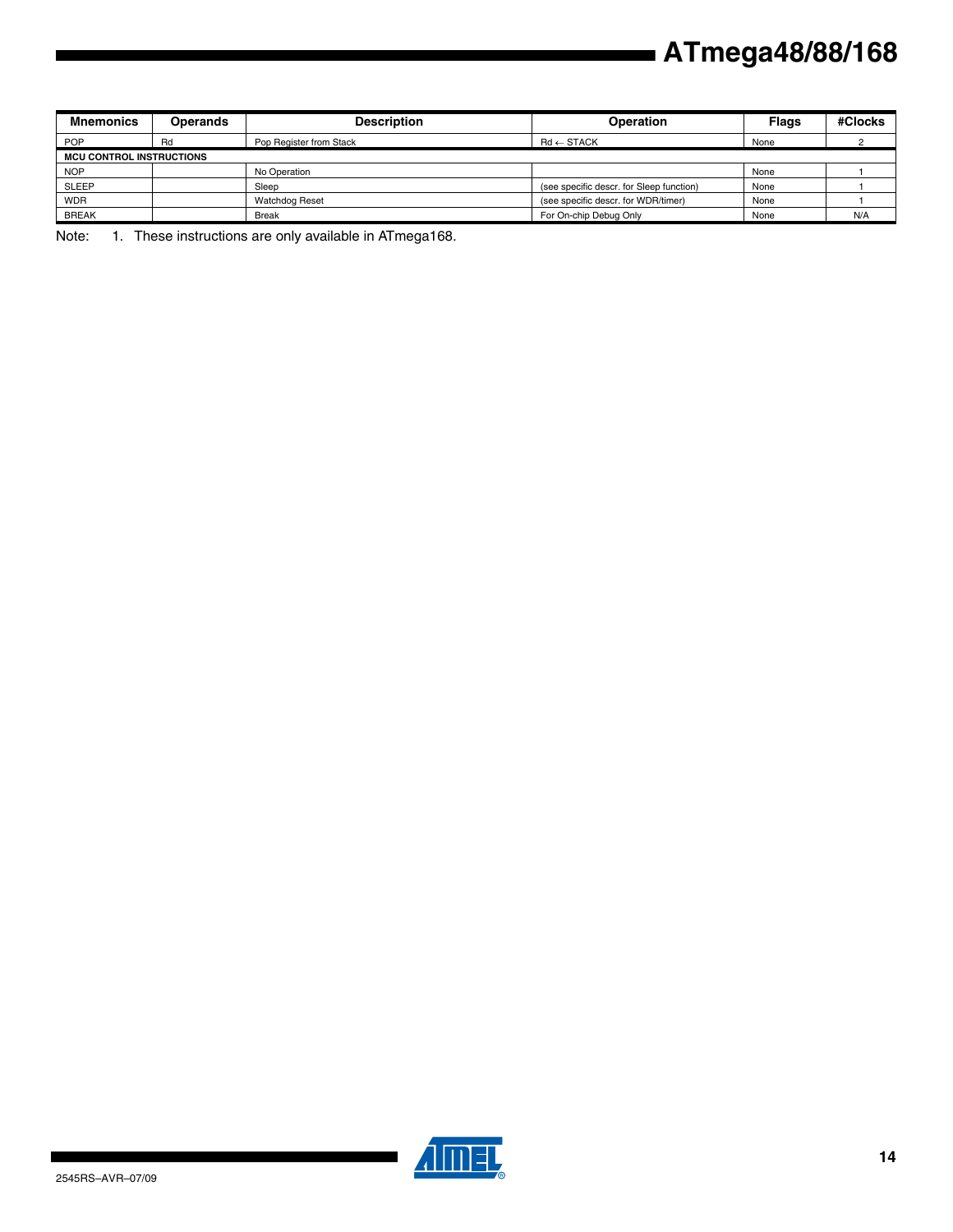| <b>Mnemonics</b>                | <b>Operands</b> | <b>Description</b>      | <b>Operation</b>                         | <b>Flags</b> | #Clocks |
|---------------------------------|-----------------|-------------------------|------------------------------------------|--------------|---------|
| <b>POP</b>                      | Rd              | Pop Register from Stack | $\mathsf{Rd} \leftarrow \mathsf{STACK}$  | None         |         |
| <b>MCU CONTROL INSTRUCTIONS</b> |                 |                         |                                          |              |         |
| <b>NOP</b>                      |                 | No Operation            |                                          | None         |         |
| <b>SLEEP</b>                    |                 | Sleep                   | (see specific descr. for Sleep function) | None         |         |
| <b>WDR</b>                      |                 | <b>Watchdog Reset</b>   | (see specific descr. for WDR/timer)      | None         |         |
| <b>BREAK</b>                    |                 | <b>Break</b>            | For On-chip Debug Only                   | None         | N/A     |

Note: 1. These instructions are only available in ATmega168.



▊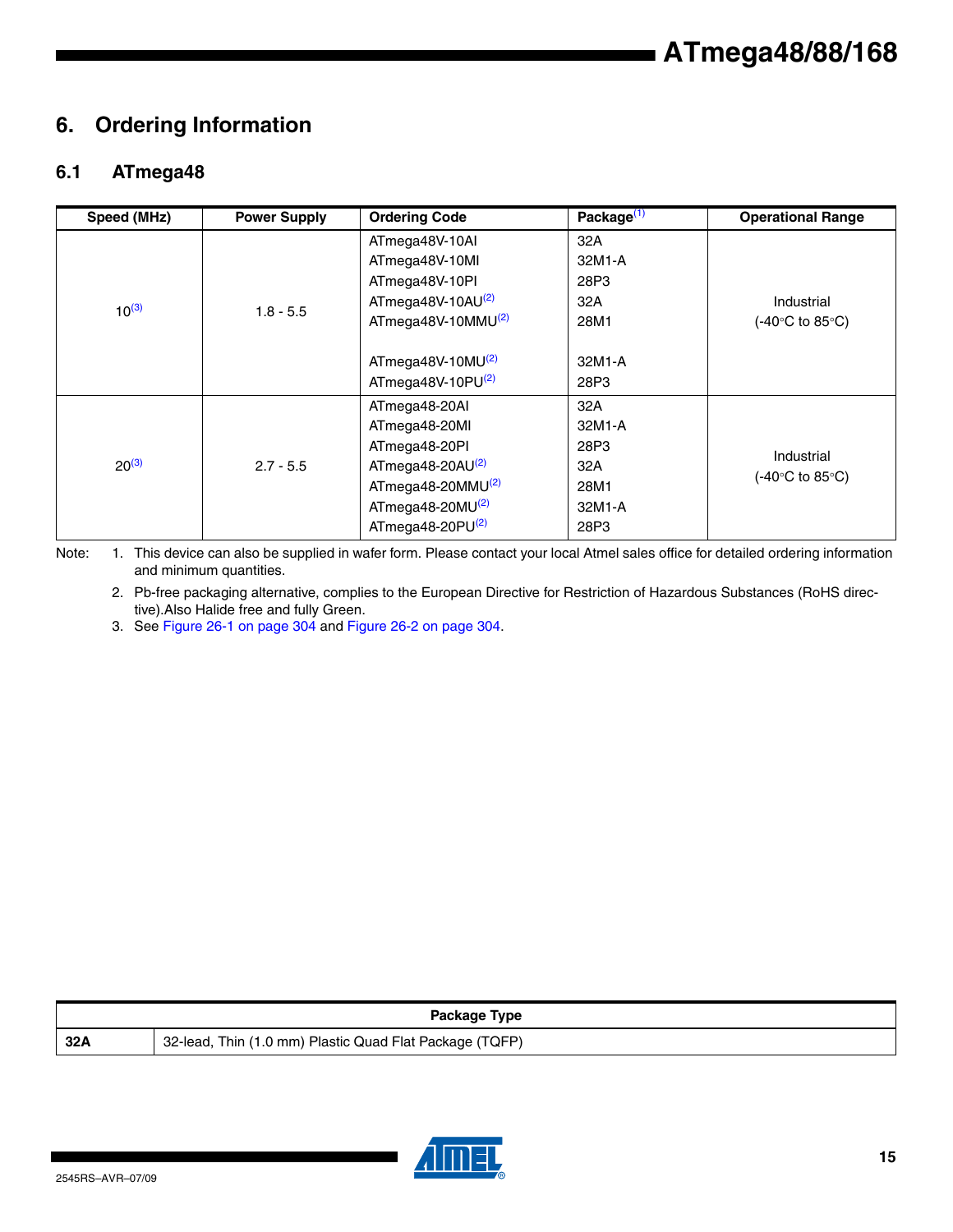## **6. Ordering Information**

## **6.1 ATmega48**

| Speed (MHz) | <b>Power Supply</b> | <b>Ordering Code</b>          | Package $(1)$ | <b>Operational Range</b>                 |
|-------------|---------------------|-------------------------------|---------------|------------------------------------------|
|             |                     | ATmega48V-10AI                | 32A           |                                          |
|             |                     | ATmega48V-10MI                | 32M1-A        |                                          |
|             |                     | ATmega48V-10PI                | 28P3          |                                          |
| $10^{(3)}$  | $1.8 - 5.5$         | ATmega48V-10AU $(2)$          | 32A           | Industrial                               |
|             |                     | ATmega48V-10MMU $^{(2)}$      | 28M1          | $(-40^{\circ}C \text{ to } 85^{\circ}C)$ |
|             |                     |                               |               |                                          |
|             |                     | ATmega48V-10MU(2)             | 32M1-A        |                                          |
|             |                     | ATmega48V-10PU(2)             | 28P3          |                                          |
|             |                     | ATmega48-20AI                 | 32A           |                                          |
|             |                     | ATmega48-20MI                 | 32M1-A        |                                          |
|             |                     | ATmega48-20PI                 | 28P3          |                                          |
| $20^{(3)}$  | $2.7 - 5.5$         | ATmega48-20AU $(2)$           | 32A           | Industrial                               |
|             |                     | ATmega48-20MMU <sup>(2)</sup> | 28M1          | $(-40^{\circ}$ C to 85 $^{\circ}$ C)     |
|             |                     | ATmega48-20MU $(2)$           | 32M1-A        |                                          |
|             |                     | ATmega48-20PU <sup>(2)</sup>  | 28P3          |                                          |

Note: 1. This device can also be supplied in wafer form. Please contact your local Atmel sales office for detailed ordering information and minimum quantities.

2. Pb-free packaging alternative, complies to the European Directive for Restriction of Hazardous Substances (RoHS directive).Also Halide free and fully Green.

3. See Figure 26-1 on page 304 and Figure 26-2 on page 304.

|     | Package Type                                            |
|-----|---------------------------------------------------------|
| 32A | 32-lead, Thin (1.0 mm) Plastic Quad Flat Package (TQFP) |

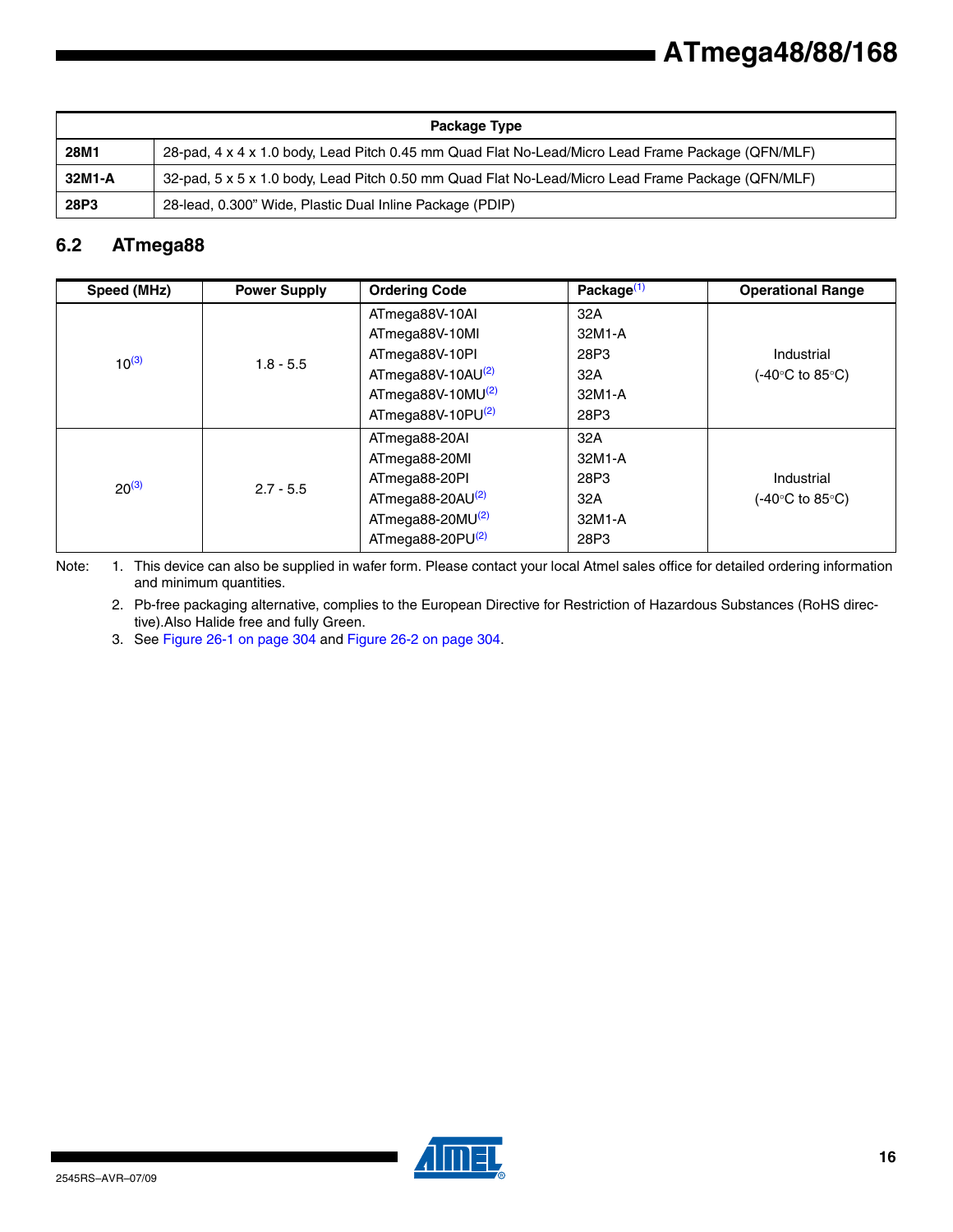|        | Package Type                                                                                      |
|--------|---------------------------------------------------------------------------------------------------|
| 28M1   | 28-pad, 4 x 4 x 1.0 body, Lead Pitch 0.45 mm Quad Flat No-Lead/Micro Lead Frame Package (QFN/MLF) |
| 32M1-A | 32-pad, 5 x 5 x 1.0 body, Lead Pitch 0.50 mm Quad Flat No-Lead/Micro Lead Frame Package (QFN/MLF) |
| 28P3   | 28-lead, 0.300" Wide, Plastic Dual Inline Package (PDIP)                                          |

### **6.2 ATmega88**

| Speed (MHz) | <b>Power Supply</b> | <b>Ordering Code</b>         | Package $(1)$ | <b>Operational Range</b> |
|-------------|---------------------|------------------------------|---------------|--------------------------|
| $10^{(3)}$  | $1.8 - 5.5$         | ATmega88V-10AI               | 32A           |                          |
|             |                     | ATmega88V-10MI               | 32M1-A        |                          |
|             |                     | ATmega88V-10PI               | 28P3          | Industrial               |
|             |                     | ATmega88V-10AU(2)            | 32A           | (-40°C to 85°C).         |
|             |                     | ATmega88V-10MU(2)            | 32M1-A        |                          |
|             |                     | ATmega88V-10PU $(2)$         | 28P3          |                          |
| $20^{(3)}$  | $2.7 - 5.5$         | ATmega88-20AI                | 32A           |                          |
|             |                     | ATmega88-20MI                | 32M1-A        |                          |
|             |                     | ATmega88-20PI                | 28P3          | Industrial               |
|             |                     | ATmega88-20AU <sup>(2)</sup> | 32A           | (-40°C to 85°C)          |
|             |                     | ATmega88-20MU <sup>(2)</sup> | 32M1-A        |                          |
|             |                     | ATmega88-20PU <sup>(2)</sup> | 28P3          |                          |

Note: 1. This device can also be supplied in wafer form. Please contact your local Atmel sales office for detailed ordering information and minimum quantities.

2. Pb-free packaging alternative, complies to the European Directive for Restriction of Hazardous Substances (RoHS directive).Also Halide free and fully Green.

3. See Figure 26-1 on page 304 and Figure 26-2 on page 304.

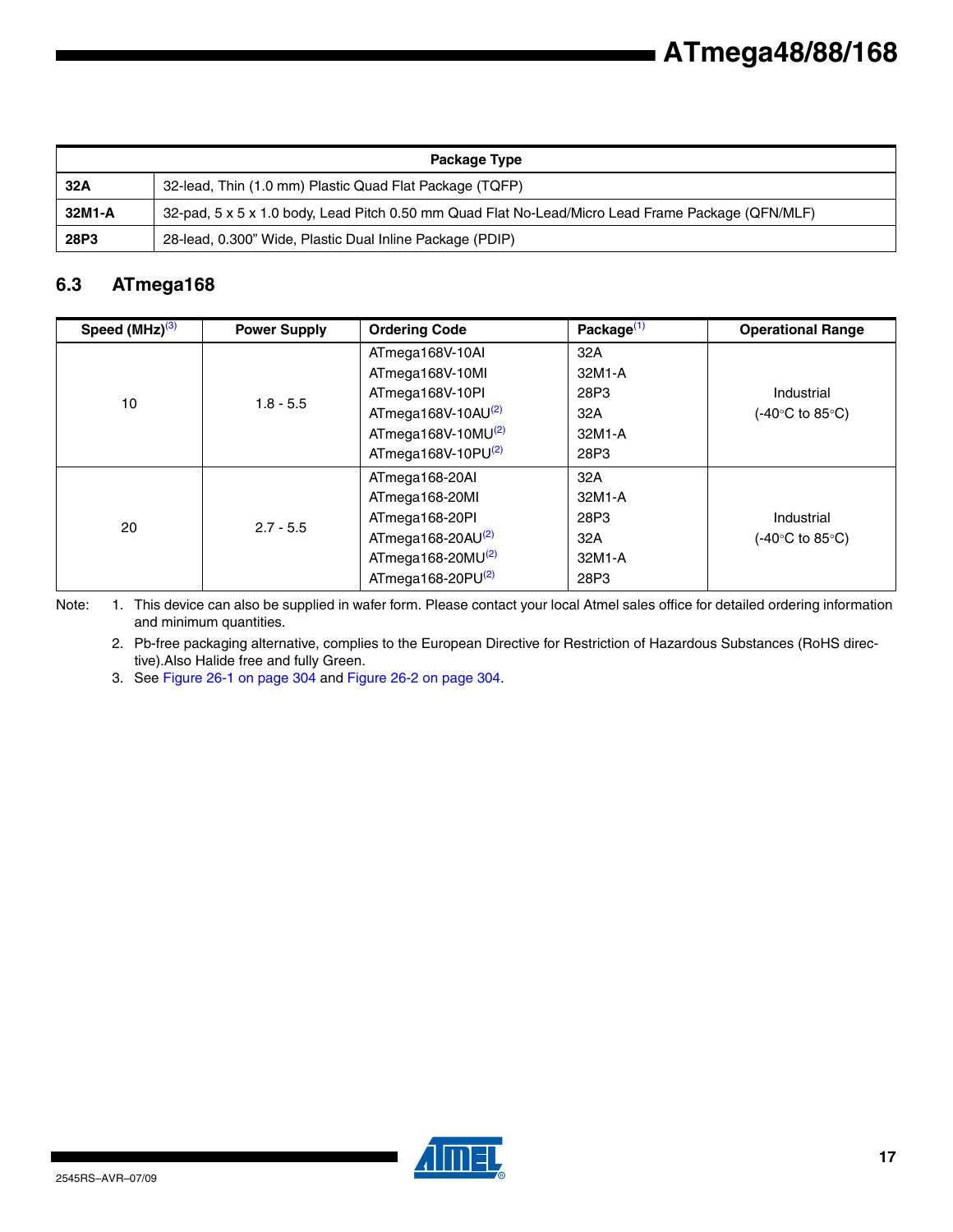| Package Type |                                                                                                   |  |  |  |
|--------------|---------------------------------------------------------------------------------------------------|--|--|--|
| 32A          | 32-lead, Thin (1.0 mm) Plastic Quad Flat Package (TQFP)                                           |  |  |  |
| 32M1-A       | 32-pad, 5 x 5 x 1.0 body, Lead Pitch 0.50 mm Quad Flat No-Lead/Micro Lead Frame Package (QFN/MLF) |  |  |  |
| 28P3         | 28-lead, 0.300" Wide, Plastic Dual Inline Package (PDIP)                                          |  |  |  |

## **6.3 ATmega168**

| Speed $(MHz)^{(3)}$ | <b>Power Supply</b> | <b>Ordering Code</b>     | Package <sup>(1)</sup> | <b>Operational Range</b>                 |
|---------------------|---------------------|--------------------------|------------------------|------------------------------------------|
| 10                  | $1.8 - 5.5$         | ATmega168V-10AI          | 32A                    |                                          |
|                     |                     | ATmega168V-10MI          | 32M1-A                 |                                          |
|                     |                     | ATmega168V-10PI          | 28P3                   | Industrial                               |
|                     |                     | ATmega168V-10AU $(2)$    | 32A                    | (-40°C to 85°C)                          |
|                     |                     | $ATmega168V-10MU(2)$     | 32M1-A                 |                                          |
|                     |                     | ATmega168V-10PU $^{(2)}$ | 28P3                   |                                          |
| 20                  | $2.7 - 5.5$         | ATmega168-20AI           | 32A                    |                                          |
|                     |                     | ATmega168-20MI           | 32M1-A                 |                                          |
|                     |                     | ATmega168-20PI           | 28P3                   | Industrial                               |
|                     |                     | ATmega168-20AU $(2)$     | 32A                    | $(-40^{\circ}C \text{ to } 85^{\circ}C)$ |
|                     |                     | ATmega168-20MU $(2)$     | 32M1-A                 |                                          |
|                     |                     | ATmega168-20 $PU^{(2)}$  | 28P3                   |                                          |

Note: 1. This device can also be supplied in wafer form. Please contact your local Atmel sales office for detailed ordering information and minimum quantities.

2. Pb-free packaging alternative, complies to the European Directive for Restriction of Hazardous Substances (RoHS directive).Also Halide free and fully Green.

3. See Figure 26-1 on page 304 and Figure 26-2 on page 304.

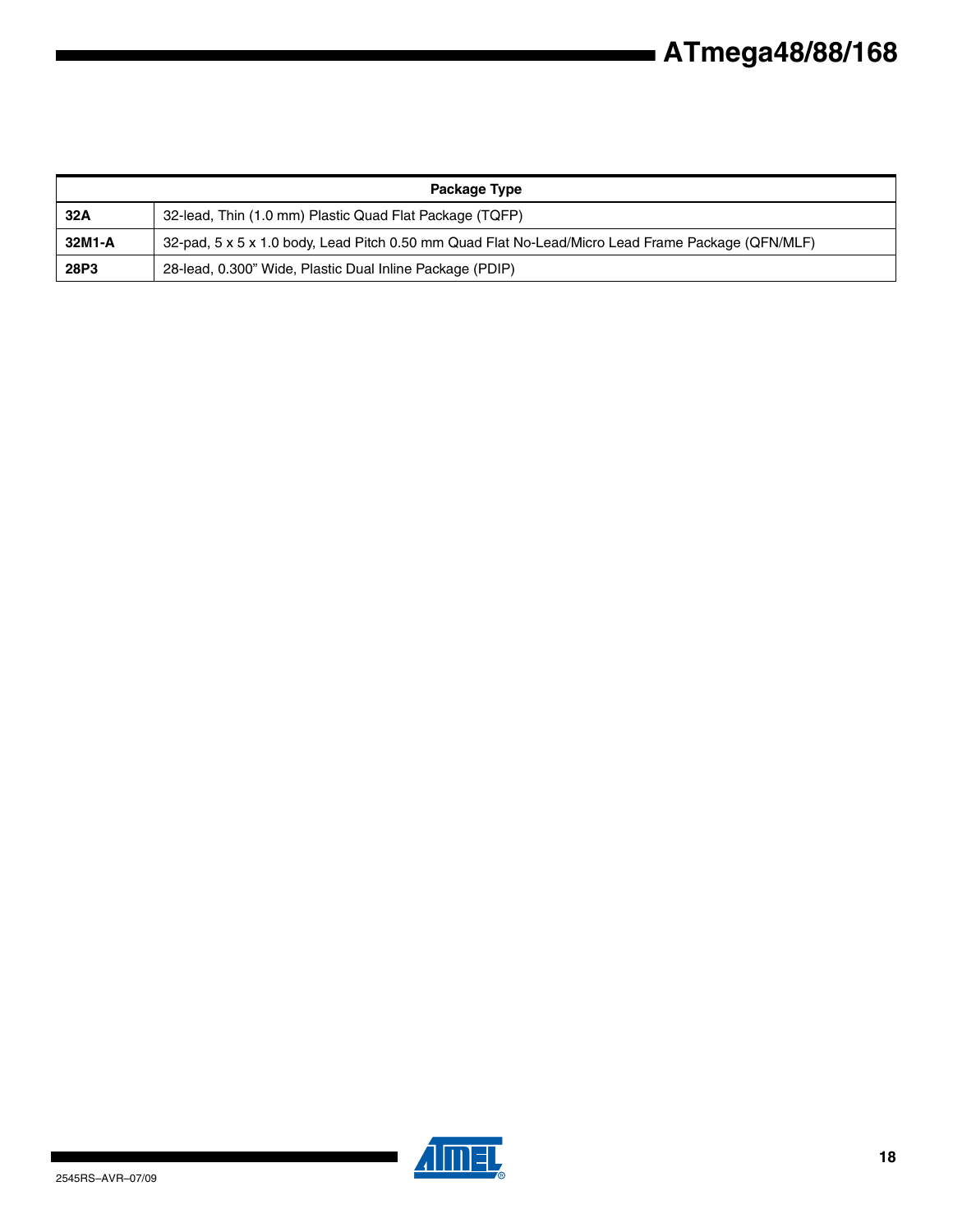| Package Type |                                                                                                   |  |  |  |
|--------------|---------------------------------------------------------------------------------------------------|--|--|--|
| 32A          | 32-lead, Thin (1.0 mm) Plastic Quad Flat Package (TQFP)                                           |  |  |  |
| 32M1-A       | 32-pad, 5 x 5 x 1.0 body, Lead Pitch 0.50 mm Quad Flat No-Lead/Micro Lead Frame Package (QFN/MLF) |  |  |  |
| 28P3         | 28-lead, 0.300" Wide, Plastic Dual Inline Package (PDIP)                                          |  |  |  |



 $\blacksquare$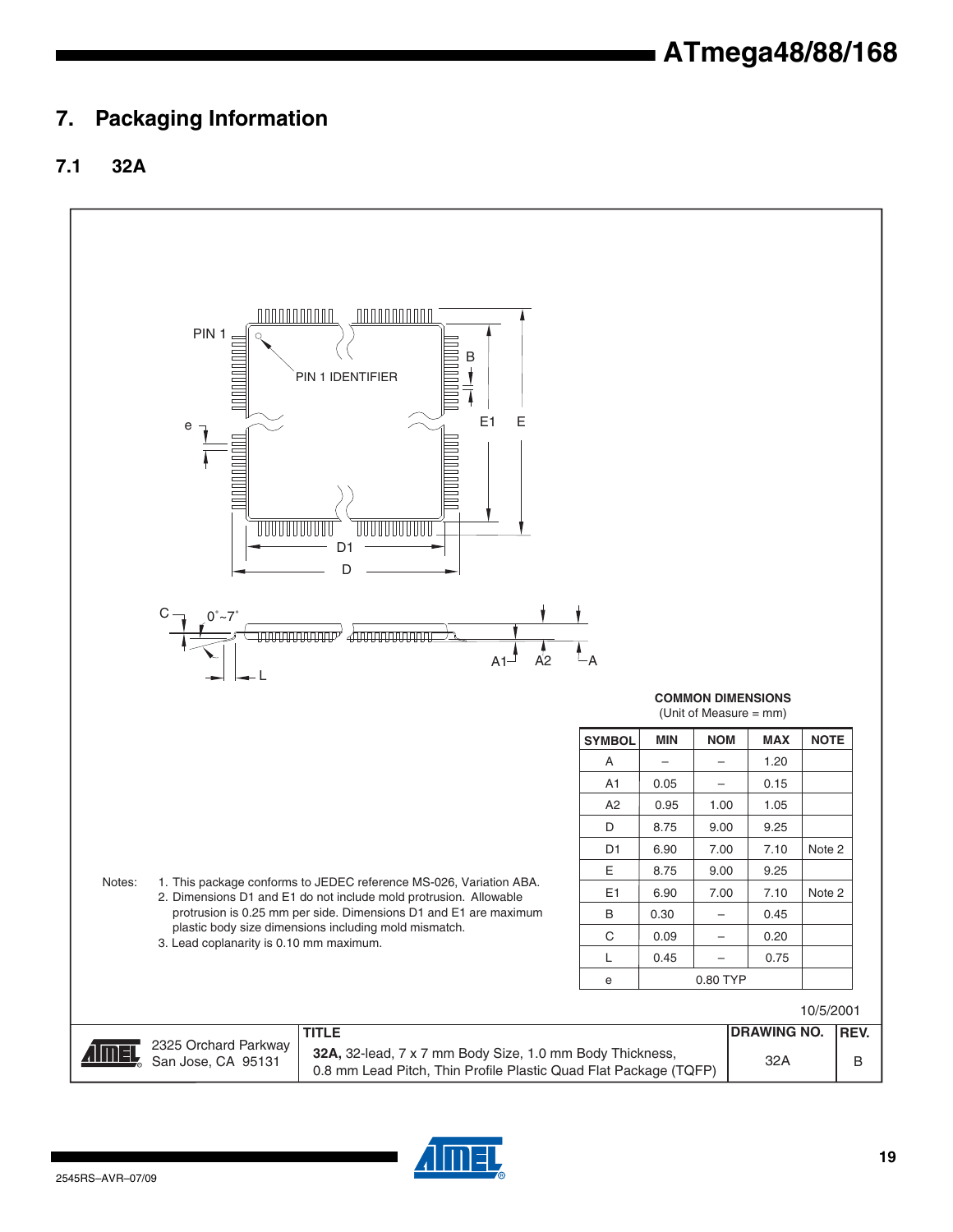## **7. Packaging Information**

## **7.1 32A**



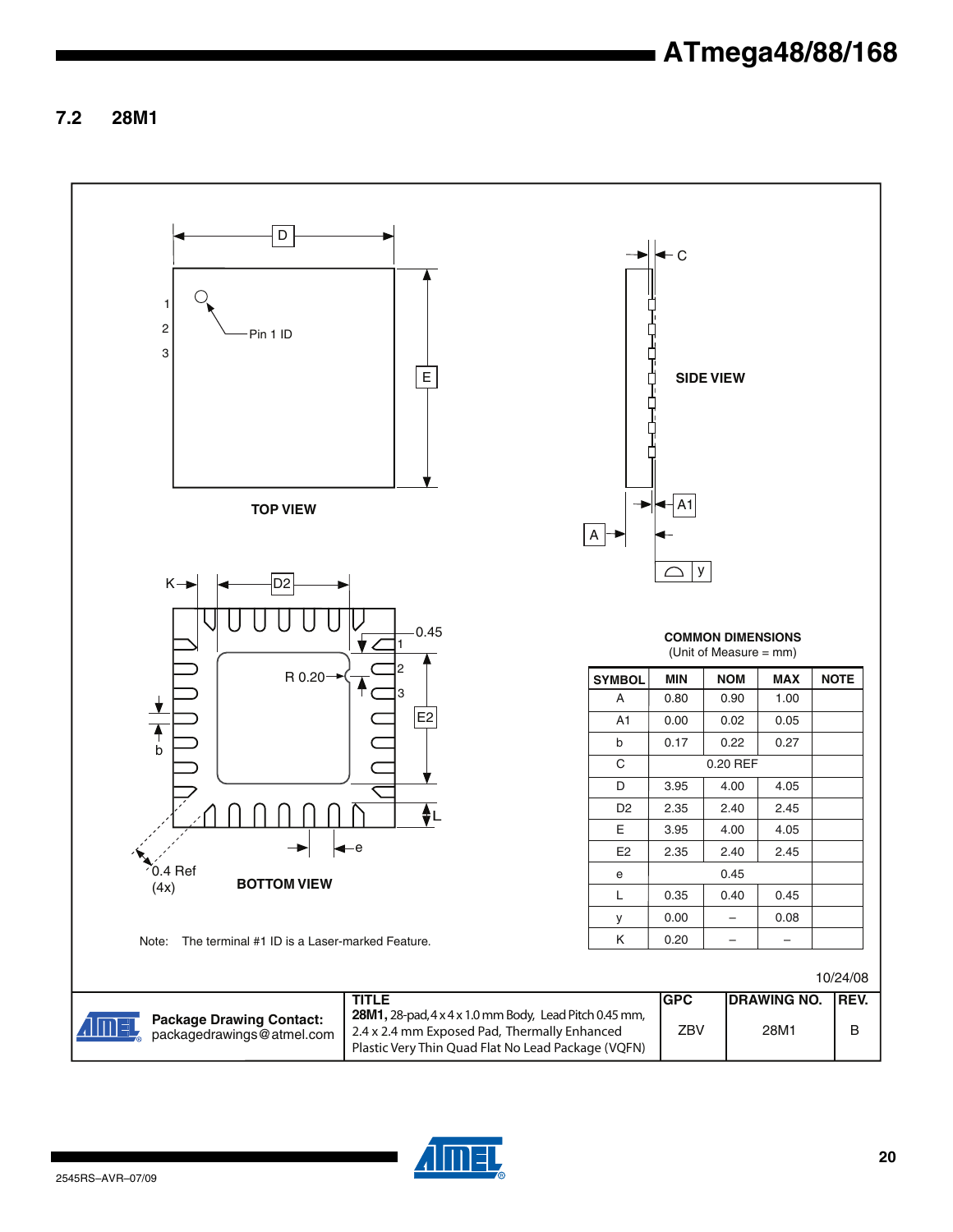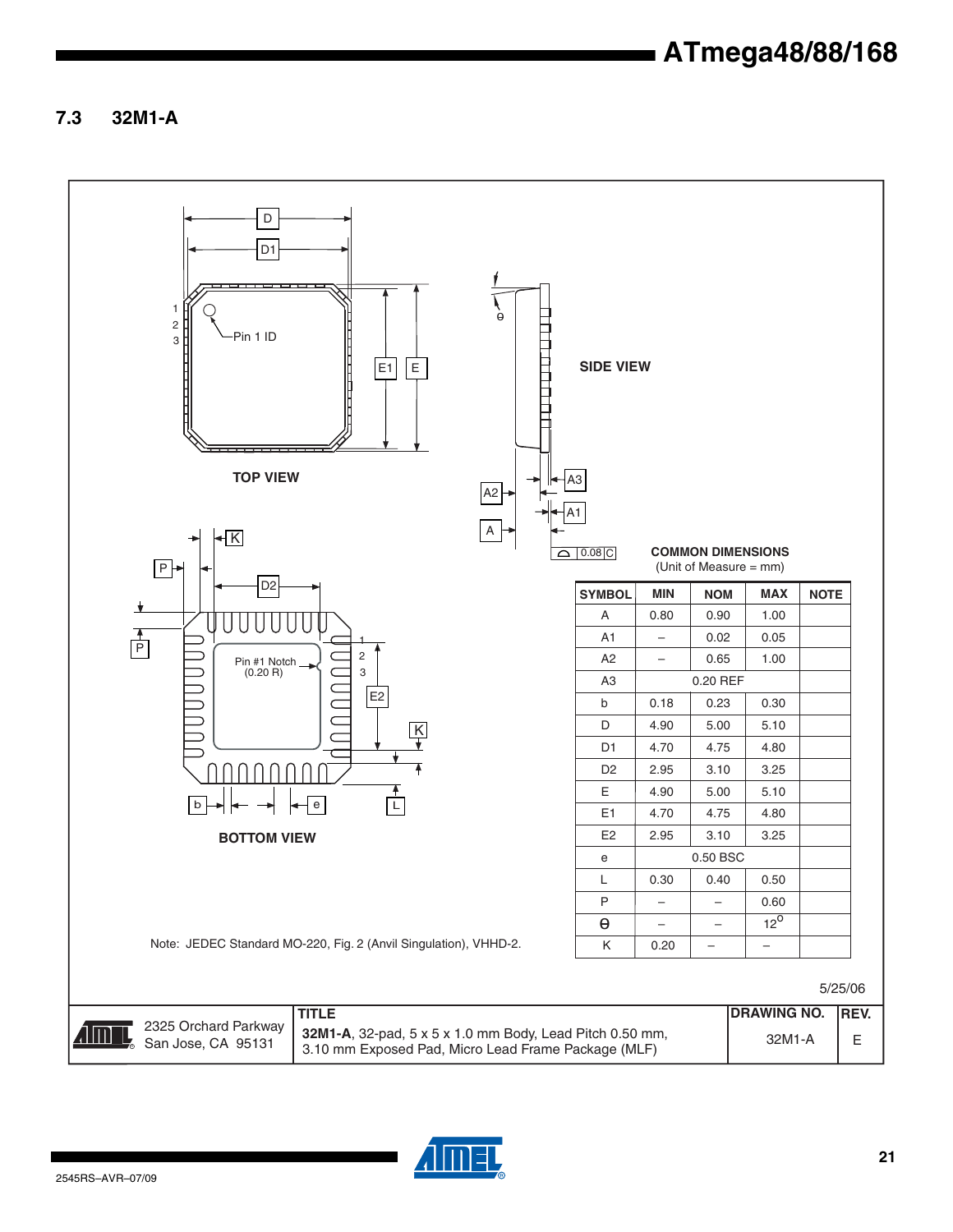**7.3 32M1-A**



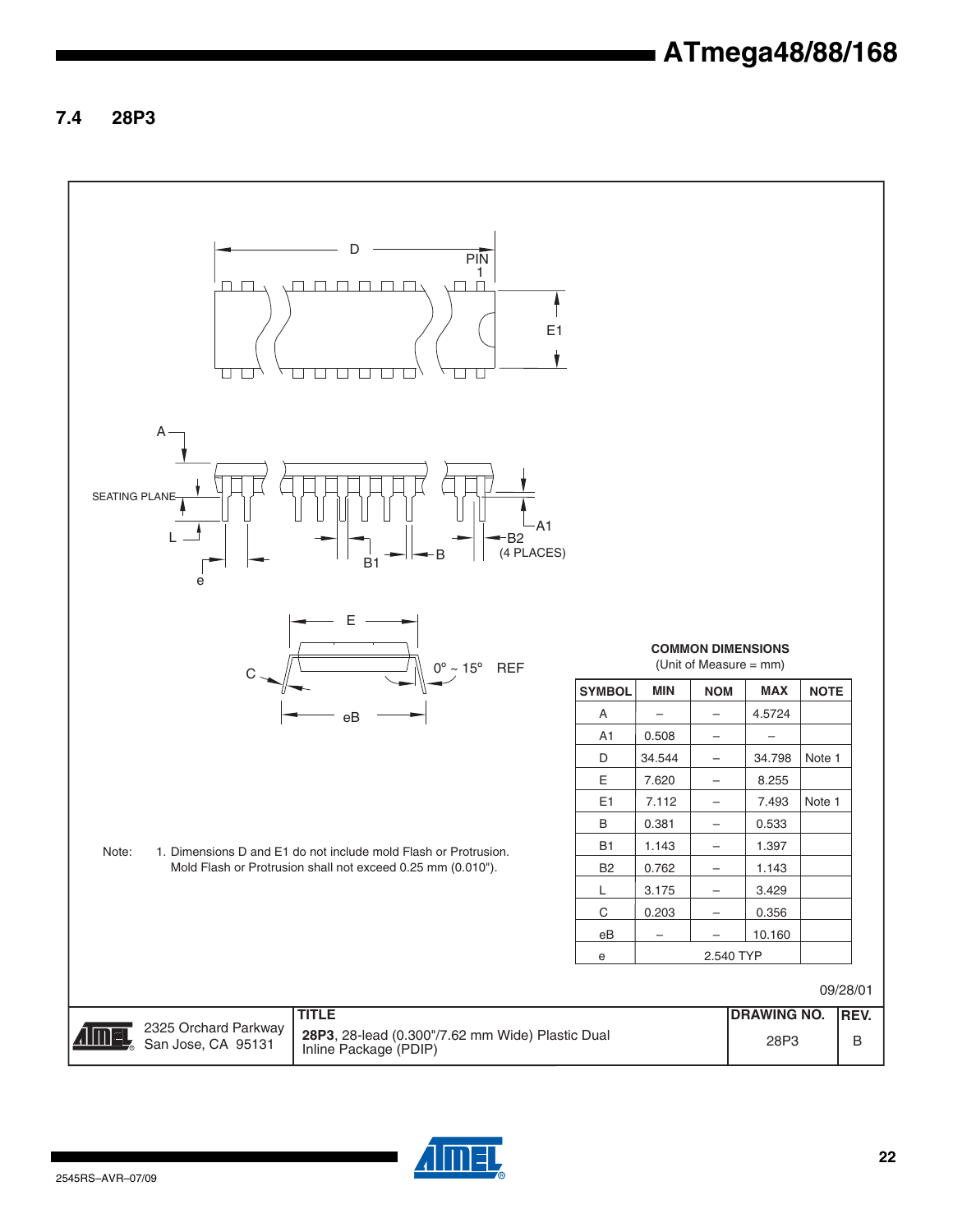### **7.4 28P3**



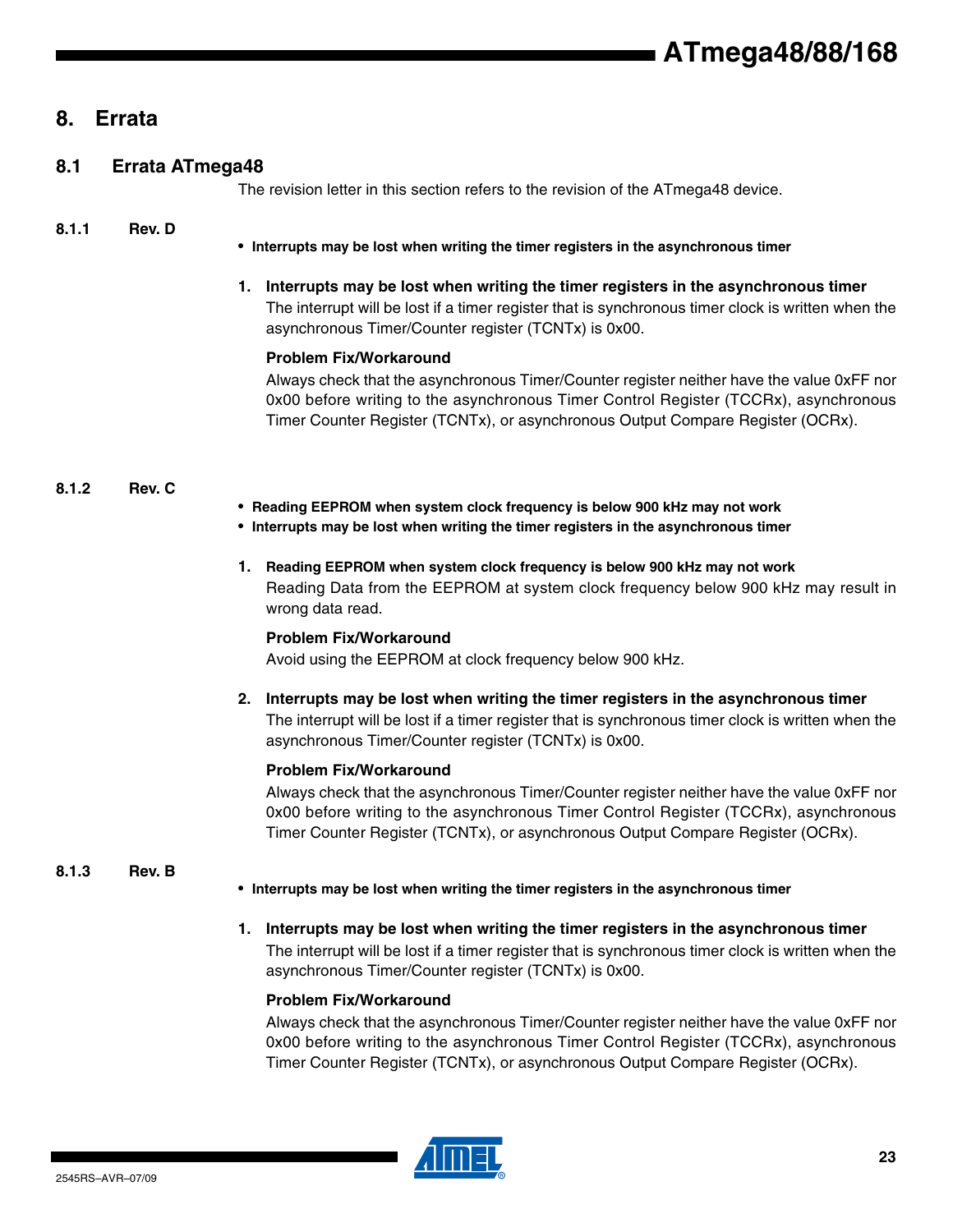## **8. Errata**

| 8.1 | <b>Errata ATmega48</b> |  |
|-----|------------------------|--|
|     |                        |  |

The revision letter in this section refers to the revision of the ATmega48 device.

#### **8.1.1 Rev. D**

• **Interrupts may be lost when writing the timer registers in the asynchronous timer**

**1. Interrupts may be lost when writing the timer registers in the asynchronous timer** The interrupt will be lost if a timer register that is synchronous timer clock is written when the asynchronous Timer/Counter register (TCNTx) is 0x00.

#### **Problem Fix/Workaround**

Always check that the asynchronous Timer/Counter register neither have the value 0xFF nor 0x00 before writing to the asynchronous Timer Control Register (TCCRx), asynchronous Timer Counter Register (TCNTx), or asynchronous Output Compare Register (OCRx).

#### **8.1.2 Rev. C**

- **Reading EEPROM when system clock frequency is below 900 kHz may not work**
- **Interrupts may be lost when writing the timer registers in the asynchronous timer**
- **1. Reading EEPROM when system clock frequency is below 900 kHz may not work** Reading Data from the EEPROM at system clock frequency below 900 kHz may result in wrong data read.

#### **Problem Fix/Workaround**

Avoid using the EEPROM at clock frequency below 900 kHz.

**2. Interrupts may be lost when writing the timer registers in the asynchronous timer** The interrupt will be lost if a timer register that is synchronous timer clock is written when the asynchronous Timer/Counter register (TCNTx) is 0x00.

#### **Problem Fix/Workaround**

Always check that the asynchronous Timer/Counter register neither have the value 0xFF nor 0x00 before writing to the asynchronous Timer Control Register (TCCRx), asynchronous Timer Counter Register (TCNTx), or asynchronous Output Compare Register (OCRx).

#### **8.1.3 Rev. B**

- **Interrupts may be lost when writing the timer registers in the asynchronous timer**
- **1. Interrupts may be lost when writing the timer registers in the asynchronous timer** The interrupt will be lost if a timer register that is synchronous timer clock is written when the asynchronous Timer/Counter register (TCNTx) is 0x00.

#### **Problem Fix/Workaround**

Always check that the asynchronous Timer/Counter register neither have the value 0xFF nor 0x00 before writing to the asynchronous Timer Control Register (TCCRx), asynchronous Timer Counter Register (TCNTx), or asynchronous Output Compare Register (OCRx).

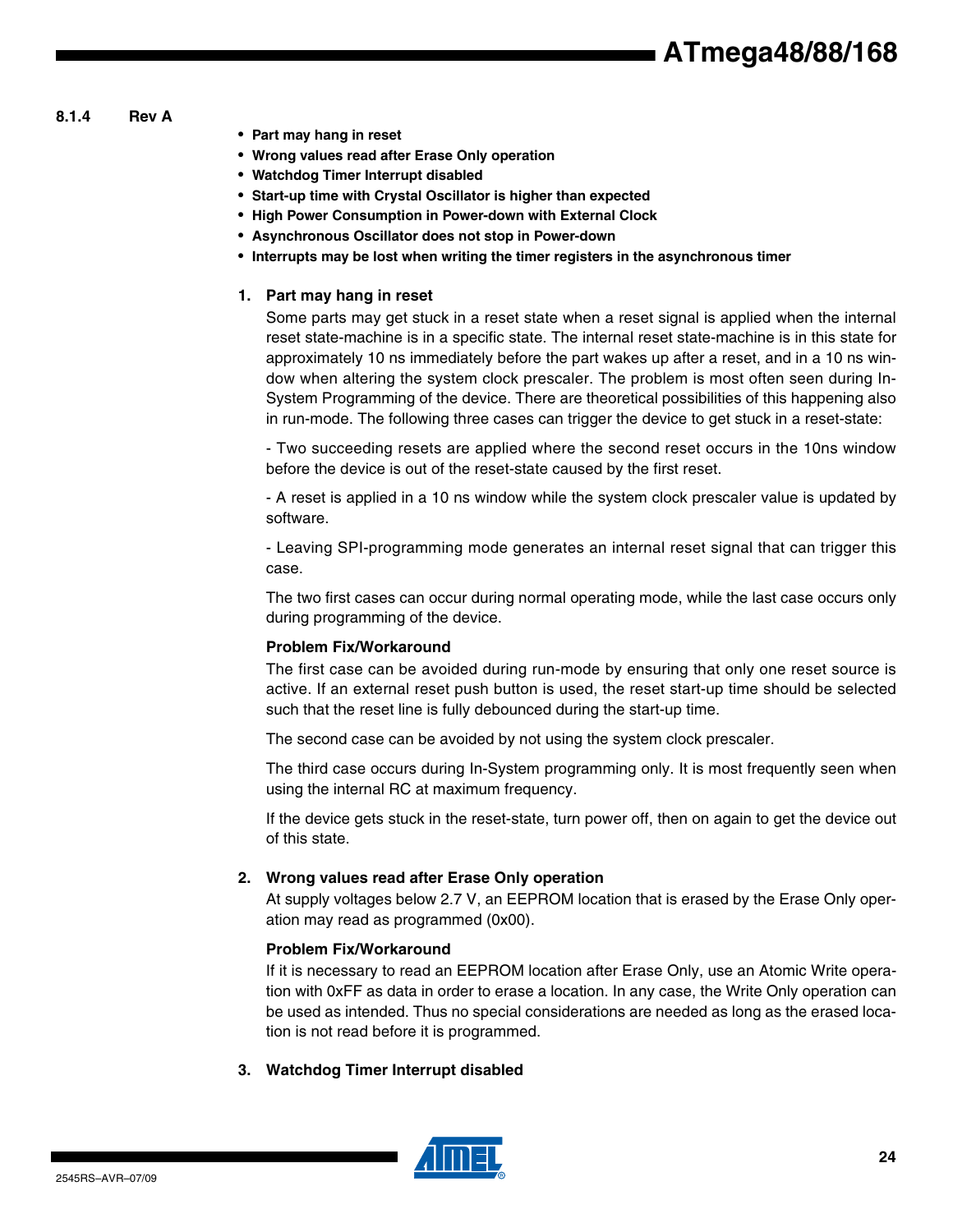- **8.1.4 Rev A**
- **Part may hang in reset**
- **Wrong values read after Erase Only operation**
- **Watchdog Timer Interrupt disabled**
- **Start-up time with Crystal Oscillator is higher than expected**
- **High Power Consumption in Power-down with External Clock**
- **Asynchronous Oscillator does not stop in Power-down**
- **Interrupts may be lost when writing the timer registers in the asynchronous timer**

#### **1. Part may hang in reset**

Some parts may get stuck in a reset state when a reset signal is applied when the internal reset state-machine is in a specific state. The internal reset state-machine is in this state for approximately 10 ns immediately before the part wakes up after a reset, and in a 10 ns window when altering the system clock prescaler. The problem is most often seen during In-System Programming of the device. There are theoretical possibilities of this happening also in run-mode. The following three cases can trigger the device to get stuck in a reset-state:

- Two succeeding resets are applied where the second reset occurs in the 10ns window before the device is out of the reset-state caused by the first reset.

- A reset is applied in a 10 ns window while the system clock prescaler value is updated by software.

- Leaving SPI-programming mode generates an internal reset signal that can trigger this case.

The two first cases can occur during normal operating mode, while the last case occurs only during programming of the device.

#### **Problem Fix/Workaround**

The first case can be avoided during run-mode by ensuring that only one reset source is active. If an external reset push button is used, the reset start-up time should be selected such that the reset line is fully debounced during the start-up time.

The second case can be avoided by not using the system clock prescaler.

The third case occurs during In-System programming only. It is most frequently seen when using the internal RC at maximum frequency.

If the device gets stuck in the reset-state, turn power off, then on again to get the device out of this state.

#### **2. Wrong values read after Erase Only operation**

At supply voltages below 2.7 V, an EEPROM location that is erased by the Erase Only operation may read as programmed (0x00).

#### **Problem Fix/Workaround**

If it is necessary to read an EEPROM location after Erase Only, use an Atomic Write operation with 0xFF as data in order to erase a location. In any case, the Write Only operation can be used as intended. Thus no special considerations are needed as long as the erased location is not read before it is programmed.

**3. Watchdog Timer Interrupt disabled**

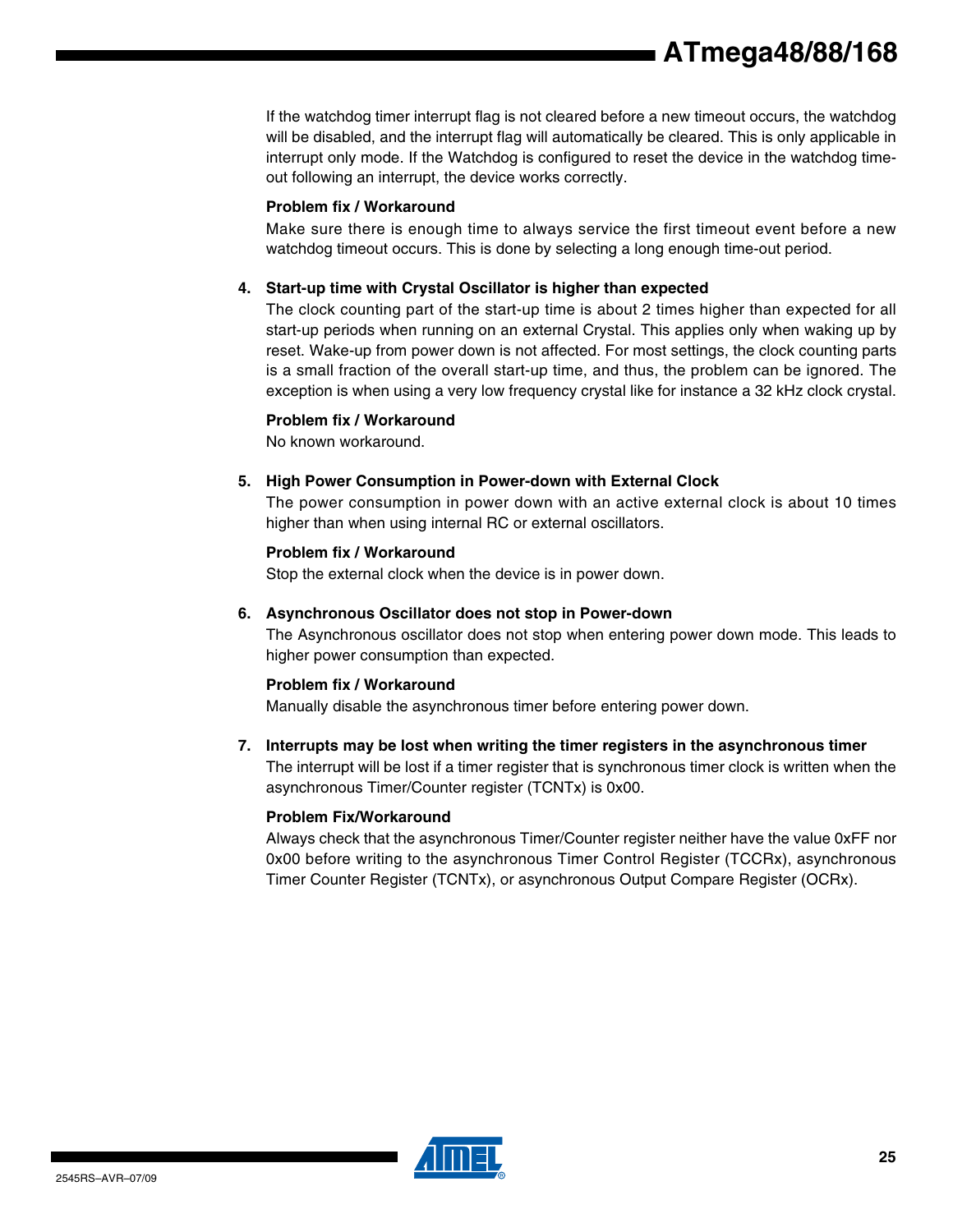If the watchdog timer interrupt flag is not cleared before a new timeout occurs, the watchdog will be disabled, and the interrupt flag will automatically be cleared. This is only applicable in interrupt only mode. If the Watchdog is configured to reset the device in the watchdog timeout following an interrupt, the device works correctly.

#### **Problem fix / Workaround**

Make sure there is enough time to always service the first timeout event before a new watchdog timeout occurs. This is done by selecting a long enough time-out period.

#### **4. Start-up time with Crystal Oscillator is higher than expected**

The clock counting part of the start-up time is about 2 times higher than expected for all start-up periods when running on an external Crystal. This applies only when waking up by reset. Wake-up from power down is not affected. For most settings, the clock counting parts is a small fraction of the overall start-up time, and thus, the problem can be ignored. The exception is when using a very low frequency crystal like for instance a 32 kHz clock crystal.

#### **Problem fix / Workaround**

No known workaround.

#### **5. High Power Consumption in Power-down with External Clock**

The power consumption in power down with an active external clock is about 10 times higher than when using internal RC or external oscillators.

#### **Problem fix / Workaround**

Stop the external clock when the device is in power down.

#### **6. Asynchronous Oscillator does not stop in Power-down**

The Asynchronous oscillator does not stop when entering power down mode. This leads to higher power consumption than expected.

#### **Problem fix / Workaround**

Manually disable the asynchronous timer before entering power down.

#### **7. Interrupts may be lost when writing the timer registers in the asynchronous timer**

The interrupt will be lost if a timer register that is synchronous timer clock is written when the asynchronous Timer/Counter register (TCNTx) is 0x00.

#### **Problem Fix/Workaround**

Always check that the asynchronous Timer/Counter register neither have the value 0xFF nor 0x00 before writing to the asynchronous Timer Control Register (TCCRx), asynchronous Timer Counter Register (TCNTx), or asynchronous Output Compare Register (OCRx).

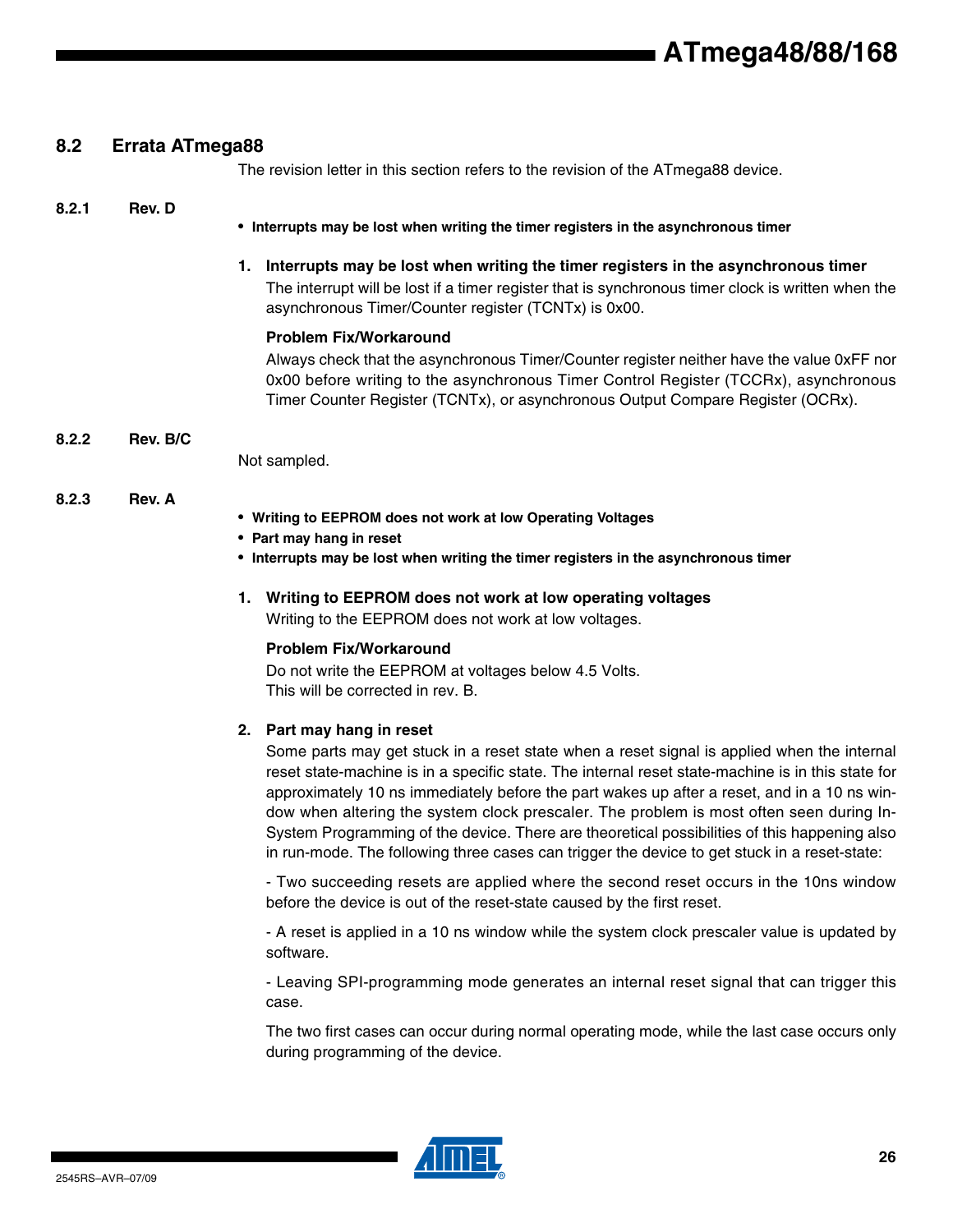#### **8.2 Errata ATmega88**

The revision letter in this section refers to the revision of the ATmega88 device.

#### **8.2.1 Rev. D**

- **Interrupts may be lost when writing the timer registers in the asynchronous timer**
- **1. Interrupts may be lost when writing the timer registers in the asynchronous timer** The interrupt will be lost if a timer register that is synchronous timer clock is written when the asynchronous Timer/Counter register (TCNTx) is 0x00.

#### **Problem Fix/Workaround**

Always check that the asynchronous Timer/Counter register neither have the value 0xFF nor 0x00 before writing to the asynchronous Timer Control Register (TCCRx), asynchronous Timer Counter Register (TCNTx), or asynchronous Output Compare Register (OCRx).

#### **8.2.2 Rev. B/C**

Not sampled.

#### **8.2.3 Rev. A**

- **Writing to EEPROM does not work at low Operating Voltages**
- **Part may hang in reset**
- **Interrupts may be lost when writing the timer registers in the asynchronous timer**
- **1. Writing to EEPROM does not work at low operating voltages** Writing to the EEPROM does not work at low voltages.

#### **Problem Fix/Workaround**

Do not write the EEPROM at voltages below 4.5 Volts. This will be corrected in rev. B.

#### **2. Part may hang in reset**

Some parts may get stuck in a reset state when a reset signal is applied when the internal reset state-machine is in a specific state. The internal reset state-machine is in this state for approximately 10 ns immediately before the part wakes up after a reset, and in a 10 ns window when altering the system clock prescaler. The problem is most often seen during In-System Programming of the device. There are theoretical possibilities of this happening also in run-mode. The following three cases can trigger the device to get stuck in a reset-state:

- Two succeeding resets are applied where the second reset occurs in the 10ns window before the device is out of the reset-state caused by the first reset.

- A reset is applied in a 10 ns window while the system clock prescaler value is updated by software.

- Leaving SPI-programming mode generates an internal reset signal that can trigger this case.

The two first cases can occur during normal operating mode, while the last case occurs only during programming of the device.

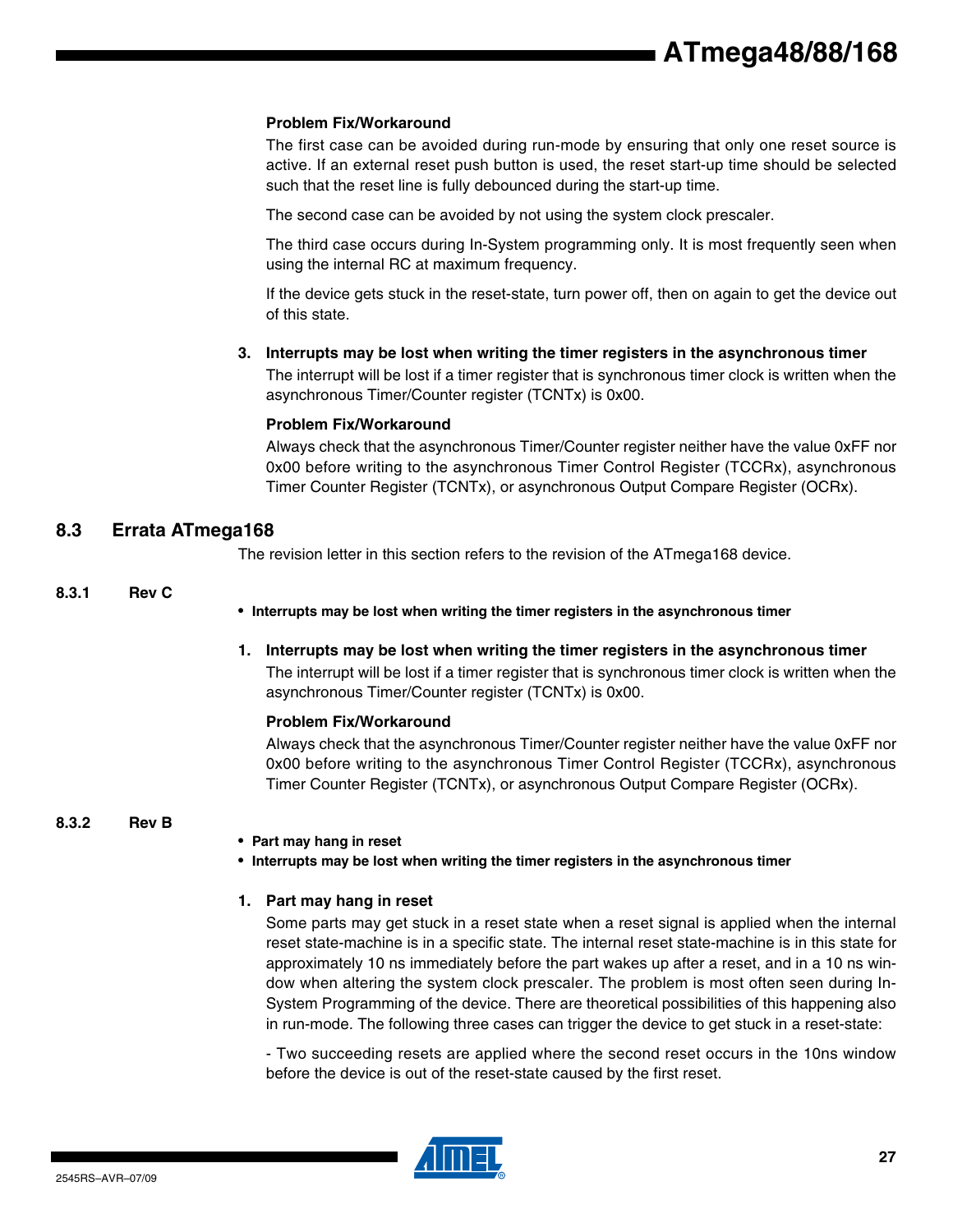#### **Problem Fix/Workaround**

The first case can be avoided during run-mode by ensuring that only one reset source is active. If an external reset push button is used, the reset start-up time should be selected such that the reset line is fully debounced during the start-up time.

The second case can be avoided by not using the system clock prescaler.

The third case occurs during In-System programming only. It is most frequently seen when using the internal RC at maximum frequency.

If the device gets stuck in the reset-state, turn power off, then on again to get the device out of this state.

**3. Interrupts may be lost when writing the timer registers in the asynchronous timer**

The interrupt will be lost if a timer register that is synchronous timer clock is written when the asynchronous Timer/Counter register (TCNTx) is 0x00.

#### **Problem Fix/Workaround**

Always check that the asynchronous Timer/Counter register neither have the value 0xFF nor 0x00 before writing to the asynchronous Timer Control Register (TCCRx), asynchronous Timer Counter Register (TCNTx), or asynchronous Output Compare Register (OCRx).

#### **8.3 Errata ATmega168**

The revision letter in this section refers to the revision of the ATmega168 device.

#### **8.3.1 Rev C**

• **Interrupts may be lost when writing the timer registers in the asynchronous timer**

**1. Interrupts may be lost when writing the timer registers in the asynchronous timer** The interrupt will be lost if a timer register that is synchronous timer clock is written when the asynchronous Timer/Counter register (TCNTx) is 0x00.

#### **Problem Fix/Workaround**

Always check that the asynchronous Timer/Counter register neither have the value 0xFF nor 0x00 before writing to the asynchronous Timer Control Register (TCCRx), asynchronous Timer Counter Register (TCNTx), or asynchronous Output Compare Register (OCRx).

#### **8.3.2 Rev B**

• **Part may hang in reset**

• **Interrupts may be lost when writing the timer registers in the asynchronous timer**

#### **1. Part may hang in reset**

Some parts may get stuck in a reset state when a reset signal is applied when the internal reset state-machine is in a specific state. The internal reset state-machine is in this state for approximately 10 ns immediately before the part wakes up after a reset, and in a 10 ns window when altering the system clock prescaler. The problem is most often seen during In-System Programming of the device. There are theoretical possibilities of this happening also in run-mode. The following three cases can trigger the device to get stuck in a reset-state:

- Two succeeding resets are applied where the second reset occurs in the 10ns window before the device is out of the reset-state caused by the first reset.

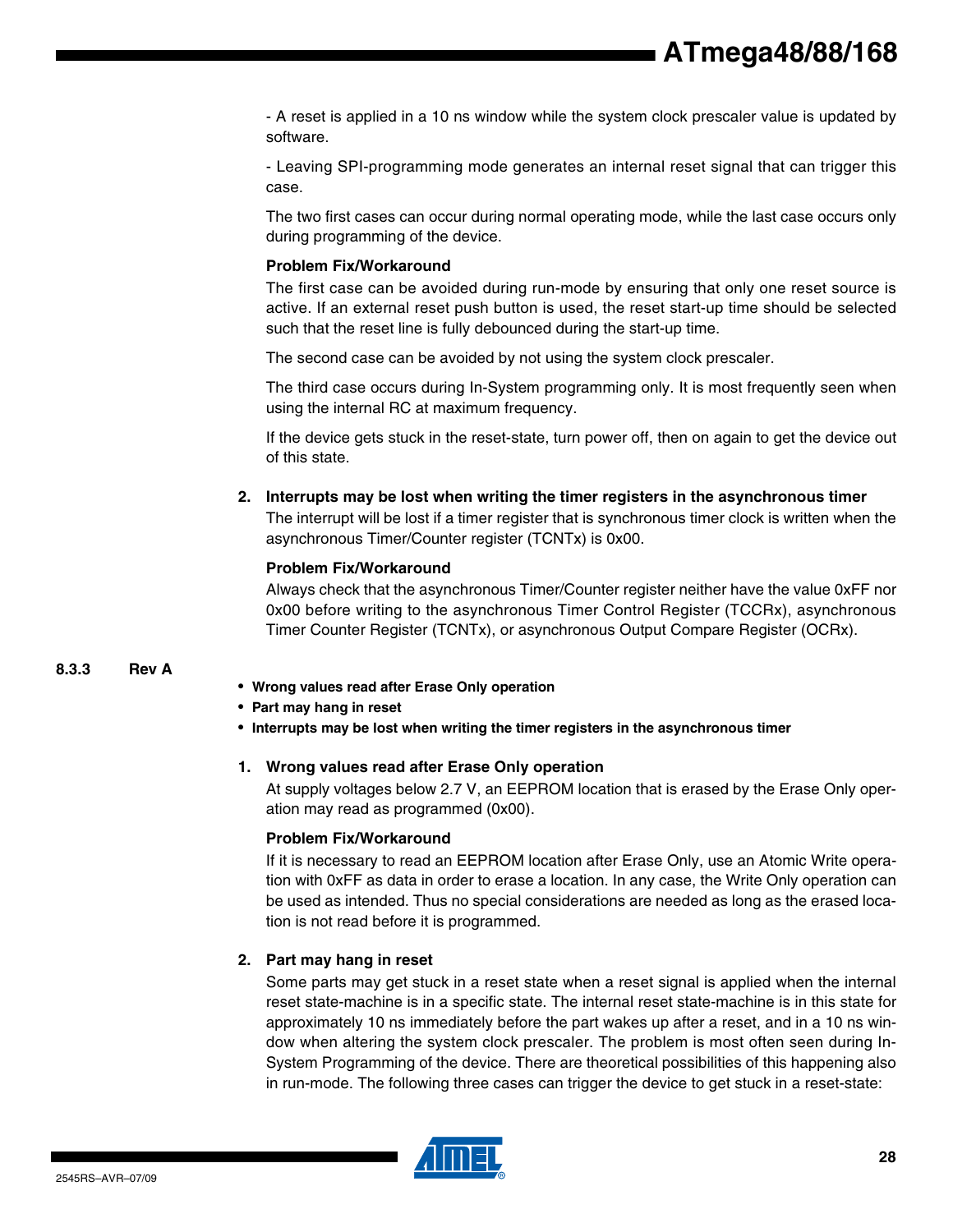- A reset is applied in a 10 ns window while the system clock prescaler value is updated by software.

- Leaving SPI-programming mode generates an internal reset signal that can trigger this case.

The two first cases can occur during normal operating mode, while the last case occurs only during programming of the device.

#### **Problem Fix/Workaround**

The first case can be avoided during run-mode by ensuring that only one reset source is active. If an external reset push button is used, the reset start-up time should be selected such that the reset line is fully debounced during the start-up time.

The second case can be avoided by not using the system clock prescaler.

The third case occurs during In-System programming only. It is most frequently seen when using the internal RC at maximum frequency.

If the device gets stuck in the reset-state, turn power off, then on again to get the device out of this state.

**2. Interrupts may be lost when writing the timer registers in the asynchronous timer**

The interrupt will be lost if a timer register that is synchronous timer clock is written when the asynchronous Timer/Counter register (TCNTx) is 0x00.

#### **Problem Fix/Workaround**

Always check that the asynchronous Timer/Counter register neither have the value 0xFF nor 0x00 before writing to the asynchronous Timer Control Register (TCCRx), asynchronous Timer Counter Register (TCNTx), or asynchronous Output Compare Register (OCRx).

#### **8.3.3 Rev A**

- **Wrong values read after Erase Only operation**
- **Part may hang in reset**
- **Interrupts may be lost when writing the timer registers in the asynchronous timer**

#### **1. Wrong values read after Erase Only operation**

At supply voltages below 2.7 V, an EEPROM location that is erased by the Erase Only operation may read as programmed (0x00).

#### **Problem Fix/Workaround**

If it is necessary to read an EEPROM location after Erase Only, use an Atomic Write operation with 0xFF as data in order to erase a location. In any case, the Write Only operation can be used as intended. Thus no special considerations are needed as long as the erased location is not read before it is programmed.

#### **2. Part may hang in reset**

Some parts may get stuck in a reset state when a reset signal is applied when the internal reset state-machine is in a specific state. The internal reset state-machine is in this state for approximately 10 ns immediately before the part wakes up after a reset, and in a 10 ns window when altering the system clock prescaler. The problem is most often seen during In-System Programming of the device. There are theoretical possibilities of this happening also in run-mode. The following three cases can trigger the device to get stuck in a reset-state:

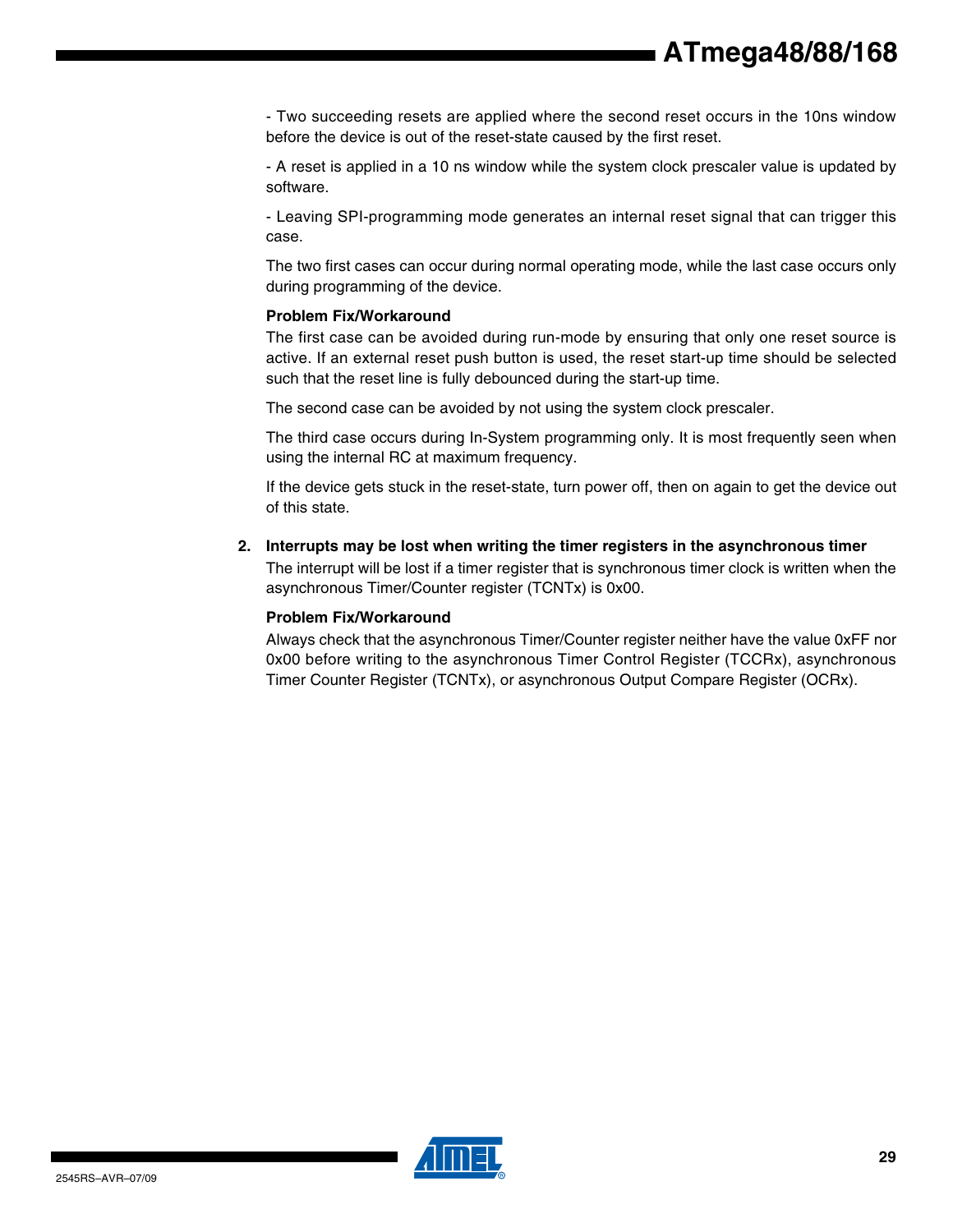- Two succeeding resets are applied where the second reset occurs in the 10ns window before the device is out of the reset-state caused by the first reset.

- A reset is applied in a 10 ns window while the system clock prescaler value is updated by software.

- Leaving SPI-programming mode generates an internal reset signal that can trigger this case.

The two first cases can occur during normal operating mode, while the last case occurs only during programming of the device.

#### **Problem Fix/Workaround**

The first case can be avoided during run-mode by ensuring that only one reset source is active. If an external reset push button is used, the reset start-up time should be selected such that the reset line is fully debounced during the start-up time.

The second case can be avoided by not using the system clock prescaler.

The third case occurs during In-System programming only. It is most frequently seen when using the internal RC at maximum frequency.

If the device gets stuck in the reset-state, turn power off, then on again to get the device out of this state.

**2. Interrupts may be lost when writing the timer registers in the asynchronous timer**

The interrupt will be lost if a timer register that is synchronous timer clock is written when the asynchronous Timer/Counter register (TCNTx) is 0x00.

#### **Problem Fix/Workaround**

Always check that the asynchronous Timer/Counter register neither have the value 0xFF nor 0x00 before writing to the asynchronous Timer Control Register (TCCRx), asynchronous Timer Counter Register (TCNTx), or asynchronous Output Compare Register (OCRx).

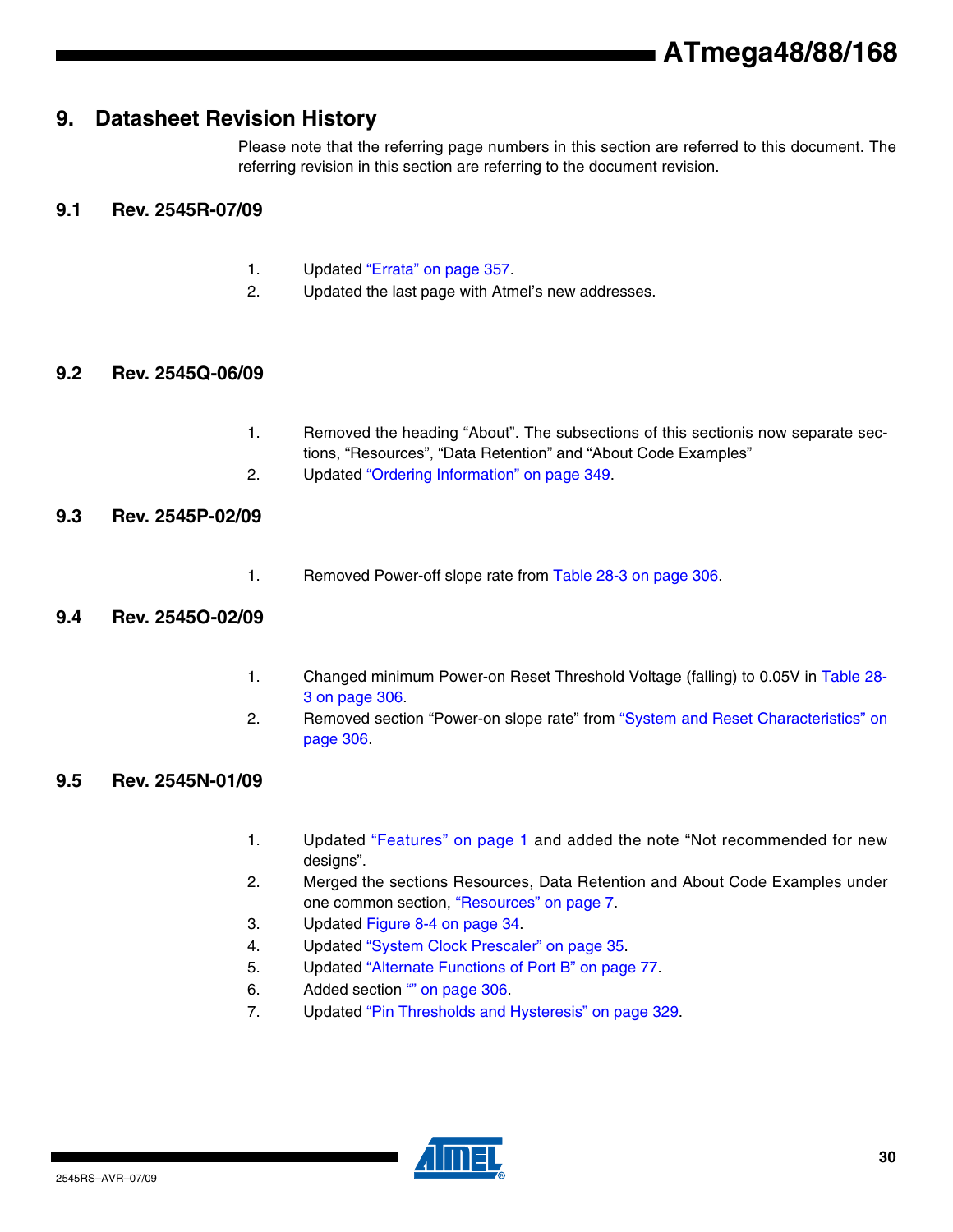## **9. Datasheet Revision History**

Please note that the referring page numbers in this section are referred to this document. The referring revision in this section are referring to the document revision.

### **9.1 Rev. 2545R-07/09**

- 1. Updated "Errata" on page 357.
- 2. Updated the last page with Atmel's new addresses.

#### **9.2 Rev. 2545Q-06/09**

- 1. Removed the heading "About". The subsections of this sectionis now separate sections, "Resources", "Data Retention" and "About Code Examples"
- 2. Updated "Ordering Information" on page 349.

#### **9.3 Rev. 2545P-02/09**

1. Removed Power-off slope rate from Table 28-3 on page 306.

#### **9.4 Rev. 2545O-02/09**

- 1. Changed minimum Power-on Reset Threshold Voltage (falling) to 0.05V in Table 28- 3 on page 306.
- 2. Removed section "Power-on slope rate" from "System and Reset Characteristics" on page 306.

### **9.5 Rev. 2545N-01/09**

- 1. Updated "Features" on page 1 and added the note "Not recommended for new designs".
- 2. Merged the sections Resources, Data Retention and About Code Examples under one common section, "Resources" on page 7.
- 3. Updated Figure 8-4 on page 34.
- 4. Updated "System Clock Prescaler" on page 35.
- 5. Updated "Alternate Functions of Port B" on page 77.
- 6. Added section "" on page 306.
- 7. Updated "Pin Thresholds and Hysteresis" on page 329.

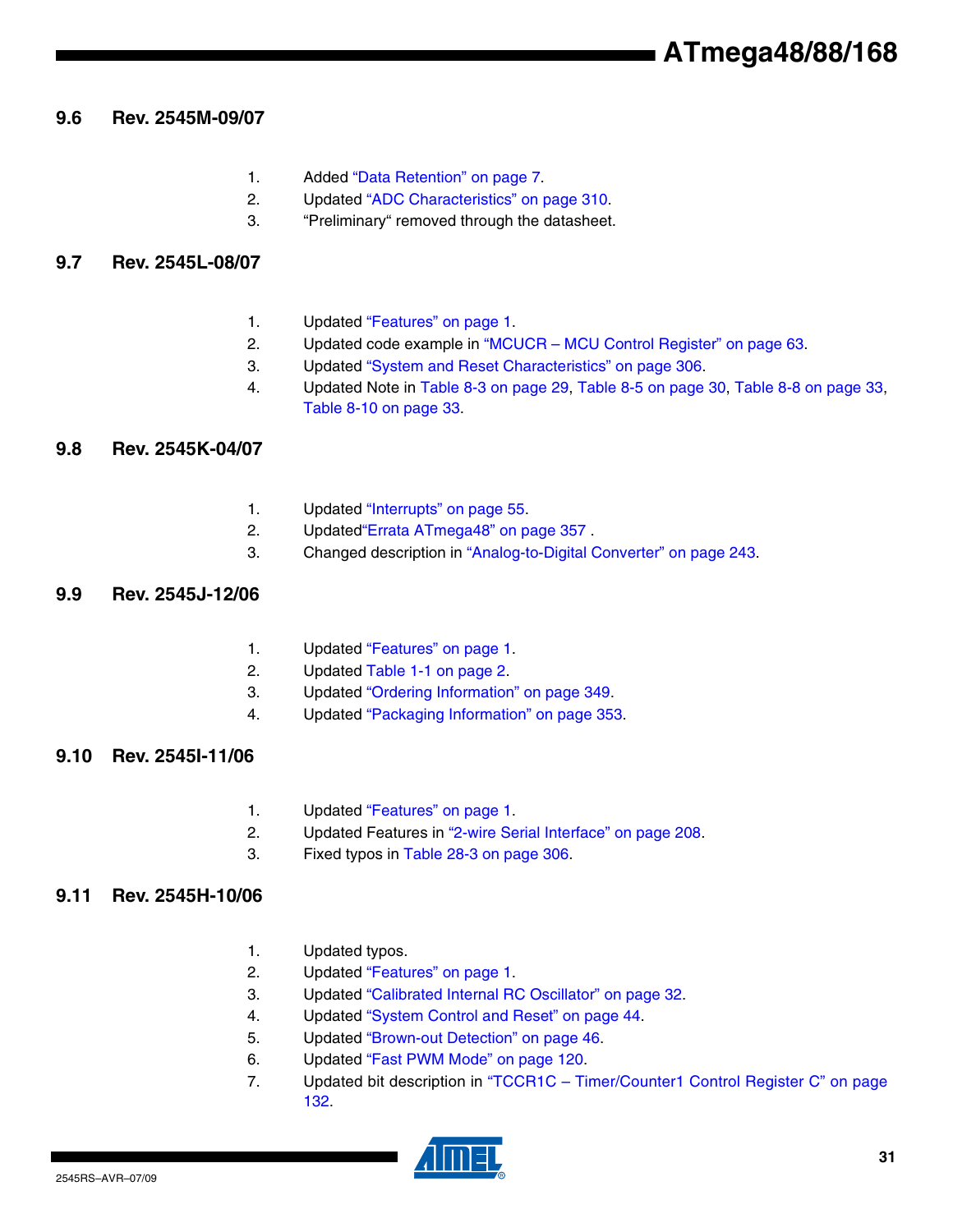## **9.6 Rev. 2545M-09/07**

- 1. Added "Data Retention" on page 7.
- 2. Updated "ADC Characteristics" on page 310.
- 3. "Preliminary" removed through the datasheet.

## **9.7 Rev. 2545L-08/07**

- 1. Updated "Features" on page 1.
- 2. Updated code example in "MCUCR MCU Control Register" on page 63.
- 3. Updated "System and Reset Characteristics" on page 306.
- 4. Updated Note in Table 8-3 on page 29, Table 8-5 on page 30, Table 8-8 on page 33, Table 8-10 on page 33.

## **9.8 Rev. 2545K-04/07**

- 1. Updated "Interrupts" on page 55.
- 2. Updated"Errata ATmega48" on page 357 .
- 3. Changed description in "Analog-to-Digital Converter" on page 243.

## **9.9 Rev. 2545J-12/06**

- 1. Updated "Features" on page 1.
- 2. Updated Table 1-1 on page 2.
- 3. Updated "Ordering Information" on page 349.
- 4. Updated "Packaging Information" on page 353.

## **9.10 Rev. 2545I-11/06**

- 1. Updated "Features" on page 1.
- 2. Updated Features in "2-wire Serial Interface" on page 208.
- 3. Fixed typos in Table 28-3 on page 306.

## **9.11 Rev. 2545H-10/06**

- 1. Updated typos.
- 2. Updated "Features" on page 1.
- 3. Updated "Calibrated Internal RC Oscillator" on page 32.
- 4. Updated "System Control and Reset" on page 44.
- 5. Updated "Brown-out Detection" on page 46.
- 6. Updated "Fast PWM Mode" on page 120.
- 7. Updated bit description in "TCCR1C Timer/Counter1 Control Register C" on page 132.

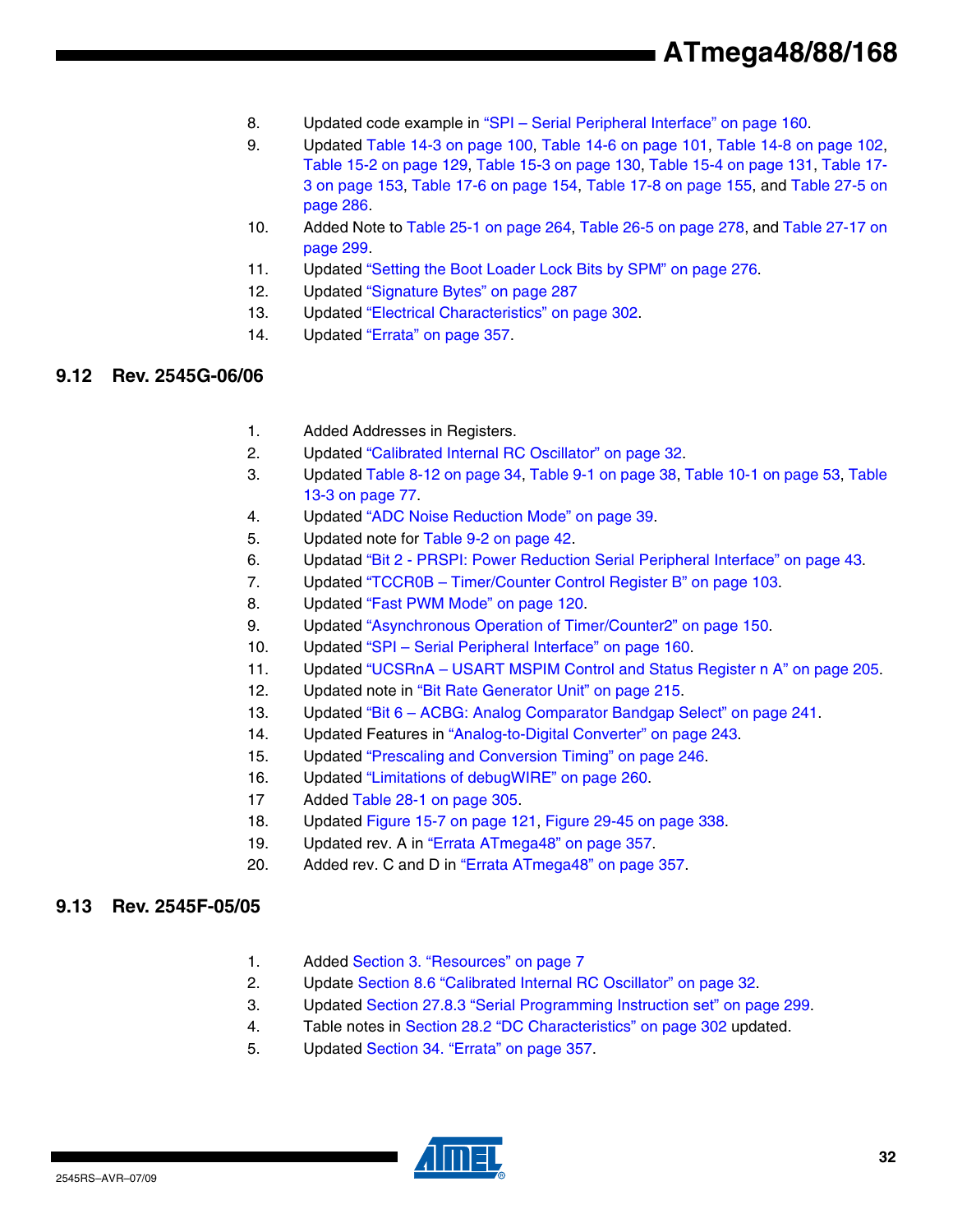- 8. Updated code example in "SPI Serial Peripheral Interface" on page 160.
- 9. Updated Table 14-3 on page 100, Table 14-6 on page 101, Table 14-8 on page 102, Table 15-2 on page 129, Table 15-3 on page 130, Table 15-4 on page 131, Table 17- 3 on page 153, Table 17-6 on page 154, Table 17-8 on page 155, and Table 27-5 on page 286.
- 10. Added Note to Table 25-1 on page 264, Table 26-5 on page 278, and Table 27-17 on page 299.
- 11. Updated "Setting the Boot Loader Lock Bits by SPM" on page 276.
- 12. Updated "Signature Bytes" on page 287
- 13. Updated "Electrical Characteristics" on page 302.
- 14. Updated "Errata" on page 357.

### **9.12 Rev. 2545G-06/06**

- 1. Added Addresses in Registers.
- 2. Updated "Calibrated Internal RC Oscillator" on page 32.
- 3. Updated Table 8-12 on page 34, Table 9-1 on page 38, Table 10-1 on page 53, Table 13-3 on page 77.
- 4. Updated "ADC Noise Reduction Mode" on page 39.
- 5. Updated note for Table 9-2 on page 42.
- 6. Updatad "Bit 2 PRSPI: Power Reduction Serial Peripheral Interface" on page 43.
- 7. Updated "TCCR0B Timer/Counter Control Register B" on page 103.
- 8. Updated "Fast PWM Mode" on page 120.
- 9. Updated "Asynchronous Operation of Timer/Counter2" on page 150.
- 10. Updated "SPI Serial Peripheral Interface" on page 160.
- 11. Updated "UCSRnA USART MSPIM Control and Status Register n A" on page 205.
- 12. Updated note in "Bit Rate Generator Unit" on page 215.
- 13. Updated "Bit 6 ACBG: Analog Comparator Bandgap Select" on page 241.
- 14. Updated Features in "Analog-to-Digital Converter" on page 243.
- 15. Updated "Prescaling and Conversion Timing" on page 246.
- 16. Updated "Limitations of debugWIRE" on page 260.
- 17 Added Table 28-1 on page 305.
- 18. Updated Figure 15-7 on page 121, Figure 29-45 on page 338.
- 19. Updated rev. A in "Errata ATmega48" on page 357.
- 20. Added rev. C and D in "Errata ATmega48" on page 357.

#### **9.13 Rev. 2545F-05/05**

- 1. Added Section 3. "Resources" on page 7
- 2. Update Section 8.6 "Calibrated Internal RC Oscillator" on page 32.
- 3. Updated Section 27.8.3 "Serial Programming Instruction set" on page 299.
- 4. Table notes in Section 28.2 "DC Characteristics" on page 302 updated.
- 5. Updated Section 34. "Errata" on page 357.

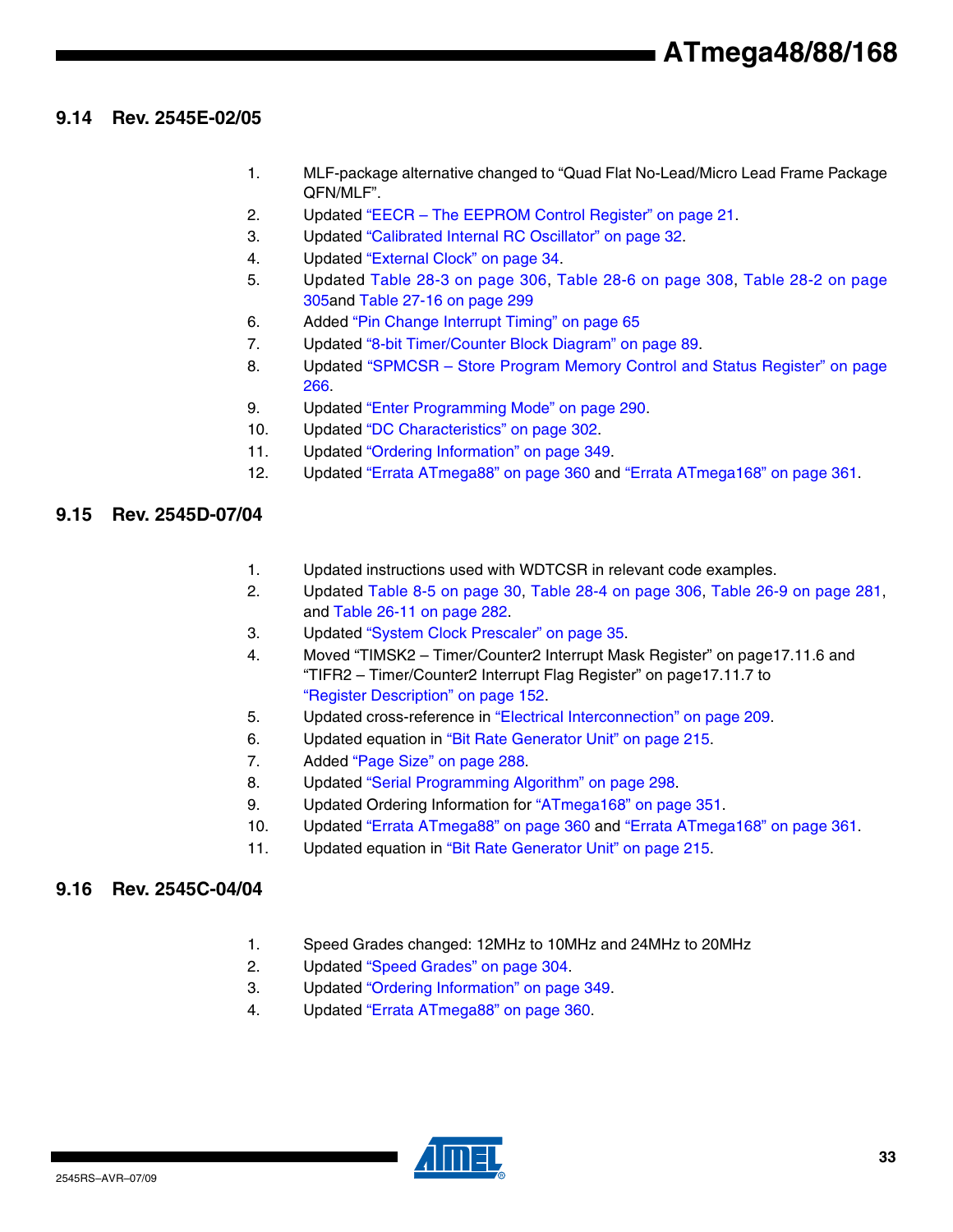### **9.14 Rev. 2545E-02/05**

- 1. MLF-package alternative changed to "Quad Flat No-Lead/Micro Lead Frame Package QFN/MLF".
- 2. Updated "EECR The EEPROM Control Register" on page 21.
- 3. Updated "Calibrated Internal RC Oscillator" on page 32.
- 4. Updated "External Clock" on page 34.
- 5. Updated Table 28-3 on page 306, Table 28-6 on page 308, Table 28-2 on page 305and Table 27-16 on page 299
- 6. Added "Pin Change Interrupt Timing" on page 65
- 7. Updated "8-bit Timer/Counter Block Diagram" on page 89.
- 8. Updated "SPMCSR Store Program Memory Control and Status Register" on page 266.
- 9. Updated "Enter Programming Mode" on page 290.
- 10. Updated "DC Characteristics" on page 302.
- 11. Updated "Ordering Information" on page 349.
- 12. Updated "Errata ATmega88" on page 360 and "Errata ATmega168" on page 361.

#### **9.15 Rev. 2545D-07/04**

- 1. Updated instructions used with WDTCSR in relevant code examples.
- 2. Updated Table 8-5 on page 30, Table 28-4 on page 306, Table 26-9 on page 281, and Table 26-11 on page 282.
- 3. Updated "System Clock Prescaler" on page 35.
- 4. Moved "TIMSK2 Timer/Counter2 Interrupt Mask Register" on page17.11.6 and "TIFR2 – Timer/Counter2 Interrupt Flag Register" on page17.11.7 to "Register Description" on page 152.
- 5. Updated cross-reference in "Electrical Interconnection" on page 209.
- 6. Updated equation in "Bit Rate Generator Unit" on page 215.
- 7. Added "Page Size" on page 288.
- 8. Updated "Serial Programming Algorithm" on page 298.
- 9. Updated Ordering Information for "ATmega168" on page 351.
- 10. Updated "Errata ATmega88" on page 360 and "Errata ATmega168" on page 361.
- 11. Updated equation in "Bit Rate Generator Unit" on page 215.

#### **9.16 Rev. 2545C-04/04**

- 1. Speed Grades changed: 12MHz to 10MHz and 24MHz to 20MHz
- 2. Updated "Speed Grades" on page 304.
- 3. Updated "Ordering Information" on page 349.
- 4. Updated "Errata ATmega88" on page 360.

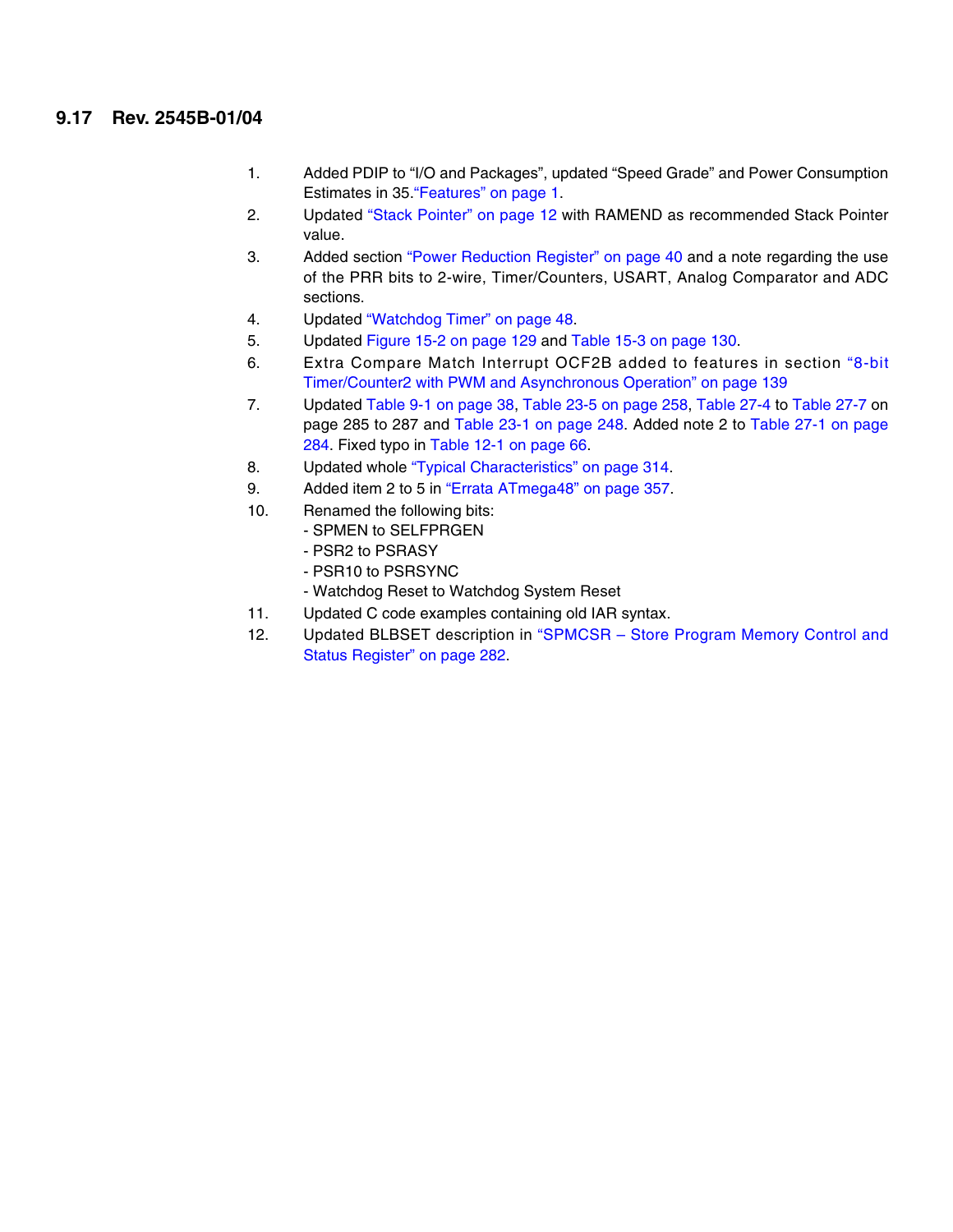### **9.17 Rev. 2545B-01/04**

- 1. Added PDIP to "I/O and Packages", updated "Speed Grade" and Power Consumption Estimates in 35."Features" on page 1.
- 2. Updated "Stack Pointer" on page 12 with RAMEND as recommended Stack Pointer value.
- 3. Added section "Power Reduction Register" on page 40 and a note regarding the use of the PRR bits to 2-wire, Timer/Counters, USART, Analog Comparator and ADC sections.
- 4. Updated "Watchdog Timer" on page 48.
- 5. Updated Figure 15-2 on page 129 and Table 15-3 on page 130.
- 6. Extra Compare Match Interrupt OCF2B added to features in section "8-bit Timer/Counter2 with PWM and Asynchronous Operation" on page 139
- 7. Updated Table 9-1 on page 38, Table 23-5 on page 258, Table 27-4 to Table 27-7 on page 285 to 287 and Table 23-1 on page 248. Added note 2 to Table 27-1 on page 284. Fixed typo in Table 12-1 on page 66.
- 8. Updated whole "Typical Characteristics" on page 314.
- 9. Added item 2 to 5 in "Errata ATmega48" on page 357.
- 10. Renamed the following bits:
	- SPMEN to SELFPRGEN
		- PSR2 to PSRASY
		- PSR10 to PSRSYNC
		- Watchdog Reset to Watchdog System Reset
- 11. Updated C code examples containing old IAR syntax.
- 12. Updated BLBSET description in "SPMCSR Store Program Memory Control and Status Register" on page 282.